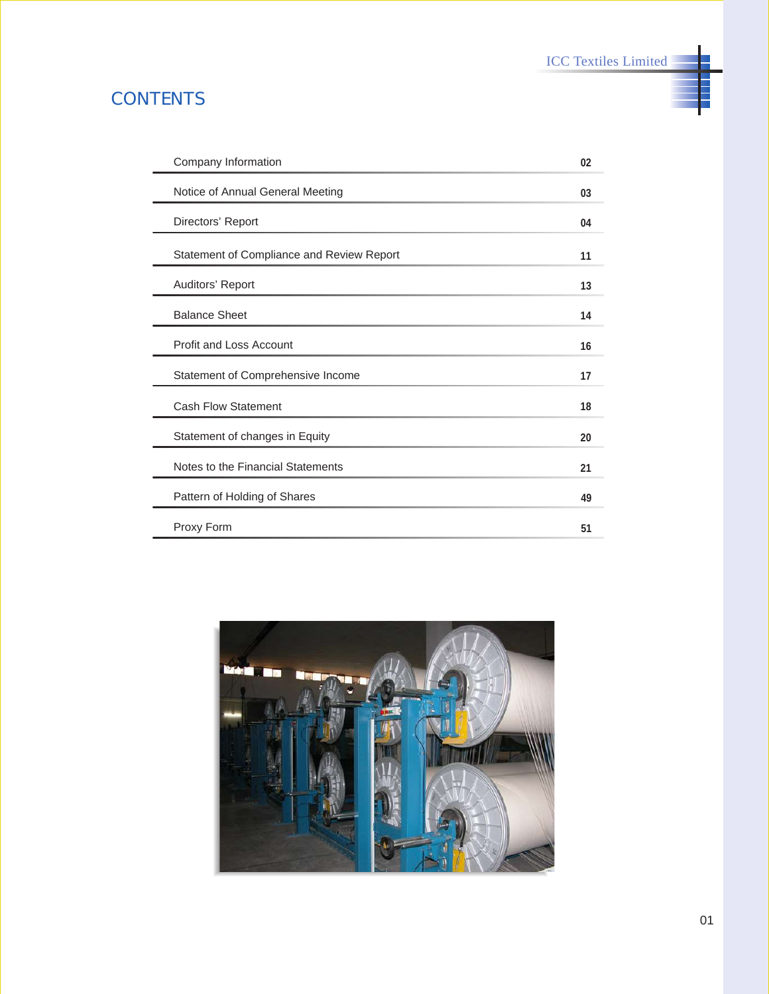ICC Textiles Limited

# **CONTENTS**

| Company Information                       | 02 |
|-------------------------------------------|----|
| Notice of Annual General Meeting          | 03 |
| Directors' Report                         | 04 |
| Statement of Compliance and Review Report | 11 |
| Auditors' Report                          | 13 |
| <b>Balance Sheet</b>                      | 14 |
| Profit and Loss Account                   | 16 |
| Statement of Comprehensive Income         | 17 |
| <b>Cash Flow Statement</b>                | 18 |
| Statement of changes in Equity            | 20 |
| Notes to the Financial Statements         | 21 |
| Pattern of Holding of Shares              | 49 |
| Proxy Form                                | 51 |

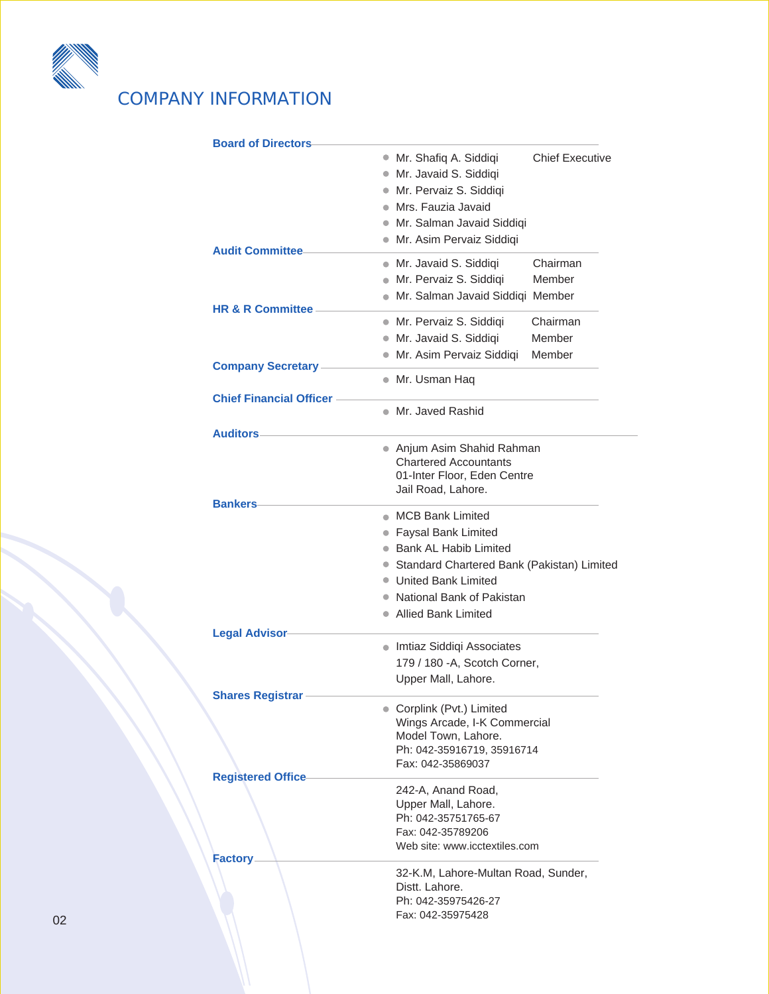

# COMPANY INFORMATION

| <b>Board of Directors</b>      |                                                                       |  |
|--------------------------------|-----------------------------------------------------------------------|--|
|                                | · Mr. Shafiq A. Siddiqi<br><b>Chief Executive</b>                     |  |
|                                | · Mr. Javaid S. Siddiqi                                               |  |
|                                | ● Mr. Pervaiz S. Siddiqi                                              |  |
|                                | • Mrs. Fauzia Javaid                                                  |  |
|                                | • Mr. Salman Javaid Siddigi                                           |  |
|                                | · Mr. Asim Pervaiz Siddiqi                                            |  |
| <b>Audit Committee</b>         |                                                                       |  |
|                                | Chairman<br>· Mr. Javaid S. Siddiqi<br>Member                         |  |
|                                | • Mr. Pervaiz S. Siddiqi                                              |  |
| <b>HR &amp; R Committee</b>    | · Mr. Salman Javaid Siddiqi Member                                    |  |
|                                | · Mr. Pervaiz S. Siddiqi<br>Chairman                                  |  |
|                                | · Mr. Javaid S. Siddiqi<br>Member                                     |  |
|                                | Member<br>• Mr. Asim Pervaiz Siddiqi                                  |  |
| <b>Company Secretary</b>       |                                                                       |  |
|                                | ● Mr. Usman Haq                                                       |  |
| <b>Chief Financial Officer</b> |                                                                       |  |
|                                | • Mr. Javed Rashid                                                    |  |
| <b>Auditors</b>                |                                                                       |  |
|                                | ● Anjum Asim Shahid Rahman                                            |  |
|                                | <b>Chartered Accountants</b>                                          |  |
|                                | 01-Inter Floor, Eden Centre                                           |  |
| <b>Bankers</b>                 | Jail Road, Lahore.                                                    |  |
|                                | • MCB Bank Limited                                                    |  |
|                                | • Faysal Bank Limited                                                 |  |
|                                |                                                                       |  |
|                                |                                                                       |  |
|                                | <b>Bank AL Habib Limited</b>                                          |  |
|                                | • Standard Chartered Bank (Pakistan) Limited<br>● United Bank Limited |  |
|                                | ● National Bank of Pakistan                                           |  |
|                                |                                                                       |  |
|                                | • Allied Bank Limited                                                 |  |
| <b>Legal Advisor</b>           |                                                                       |  |
|                                | • Imtiaz Siddiqi Associates                                           |  |
|                                | 179 / 180 - A, Scotch Corner,                                         |  |
|                                | Upper Mall, Lahore.                                                   |  |
| <b>Shares Registrar</b>        | Corplink (Pvt.) Limited                                               |  |
|                                | Wings Arcade, I-K Commercial                                          |  |
|                                | Model Town, Lahore.                                                   |  |
|                                | Ph: 042-35916719, 35916714                                            |  |
|                                | Fax: 042-35869037                                                     |  |
| <b>Registered Office</b>       |                                                                       |  |
|                                | 242-A, Anand Road,<br>Upper Mall, Lahore.                             |  |
|                                | Ph: 042-35751765-67                                                   |  |
|                                | Fax: 042-35789206                                                     |  |
|                                | Web site: www.icctextiles.com                                         |  |
| <b>Factory</b>                 |                                                                       |  |
|                                | 32-K.M, Lahore-Multan Road, Sunder,<br>Distt. Lahore.                 |  |
|                                | Ph: 042-35975426-27                                                   |  |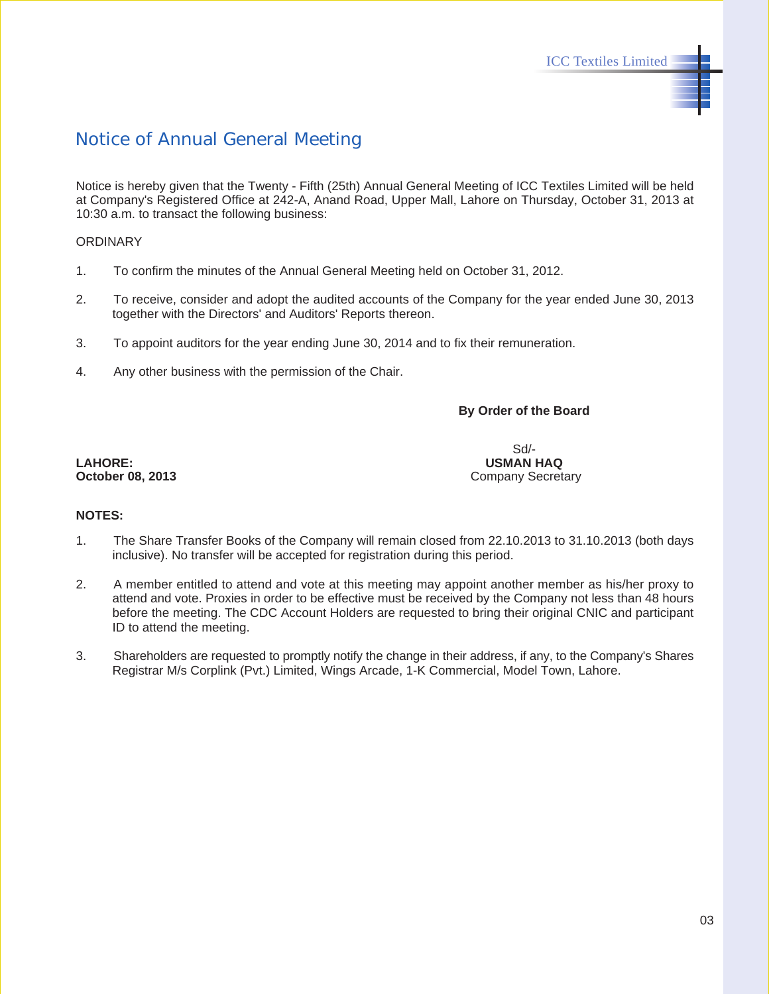### Notice of Annual General Meeting

Notice is hereby given that the Twenty - Fifth (25th) Annual General Meeting of ICC Textiles Limited will be held at Company's Registered Office at 242-A, Anand Road, Upper Mall, Lahore on Thursday, October 31, 2013 at 10:30 a.m. to transact the following business:

#### **ORDINARY**

- 1. To confirm the minutes of the Annual General Meeting held on October 31, 2012.
- 2. To receive, consider and adopt the audited accounts of the Company for the year ended June 30, 2013 together with the Directors' and Auditors' Reports thereon.
- 3. To appoint auditors for the year ending June 30, 2014 and to fix their remuneration.
- 4. Any other business with the permission of the Chair.

**By Order of the Board**

**LAHORE: USMAN HAQ October 08, 2013** Company Secretary

Sd/-

#### **NOTES:**

- 1. The Share Transfer Books of the Company will remain closed from 22.10.2013 to 31.10.2013 (both days inclusive). No transfer will be accepted for registration during this period.
- 2. A member entitled to attend and vote at this meeting may appoint another member as his/her proxy to attend and vote. Proxies in order to be effective must be received by the Company not less than 48 hours before the meeting. The CDC Account Holders are requested to bring their original CNIC and participant ID to attend the meeting.
- 3. Shareholders are requested to promptly notify the change in their address, if any, to the Company's Shares Registrar M/s Corplink (Pvt.) Limited, Wings Arcade, 1-K Commercial, Model Town, Lahore.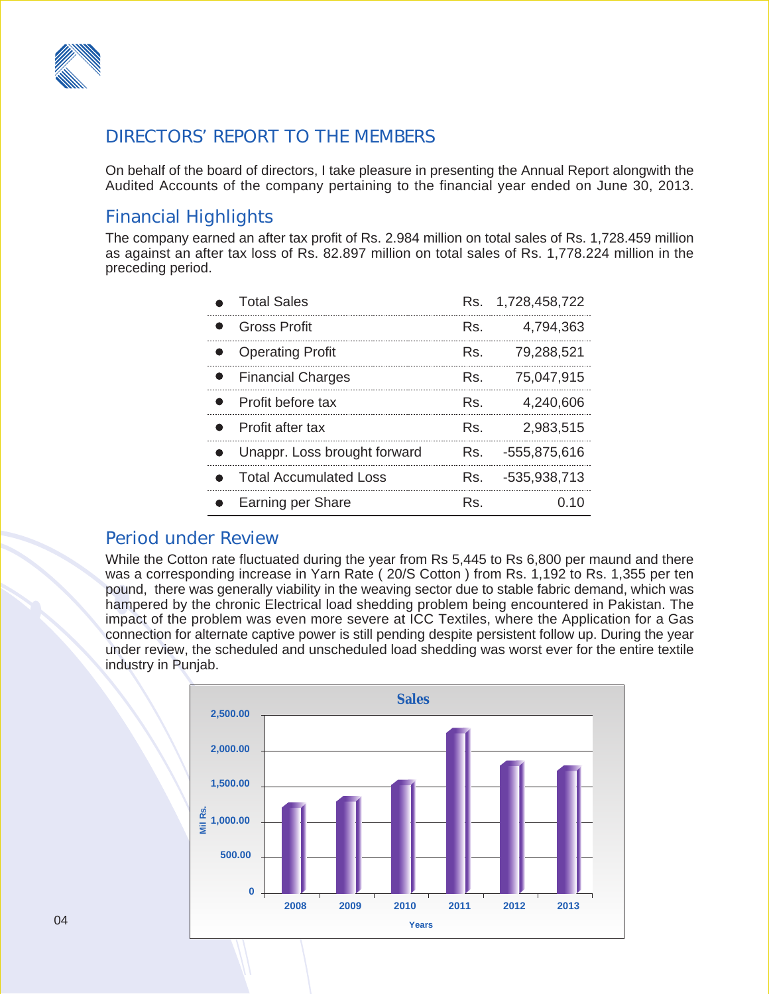

### DIRECTORS' REPORT TO THE MEMBERS

On behalf of the board of directors, I take pleasure in presenting the Annual Report alongwith the Audited Accounts of the company pertaining to the financial year ended on June 30, 2013.

### Financial Highlights

The company earned an after tax profit of Rs. 2.984 million on total sales of Rs. 1,728.459 million as against an after tax loss of Rs. 82.897 million on total sales of Rs. 1,778.224 million in the preceding period.

| <b>Total Sales</b>            | Rs. | 1,728,458,722 |
|-------------------------------|-----|---------------|
| <b>Gross Profit</b>           | Rs. | 4,794,363     |
| <b>Operating Profit</b>       | Rs. | 79,288,521    |
| <b>Financial Charges</b>      | Rs. | 75,047,915    |
| Profit before tax             | Rs. | 4,240,606     |
| Profit after tax              | Rs. | 2,983,515     |
| Unappr. Loss brought forward  | Rs. | -555,875,616  |
| <b>Total Accumulated Loss</b> | Rs. | -535,938,713  |
| Earning per Share             | Rs. | 0.10          |

### Period under Review

While the Cotton rate fluctuated during the year from Rs 5,445 to Rs 6,800 per maund and there was a corresponding increase in Yarn Rate ( 20/S Cotton ) from Rs. 1,192 to Rs. 1,355 per ten pound, there was generally viability in the weaving sector due to stable fabric demand, which was hampered by the chronic Electrical load shedding problem being encountered in Pakistan. The impact of the problem was even more severe at ICC Textiles, where the Application for a Gas connection for alternate captive power is still pending despite persistent follow up. During the year under review, the scheduled and unscheduled load shedding was worst ever for the entire textile industry in Punjab.

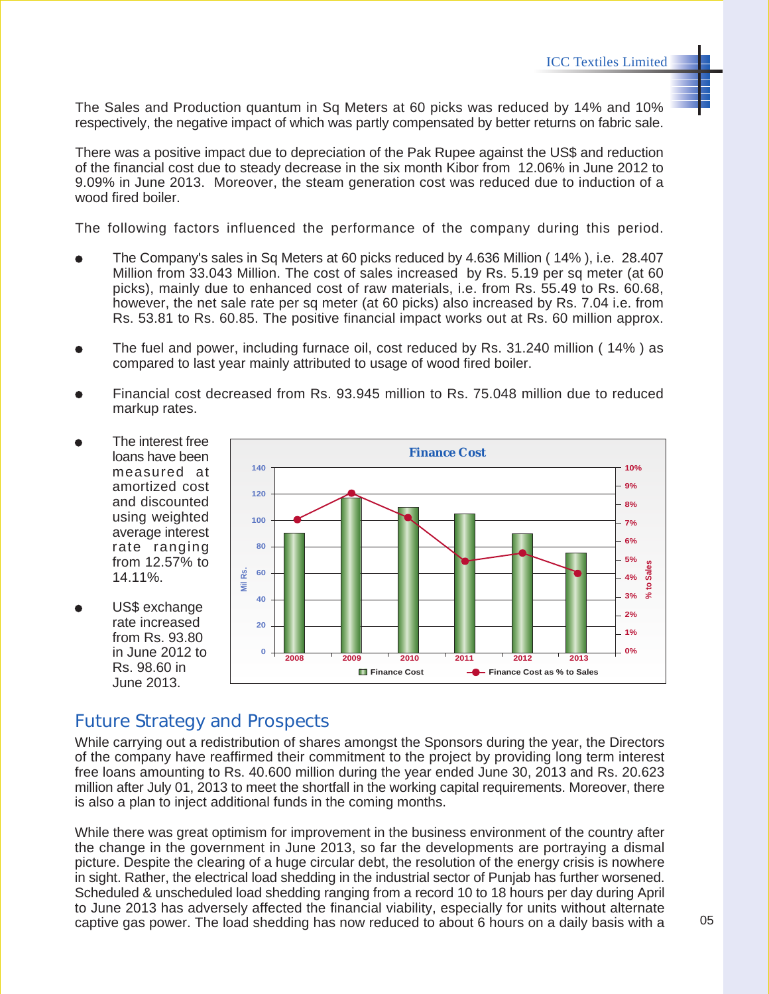The Sales and Production quantum in Sq Meters at 60 picks was reduced by 14% and 10% respectively, the negative impact of which was partly compensated by better returns on fabric sale.

There was a positive impact due to depreciation of the Pak Rupee against the US\$ and reduction of the financial cost due to steady decrease in the six month Kibor from 12.06% in June 2012 to 9.09% in June 2013. Moreover, the steam generation cost was reduced due to induction of a wood fired boiler.

The following factors influenced the performance of the company during this period.

- The Company's sales in Sq Meters at 60 picks reduced by 4.636 Million ( 14% ), i.e. 28.407 Million from 33.043 Million. The cost of sales increased by Rs. 5.19 per sq meter (at 60 picks), mainly due to enhanced cost of raw materials, i.e. from Rs. 55.49 to Rs. 60.68, however, the net sale rate per sq meter (at 60 picks) also increased by Rs. 7.04 i.e. from Rs. 53.81 to Rs. 60.85. The positive financial impact works out at Rs. 60 million approx.
- The fuel and power, including furnace oil, cost reduced by Rs. 31.240 million ( 14% ) as compared to last year mainly attributed to usage of wood fired boiler.
- Financial cost decreased from Rs. 93.945 million to Rs. 75.048 million due to reduced markup rates.
- The interest free loans have been measured at amortized cost and discounted using weighted average interest rate ranging from 12.57% to 14.11%.
- US\$ exchange rate increased from Rs. 93.80 in June 2012 to Rs. 98.60 in June 2013.



### Future Strategy and Prospects

While carrying out a redistribution of shares amongst the Sponsors during the year, the Directors of the company have reaffirmed their commitment to the project by providing long term interest free loans amounting to Rs. 40.600 million during the year ended June 30, 2013 and Rs. 20.623 million after July 01, 2013 to meet the shortfall in the working capital requirements. Moreover, there is also a plan to inject additional funds in the coming months.

While there was great optimism for improvement in the business environment of the country after the change in the government in June 2013, so far the developments are portraying a dismal picture. Despite the clearing of a huge circular debt, the resolution of the energy crisis is nowhere in sight. Rather, the electrical load shedding in the industrial sector of Punjab has further worsened. Scheduled & unscheduled load shedding ranging from a record 10 to 18 hours per day during April to June 2013 has adversely affected the financial viability, especially for units without alternate captive gas power. The load shedding has now reduced to about 6 hours on a daily basis with a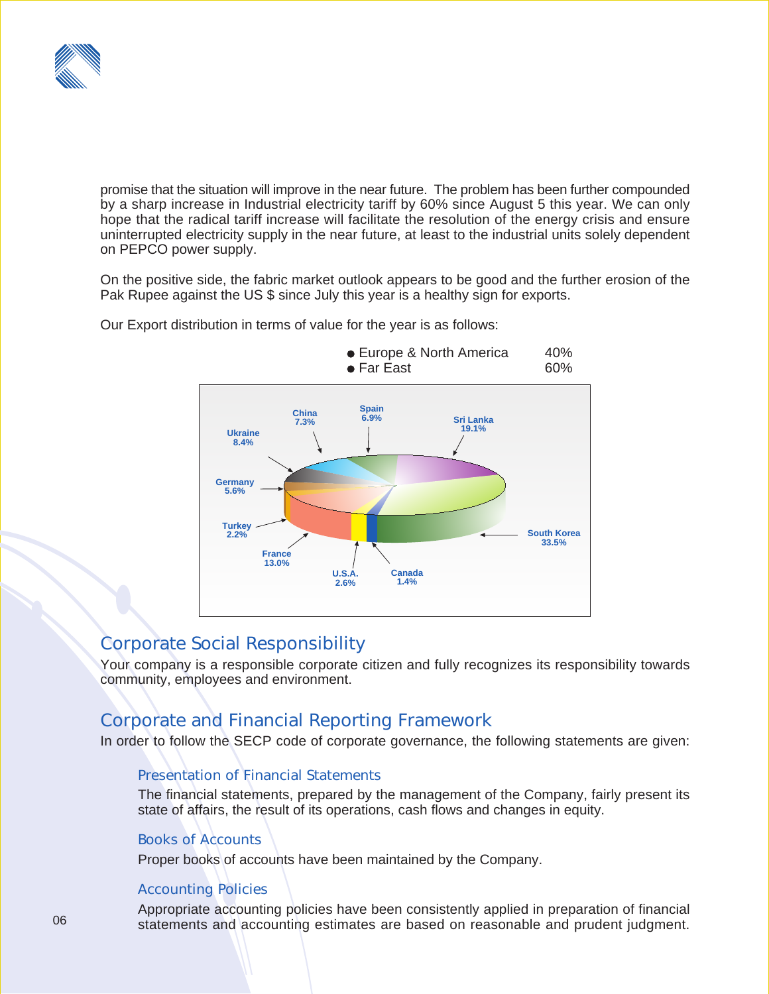

promise that the situation will improve in the near future. The problem has been further compounded by a sharp increase in Industrial electricity tariff by 60% since August 5 this year. We can only hope that the radical tariff increase will facilitate the resolution of the energy crisis and ensure uninterrupted electricity supply in the near future, at least to the industrial units solely dependent on PEPCO power supply.

On the positive side, the fabric market outlook appears to be good and the further erosion of the Pak Rupee against the US \$ since July this year is a healthy sign for exports.



Our Export distribution in terms of value for the year is as follows:

### Corporate Social Responsibility

Your company is a responsible corporate citizen and fully recognizes its responsibility towards community, employees and environment.

### Corporate and Financial Reporting Framework

In order to follow the SECP code of corporate governance, the following statements are given:

#### Presentation of Financial Statements

The financial statements, prepared by the management of the Company, fairly present its state of affairs, the result of its operations, cash flows and changes in equity.

#### Books of Accounts

Proper books of accounts have been maintained by the Company.

#### Accounting Policies

Appropriate accounting policies have been consistently applied in preparation of financial statements and accounting estimates are based on reasonable and prudent judgment.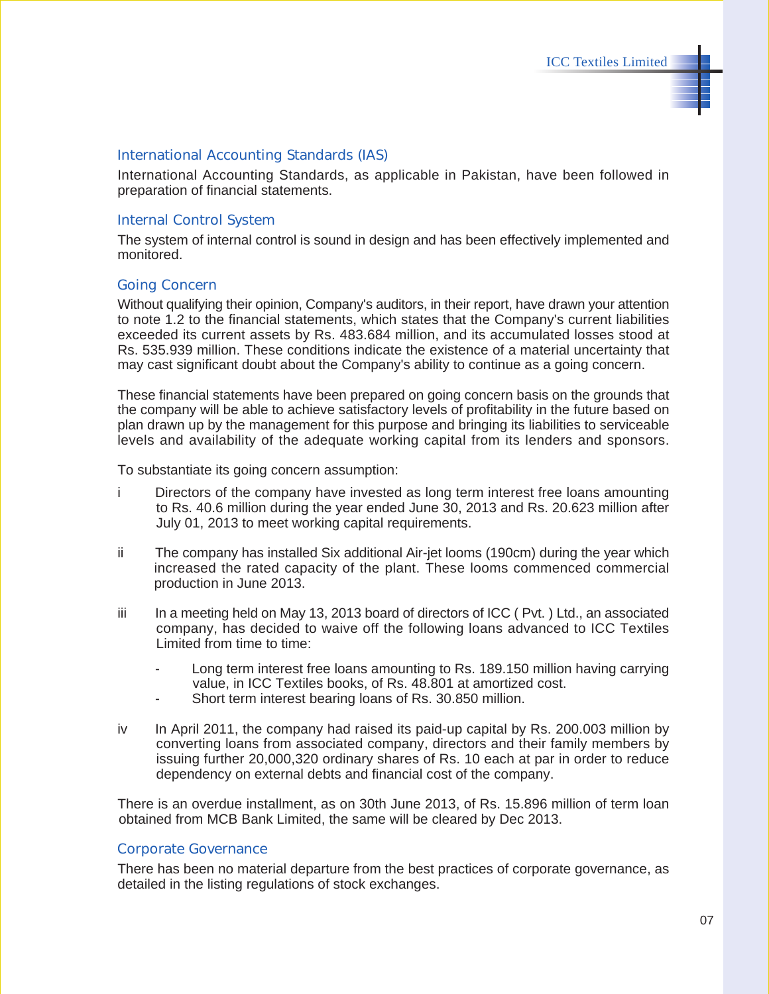#### International Accounting Standards (IAS)

International Accounting Standards, as applicable in Pakistan, have been followed in preparation of financial statements.

#### Internal Control System

The system of internal control is sound in design and has been effectively implemented and monitored.

#### Going Concern

Without qualifying their opinion, Company's auditors, in their report, have drawn your attention to note 1.2 to the financial statements, which states that the Company's current liabilities exceeded its current assets by Rs. 483.684 million, and its accumulated losses stood at Rs. 535.939 million. These conditions indicate the existence of a material uncertainty that may cast significant doubt about the Company's ability to continue as a going concern.

These financial statements have been prepared on going concern basis on the grounds that the company will be able to achieve satisfactory levels of profitability in the future based on plan drawn up by the management for this purpose and bringing its liabilities to serviceable levels and availability of the adequate working capital from its lenders and sponsors.

To substantiate its going concern assumption:

- i Directors of the company have invested as long term interest free loans amounting to Rs. 40.6 million during the year ended June 30, 2013 and Rs. 20.623 million after July 01, 2013 to meet working capital requirements.
- ii The company has installed Six additional Air-jet looms (190cm) during the year which increased the rated capacity of the plant. These looms commenced commercial production in June 2013.
- iii In a meeting held on May 13, 2013 board of directors of ICC (Pvt.) Ltd., an associated company, has decided to waive off the following loans advanced to ICC Textiles Limited from time to time:
	- Long term interest free loans amounting to Rs. 189.150 million having carrying value, in ICC Textiles books, of Rs. 48.801 at amortized cost.
	- Short term interest bearing loans of Rs. 30.850 million.
- iv In April 2011, the company had raised its paid-up capital by Rs. 200.003 million by converting loans from associated company, directors and their family members by issuing further 20,000,320 ordinary shares of Rs. 10 each at par in order to reduce dependency on external debts and financial cost of the company.

There is an overdue installment, as on 30th June 2013, of Rs. 15.896 million of term loan obtained from MCB Bank Limited, the same will be cleared by Dec 2013.

#### Corporate Governance

There has been no material departure from the best practices of corporate governance, as detailed in the listing regulations of stock exchanges.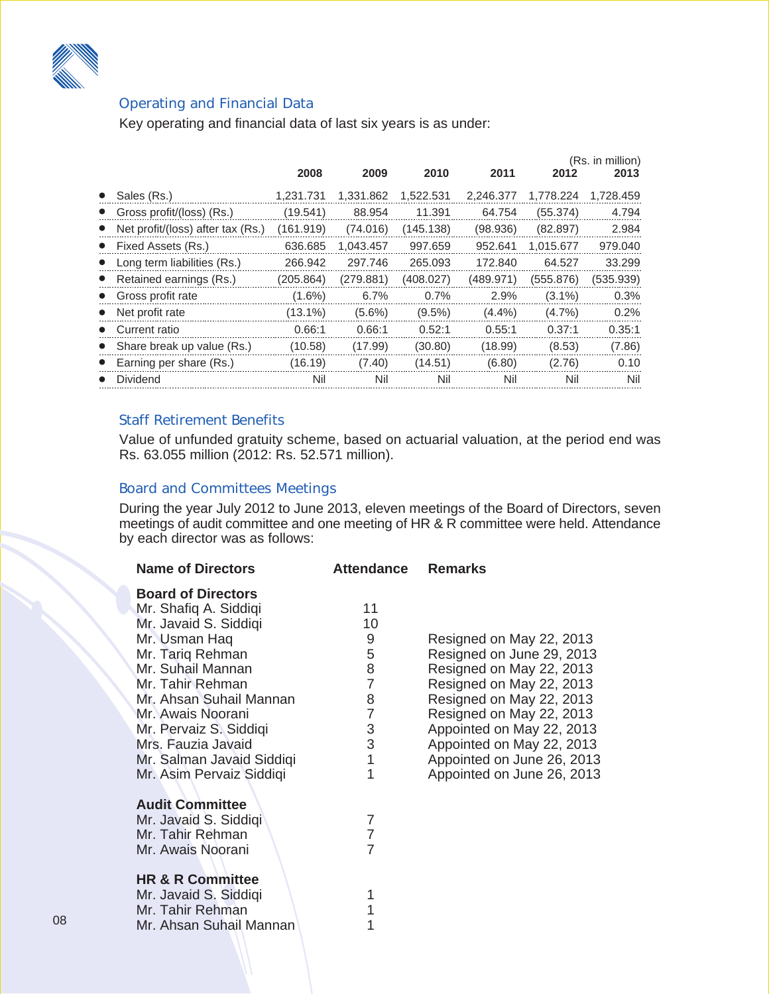

### Operating and Financial Data

Key operating and financial data of last six years is as under:

|                                   | 2008       | 2009      | 2010      | 2011      | 2012      | (Rs. in million)<br>2013 |
|-----------------------------------|------------|-----------|-----------|-----------|-----------|--------------------------|
| Sales (Rs.)                       | 1,231.731  | 1,331.862 | 1,522.531 | 2,246.377 | 1,778.224 | 1,728.459                |
| Gross profit/(loss) (Rs.)         | (19.541)   | 88.954    | 11.391    | 64.754    | (55.374)  | 4.794                    |
| Net profit/(loss) after tax (Rs.) | (161.919)  | (74.016)  | (145.138) | (98.936)  | (82.897)  | 2.984                    |
| • Fixed Assets (Rs.)              | 636.685    | 1,043.457 | 997.659   | 952.641   | 1,015.677 | 979.040                  |
| Long term liabilities (Rs.)       | 266.942    | 297.746   | 265.093   | 172.840   | 64.527    | 33.299                   |
| • Retained earnings (Rs.)         | (205.864)  | (279.881) | (408.027) | (489.971) | (555.876) | (535.939)                |
| • Gross profit rate               | $(1.6\%)$  | 6.7%      | 0.7%      | 2.9%      | $(3.1\%)$ | 0.3%                     |
| Net profit rate                   | $(13.1\%)$ | $(5.6\%)$ | $(9.5\%)$ | $(4.4\%)$ | $(4.7\%)$ | 0.2%                     |
| • Current ratio                   | 0.66:1     | 0.66:1    | 0.52:1    | 0.55:1    | 0.37:1    | 0.35:1                   |
| Share break up value (Rs.)        | (10.58)    | (17.99)   | (30.80)   | (18.99)   | (8.53)    | (7.86)                   |
| Earning per share (Rs.)           | (16.19)    | (7.40)    | (14.51)   | (6.80)    | (2.76)    | 0.10                     |
| Dividend                          | Nil        | Nil       | Nil       | Nil       | Nil       | Nil                      |

#### Staff Retirement Benefits

Value of unfunded gratuity scheme, based on actuarial valuation, at the period end was Rs. 63.055 million (2012: Rs. 52.571 million).

#### Board and Committees Meetings

During the year July 2012 to June 2013, eleven meetings of the Board of Directors, seven meetings of audit committee and one meeting of HR & R committee were held. Attendance by each director was as follows:

| <b>Name of Directors</b>                                                                                                                                                                                                                                                                                           | <b>Attendance</b>                                                                           | <b>Remarks</b>                                                                                                                                                                                                                                                                              |
|--------------------------------------------------------------------------------------------------------------------------------------------------------------------------------------------------------------------------------------------------------------------------------------------------------------------|---------------------------------------------------------------------------------------------|---------------------------------------------------------------------------------------------------------------------------------------------------------------------------------------------------------------------------------------------------------------------------------------------|
| <b>Board of Directors</b><br>Mr. Shafiq A. Siddiqi<br>Mr. Javaid S. Siddiqi<br>Mr. Usman Haq<br>Mr. Tariq Rehman<br>Mr. Suhail Mannan<br>Mr. Tahir Rehman<br>Mr. Ahsan Suhail Mannan<br>Mr. Awais Noorani<br>Mr. Pervaiz S. Siddiqi<br>Mrs. Fauzia Javaid<br>Mr. Salman Javaid Siddiqi<br>Mr. Asim Pervaiz Siddiqi | 11<br>10<br>9<br>5<br>8<br>$\overline{7}$<br>8<br>$\overline{7}$<br>$\frac{3}{3}$<br>1<br>1 | Resigned on May 22, 2013<br>Resigned on June 29, 2013<br>Resigned on May 22, 2013<br>Resigned on May 22, 2013<br>Resigned on May 22, 2013<br>Resigned on May 22, 2013<br>Appointed on May 22, 2013<br>Appointed on May 22, 2013<br>Appointed on June 26, 2013<br>Appointed on June 26, 2013 |
| <b>Audit Committee</b><br>Mr. Javaid S. Siddiqi<br>Mr. Tahir Rehman<br>Mr. Awais Noorani<br><b>HR &amp; R Committee</b><br>Mr. Javaid S. Siddiqi<br>Mr. Tahir Rehman<br>Mr. Ahsan Suhail Mannan                                                                                                                    | 7<br>$\overline{7}$<br>$\overline{7}$<br>1<br>1                                             |                                                                                                                                                                                                                                                                                             |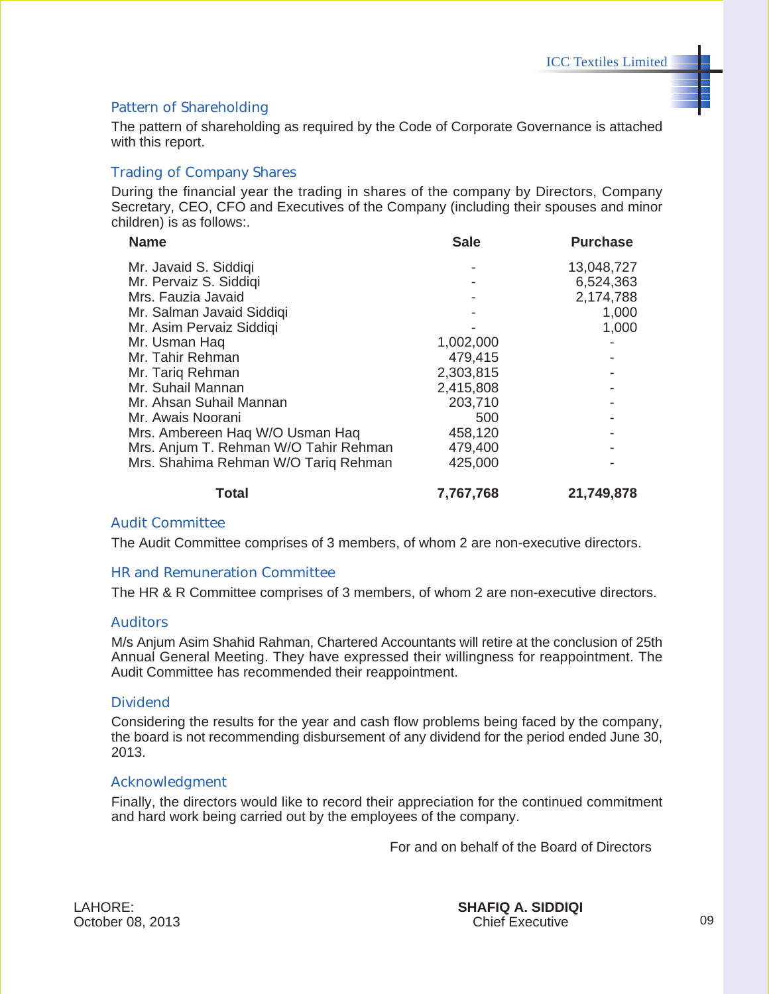#### Pattern of Shareholding

The pattern of shareholding as required by the Code of Corporate Governance is attached with this report.

#### Trading of Company Shares

During the financial year the trading in shares of the company by Directors, Company Secretary, CEO, CFO and Executives of the Company (including their spouses and minor children) is as follows:.

| <b>Name</b>                           | <b>Sale</b> | <b>Purchase</b> |
|---------------------------------------|-------------|-----------------|
| Mr. Javaid S. Siddiqi                 |             | 13,048,727      |
| Mr. Pervaiz S. Siddiqi                |             | 6,524,363       |
| Mrs. Fauzia Javaid                    |             | 2,174,788       |
| Mr. Salman Javaid Siddiqi             |             | 1,000           |
| Mr. Asim Pervaiz Siddiqi              |             | 1,000           |
| Mr. Usman Haq                         | 1,002,000   |                 |
| Mr. Tahir Rehman                      | 479,415     |                 |
| Mr. Tariq Rehman                      | 2,303,815   |                 |
| Mr. Suhail Mannan                     | 2,415,808   |                 |
| Mr. Ahsan Suhail Mannan               | 203,710     |                 |
| Mr. Awais Noorani                     | 500         |                 |
| Mrs. Ambereen Haq W/O Usman Haq       | 458,120     |                 |
| Mrs. Anjum T. Rehman W/O Tahir Rehman | 479,400     |                 |
| Mrs. Shahima Rehman W/O Tariq Rehman  | 425,000     |                 |
| <b>Total</b>                          | 7,767,768   | 21,749,878      |

#### Audit Committee

The Audit Committee comprises of 3 members, of whom 2 are non-executive directors.

#### HR and Remuneration Committee

The HR & R Committee comprises of 3 members, of whom 2 are non-executive directors.

#### Auditors

M/s Anjum Asim Shahid Rahman, Chartered Accountants will retire at the conclusion of 25th Annual General Meeting. They have expressed their willingness for reappointment. The Audit Committee has recommended their reappointment.

#### **Dividend**

Considering the results for the year and cash flow problems being faced by the company, the board is not recommending disbursement of any dividend for the period ended June 30, 2013.

#### Acknowledgment

Finally, the directors would like to record their appreciation for the continued commitment and hard work being carried out by the employees of the company.

For and on behalf of the Board of Directors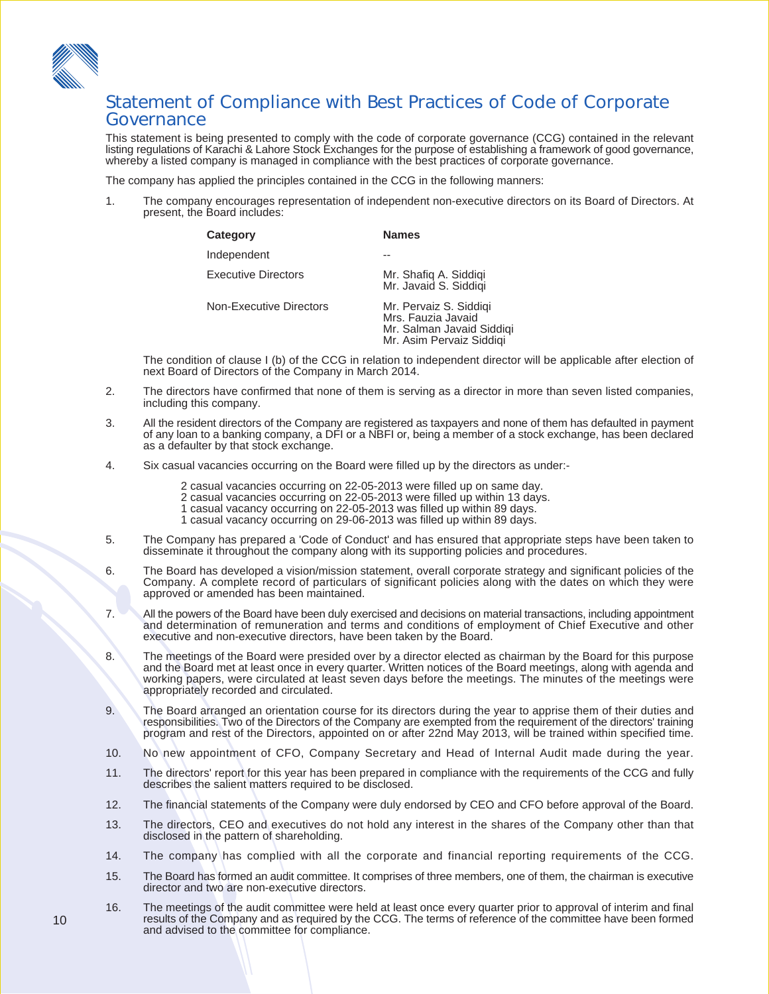

### Statement of Compliance with Best Practices of Code of Corporate Governance

This statement is being presented to comply with the code of corporate governance (CCG) contained in the relevant listing regulations of Karachi & Lahore Stock Exchanges for the purpose of establishing a framework of good governance, whereby a listed company is managed in compliance with the best practices of corporate governance.

The company has applied the principles contained in the CCG in the following manners:

1. The company encourages representation of independent non-executive directors on its Board of Directors. At present, the Board includes:

| Category                   | <b>Names</b>                                                                                          |
|----------------------------|-------------------------------------------------------------------------------------------------------|
| Independent                |                                                                                                       |
| <b>Executive Directors</b> | Mr. Shafiq A. Siddiqi<br>Mr. Javaid S. Siddigi                                                        |
| Non-Executive Directors    | Mr. Pervaiz S. Siddigi<br>Mrs. Fauzia Javaid<br>Mr. Salman Javaid Siddigi<br>Mr. Asim Pervaiz Siddigi |

The condition of clause I (b) of the CCG in relation to independent director will be applicable after election of next Board of Directors of the Company in March 2014.

- 2. The directors have confirmed that none of them is serving as a director in more than seven listed companies, including this company.
- 3. All the resident directors of the Company are registered as taxpayers and none of them has defaulted in payment of any loan to a banking company, a DFI or a NBFI or, being a member of a stock exchange, has been declared as a defaulter by that stock exchange.
- 4. Six casual vacancies occurring on the Board were filled up by the directors as under:-
	- 2 casual vacancies occurring on 22-05-2013 were filled up on same day.
	- 2 casual vacancies occurring on 22-05-2013 were filled up within 13 days.
	- 1 casual vacancy occurring on 22-05-2013 was filled up within 89 days.
	- 1 casual vacancy occurring on 29-06-2013 was filled up within 89 days.
- 5. The Company has prepared a 'Code of Conduct' and has ensured that appropriate steps have been taken to disseminate it throughout the company along with its supporting policies and procedures.
- 6. The Board has developed a vision/mission statement, overall corporate strategy and significant policies of the Company. A complete record of particulars of significant policies along with the dates on which they were approved or amended has been maintained.
- 7. All the powers of the Board have been duly exercised and decisions on material transactions, including appointment and determination of remuneration and terms and conditions of employment of Chief Executive and other executive and non-executive directors, have been taken by the Board.
- 8. The meetings of the Board were presided over by a director elected as chairman by the Board for this purpose and the Board met at least once in every quarter. Written notices of the Board meetings, along with agenda and working papers, were circulated at least seven days before the meetings. The minutes of the meetings were appropriately recorded and circulated.
- 9. The Board arranged an orientation course for its directors during the year to apprise them of their duties and responsibilities. Two of the Directors of the Company are exempted from the requirement of the directors' training program and rest of the Directors, appointed on or after 22nd May 2013, will be trained within specified time.
- 10. No new appointment of CFO, Company Secretary and Head of Internal Audit made during the year.
- 11. The directors' report for this year has been prepared in compliance with the requirements of the CCG and fully describes the salient matters required to be disclosed.
- 12. The financial statements of the Company were duly endorsed by CEO and CFO before approval of the Board.
- 13. The directors, CEO and executives do not hold any interest in the shares of the Company other than that disclosed in the pattern of shareholding.
- 14. The company has complied with all the corporate and financial reporting requirements of the CCG.
- 15. The Board has formed an audit committee. It comprises of three members, one of them, the chairman is executive director and two are non-executive directors.
- 16. The meetings of the audit committee were held at least once every quarter prior to approval of interim and final results of the Company and as required by the CCG. The terms of reference of the committee have been formed and advised to the committee for compliance.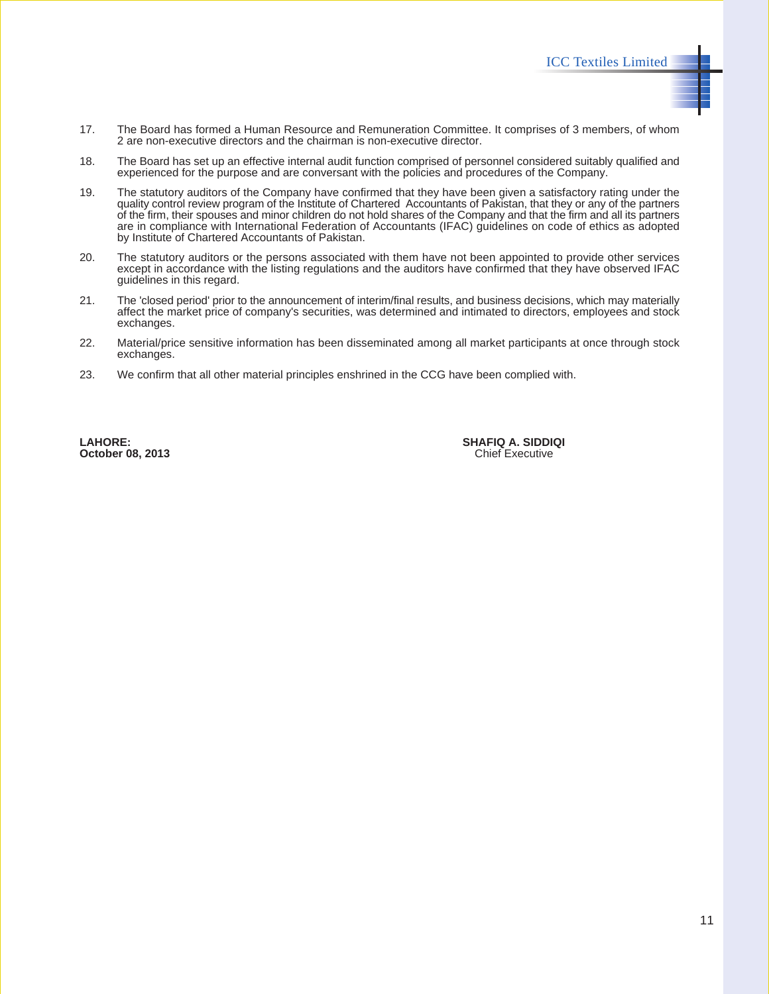- 17. The Board has formed a Human Resource and Remuneration Committee. It comprises of 3 members, of whom 2 are non-executive directors and the chairman is non-executive director.
- 18. The Board has set up an effective internal audit function comprised of personnel considered suitably qualified and experienced for the purpose and are conversant with the policies and procedures of the Company.
- 19. The statutory auditors of the Company have confirmed that they have been given a satisfactory rating under the quality control review program of the Institute of Chartered Accountants of Pakistan, that they or any of the partners of the firm, their spouses and minor children do not hold shares of the Company and that the firm and all its partners are in compliance with International Federation of Accountants (IFAC) guidelines on code of ethics as adopted by Institute of Chartered Accountants of Pakistan.
- 20. The statutory auditors or the persons associated with them have not been appointed to provide other services except in accordance with the listing regulations and the auditors have confirmed that they have observed IFAC guidelines in this regard.
- 21. The 'closed period' prior to the announcement of interim/final results, and business decisions, which may materially affect the market price of company's securities, was determined and intimated to directors, employees and stock exchanges.
- 22. Material/price sensitive information has been disseminated among all market participants at once through stock exchanges.
- 23. We confirm that all other material principles enshrined in the CCG have been complied with.

**October 08, 2013** 

**LAHORE: SHAFIQ A. SIDDIQI**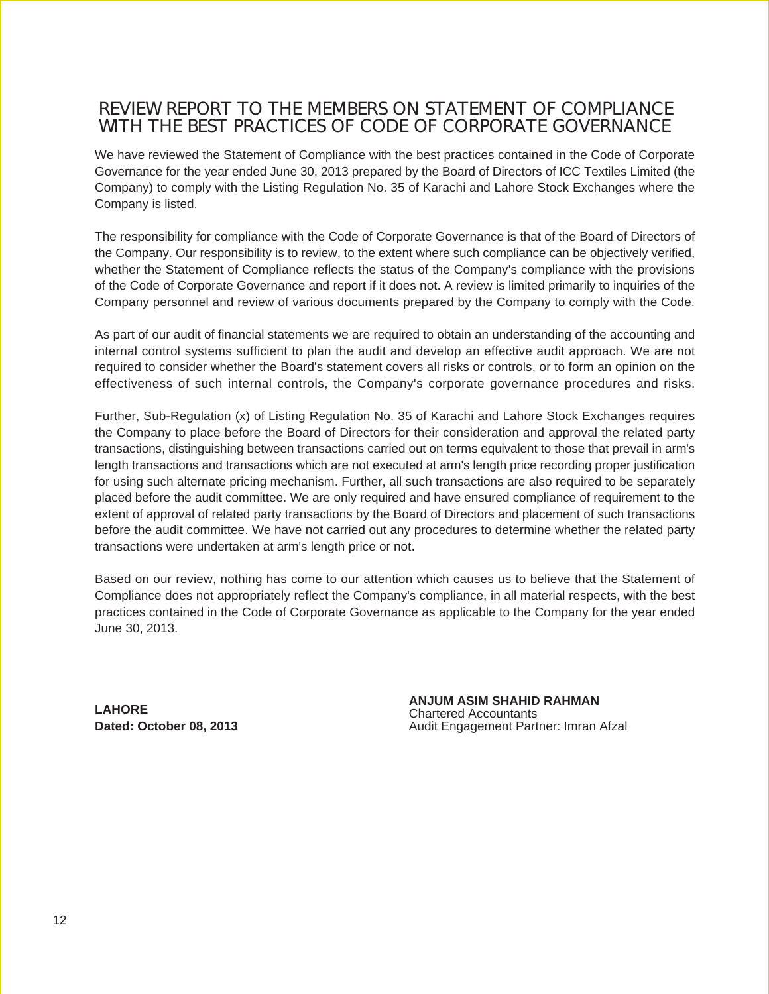### REVIEW REPORT TO THE MEMBERS ON STATEMENT OF COMPLIANCE WITH THE BEST PRACTICES OF CODE OF CORPORATE GOVERNANCE

We have reviewed the Statement of Compliance with the best practices contained in the Code of Corporate Governance for the year ended June 30, 2013 prepared by the Board of Directors of ICC Textiles Limited (the Company) to comply with the Listing Regulation No. 35 of Karachi and Lahore Stock Exchanges where the Company is listed.

The responsibility for compliance with the Code of Corporate Governance is that of the Board of Directors of the Company. Our responsibility is to review, to the extent where such compliance can be objectively verified, whether the Statement of Compliance reflects the status of the Company's compliance with the provisions of the Code of Corporate Governance and report if it does not. A review is limited primarily to inquiries of the Company personnel and review of various documents prepared by the Company to comply with the Code.

As part of our audit of financial statements we are required to obtain an understanding of the accounting and internal control systems sufficient to plan the audit and develop an effective audit approach. We are not required to consider whether the Board's statement covers all risks or controls, or to form an opinion on the effectiveness of such internal controls, the Company's corporate governance procedures and risks.

Further, Sub-Regulation (x) of Listing Regulation No. 35 of Karachi and Lahore Stock Exchanges requires the Company to place before the Board of Directors for their consideration and approval the related party transactions, distinguishing between transactions carried out on terms equivalent to those that prevail in arm's length transactions and transactions which are not executed at arm's length price recording proper justification for using such alternate pricing mechanism. Further, all such transactions are also required to be separately placed before the audit committee. We are only required and have ensured compliance of requirement to the extent of approval of related party transactions by the Board of Directors and placement of such transactions before the audit committee. We have not carried out any procedures to determine whether the related party transactions were undertaken at arm's length price or not.

Based on our review, nothing has come to our attention which causes us to believe that the Statement of Compliance does not appropriately reflect the Company's compliance, in all material respects, with the best practices contained in the Code of Corporate Governance as applicable to the Company for the year ended June 30, 2013.

**LAHORE Dated: October 08, 2013** **ANJUM ASIM SHAHID RAHMAN** Chartered Accountants Audit Engagement Partner: Imran Afzal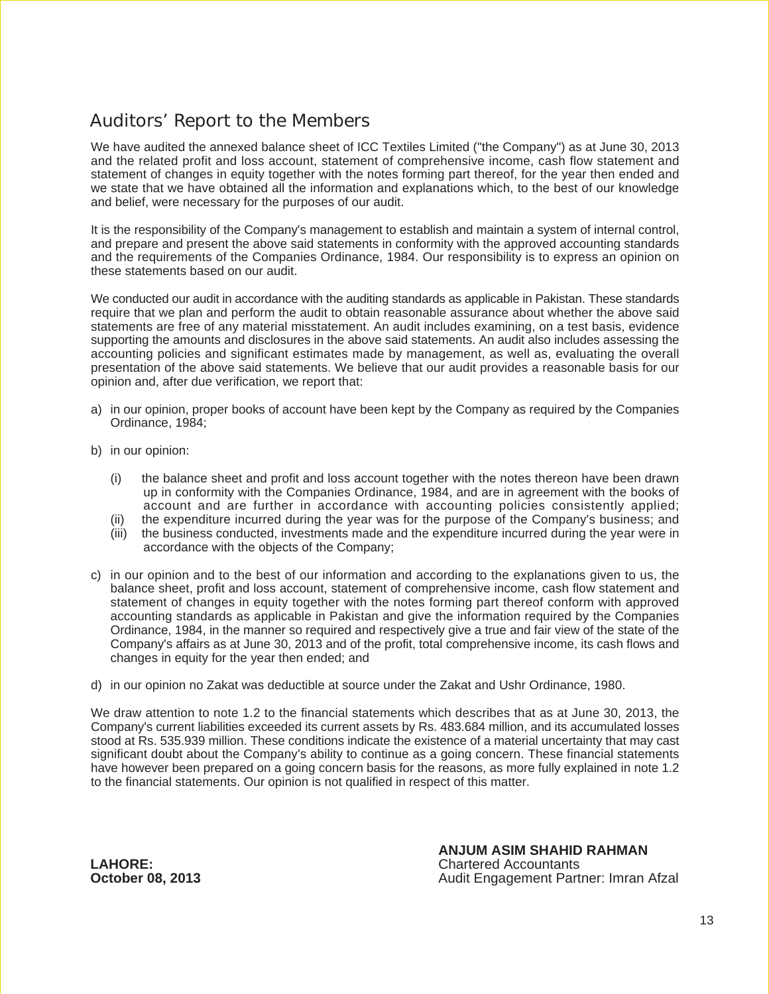### Auditors' Report to the Members

We have audited the annexed balance sheet of ICC Textiles Limited ("the Company") as at June 30, 2013 and the related profit and loss account, statement of comprehensive income, cash flow statement and statement of changes in equity together with the notes forming part thereof, for the year then ended and we state that we have obtained all the information and explanations which, to the best of our knowledge and belief, were necessary for the purposes of our audit.

It is the responsibility of the Company's management to establish and maintain a system of internal control, and prepare and present the above said statements in conformity with the approved accounting standards and the requirements of the Companies Ordinance, 1984. Our responsibility is to express an opinion on these statements based on our audit.

We conducted our audit in accordance with the auditing standards as applicable in Pakistan. These standards require that we plan and perform the audit to obtain reasonable assurance about whether the above said statements are free of any material misstatement. An audit includes examining, on a test basis, evidence supporting the amounts and disclosures in the above said statements. An audit also includes assessing the accounting policies and significant estimates made by management, as well as, evaluating the overall presentation of the above said statements. We believe that our audit provides a reasonable basis for our opinion and, after due verification, we report that:

- a) in our opinion, proper books of account have been kept by the Company as required by the Companies Ordinance, 1984;
- b) in our opinion:
	- (i) the balance sheet and profit and loss account together with the notes thereon have been drawn up in conformity with the Companies Ordinance, 1984, and are in agreement with the books of account and are further in accordance with accounting policies consistently applied;
	- the expenditure incurred during the year was for the purpose of the Company's business; and
	- (iii) the business conducted, investments made and the expenditure incurred during the year were in accordance with the objects of the Company;
- c) in our opinion and to the best of our information and according to the explanations given to us, the balance sheet, profit and loss account, statement of comprehensive income, cash flow statement and statement of changes in equity together with the notes forming part thereof conform with approved accounting standards as applicable in Pakistan and give the information required by the Companies Ordinance, 1984, in the manner so required and respectively give a true and fair view of the state of the Company's affairs as at June 30, 2013 and of the profit, total comprehensive income, its cash flows and changes in equity for the year then ended; and
- d) in our opinion no Zakat was deductible at source under the Zakat and Ushr Ordinance, 1980.

We draw attention to note 1.2 to the financial statements which describes that as at June 30, 2013, the Company's current liabilities exceeded its current assets by Rs. 483.684 million, and its accumulated losses stood at Rs. 535.939 million. These conditions indicate the existence of a material uncertainty that may cast significant doubt about the Company's ability to continue as a going concern. These financial statements have however been prepared on a going concern basis for the reasons, as more fully explained in note 1.2 to the financial statements. Our opinion is not qualified in respect of this matter.

**LAHORE: October 08, 2013**

**ANJUM ASIM SHAHID RAHMAN** Chartered Accountants Audit Engagement Partner: Imran Afzal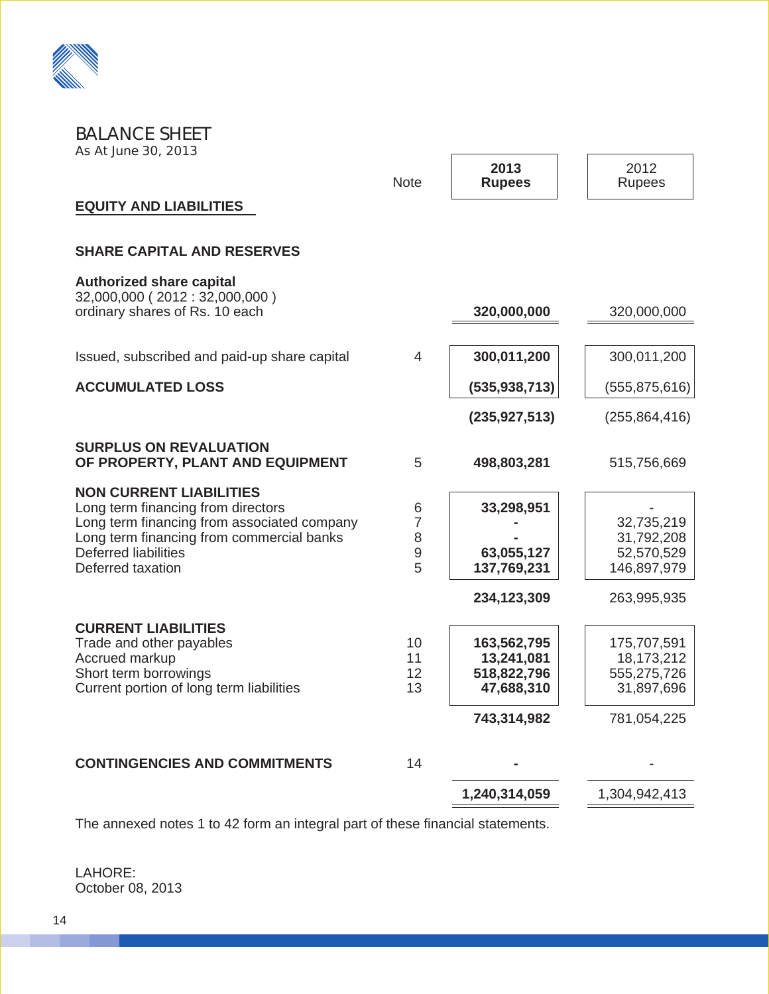

#### BALANCE SHEET As At June 30, 2013

| AS ALJUNE JU, LUIJ                                                                                                                                                                                            |                                             |                                                                       |                                                                       |
|---------------------------------------------------------------------------------------------------------------------------------------------------------------------------------------------------------------|---------------------------------------------|-----------------------------------------------------------------------|-----------------------------------------------------------------------|
|                                                                                                                                                                                                               | <b>Note</b>                                 | 2013<br><b>Rupees</b>                                                 | 2012<br><b>Rupees</b>                                                 |
| <b>EQUITY AND LIABILITIES</b>                                                                                                                                                                                 |                                             |                                                                       |                                                                       |
| <b>SHARE CAPITAL AND RESERVES</b>                                                                                                                                                                             |                                             |                                                                       |                                                                       |
| <b>Authorized share capital</b><br>32,000,000 (2012: 32,000,000)<br>ordinary shares of Rs. 10 each                                                                                                            |                                             | 320,000,000                                                           | 320,000,000                                                           |
| Issued, subscribed and paid-up share capital                                                                                                                                                                  | $\overline{4}$                              | 300,011,200                                                           | 300,011,200                                                           |
| <b>ACCUMULATED LOSS</b>                                                                                                                                                                                       |                                             | (535, 938, 713)                                                       | (555, 875, 616)                                                       |
|                                                                                                                                                                                                               |                                             | (235, 927, 513)                                                       | (255, 864, 416)                                                       |
| <b>SURPLUS ON REVALUATION</b><br>OF PROPERTY, PLANT AND EQUIPMENT                                                                                                                                             | 5                                           | 498,803,281                                                           | 515,756,669                                                           |
| <b>NON CURRENT LIABILITIES</b><br>Long term financing from directors<br>Long term financing from associated company<br>Long term financing from commercial banks<br>Deferred liabilities<br>Deferred taxation | 6<br>$\overline{7}$<br>8<br>$\hbox{9}$<br>5 | 33,298,951<br>63,055,127<br>137,769,231<br>234,123,309                | 32,735,219<br>31,792,208<br>52,570,529<br>146,897,979<br>263,995,935  |
| <b>CURRENT LIABILITIES</b><br>Trade and other payables<br><b>Accrued markup</b><br>Short term borrowings<br>Current portion of long term liabilities                                                          | 10<br>11<br>12<br>13                        | 163,562,795<br>13,241,081<br>518,822,796<br>47,688,310<br>743,314,982 | 175,707,591<br>18,173,212<br>555,275,726<br>31,897,696<br>781,054,225 |
| <b>CONTINGENCIES AND COMMITMENTS</b>                                                                                                                                                                          | 14                                          |                                                                       |                                                                       |
|                                                                                                                                                                                                               |                                             | 1,240,314,059                                                         | 1,304,942,413                                                         |

 $\sqrt{ }$ 

The annexed notes 1 to 42 form an integral part of these financial statements.

LAHORE: October 08, 2013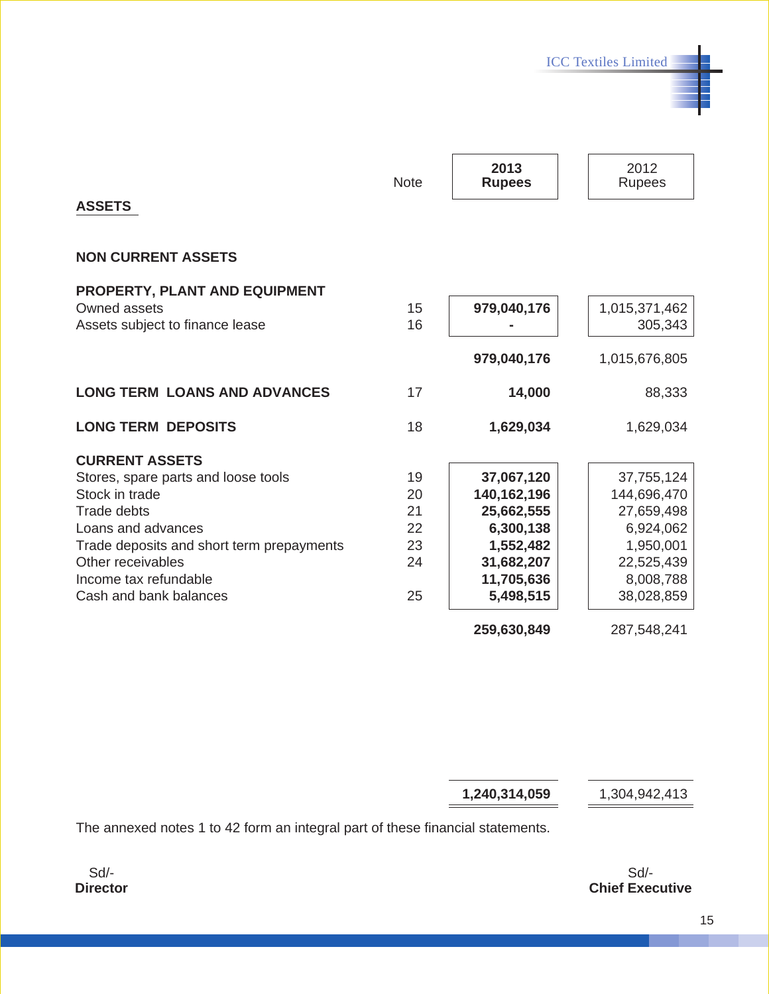ICC Textiles Limited

| <b>ASSETS</b>                             | <b>Note</b> | 2013<br><b>Rupees</b> | 2012<br><b>Rupees</b> |
|-------------------------------------------|-------------|-----------------------|-----------------------|
| <b>NON CURRENT ASSETS</b>                 |             |                       |                       |
| <b>PROPERTY, PLANT AND EQUIPMENT</b>      |             |                       |                       |
| Owned assets                              | 15          | 979,040,176           | 1,015,371,462         |
| Assets subject to finance lease           | 16          |                       | 305,343               |
|                                           |             | 979,040,176           | 1,015,676,805         |
| <b>LONG TERM LOANS AND ADVANCES</b>       | 17          | 14,000                | 88,333                |
| <b>LONG TERM DEPOSITS</b>                 | 18          | 1,629,034             | 1,629,034             |
| <b>CURRENT ASSETS</b>                     |             |                       |                       |
| Stores, spare parts and loose tools       | 19          | 37,067,120            | 37,755,124            |
| Stock in trade                            | 20          | 140,162,196           | 144,696,470           |
| <b>Trade debts</b>                        | 21          | 25,662,555            | 27,659,498            |
| Loans and advances                        | 22          | 6,300,138             | 6,924,062             |
| Trade deposits and short term prepayments | 23          | 1,552,482             | 1,950,001             |
| Other receivables                         | 24          | 31,682,207            | 22,525,439            |
| Income tax refundable                     |             | 11,705,636            | 8,008,788             |
| Cash and bank balances                    | 25          | 5,498,515             | 38,028,859            |
|                                           |             | 259,630,849           | 287,548,241           |

**1,240,314,059** 1,304,942,413

The annexed notes 1 to 42 form an integral part of these financial statements.

Sd/- **Director**

Sd/- **Chief Executive**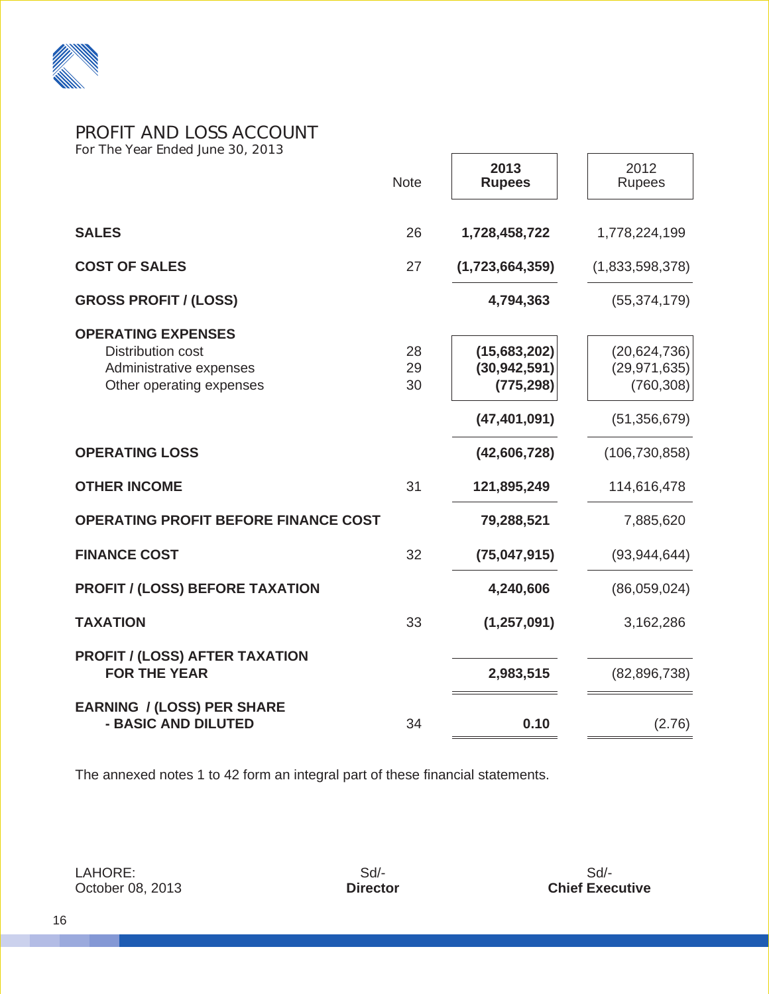

#### PROFIT AND LOSS ACCOUNT For The Year Ended June 30, 2013

|                                                                                                              | <b>Note</b>    | 2013<br><b>Rupees</b>                                          | 2012<br>Rupees                                                   |
|--------------------------------------------------------------------------------------------------------------|----------------|----------------------------------------------------------------|------------------------------------------------------------------|
| <b>SALES</b>                                                                                                 | 26             | 1,728,458,722                                                  | 1,778,224,199                                                    |
| <b>COST OF SALES</b>                                                                                         | 27             | (1,723,664,359)                                                | (1,833,598,378)                                                  |
| <b>GROSS PROFIT / (LOSS)</b>                                                                                 |                | 4,794,363                                                      | (55, 374, 179)                                                   |
| <b>OPERATING EXPENSES</b><br><b>Distribution cost</b><br>Administrative expenses<br>Other operating expenses | 28<br>29<br>30 | (15,683,202)<br>(30, 942, 591)<br>(775, 298)<br>(47, 401, 091) | (20, 624, 736)<br>(29, 971, 635)<br>(760, 308)<br>(51, 356, 679) |
| <b>OPERATING LOSS</b>                                                                                        |                | (42,606,728)                                                   | (106, 730, 858)                                                  |
| <b>OTHER INCOME</b>                                                                                          | 31             | 121,895,249                                                    | 114,616,478                                                      |
| <b>OPERATING PROFIT BEFORE FINANCE COST</b>                                                                  |                | 79,288,521                                                     | 7,885,620                                                        |
| <b>FINANCE COST</b>                                                                                          | 32             | (75,047,915)                                                   | (93, 944, 644)                                                   |
| <b>PROFIT / (LOSS) BEFORE TAXATION</b>                                                                       |                | 4,240,606                                                      | (86,059,024)                                                     |
| <b>TAXATION</b>                                                                                              | 33             | (1, 257, 091)                                                  | 3,162,286                                                        |
| <b>PROFIT / (LOSS) AFTER TAXATION</b><br><b>FOR THE YEAR</b>                                                 |                | 2,983,515                                                      | (82, 896, 738)                                                   |
| <b>EARNING / (LOSS) PER SHARE</b><br>- BASIC AND DILUTED                                                     | 34             | 0.10                                                           | (2.76)                                                           |

The annexed notes 1 to 42 form an integral part of these financial statements.

LAHORE: October 08, 2013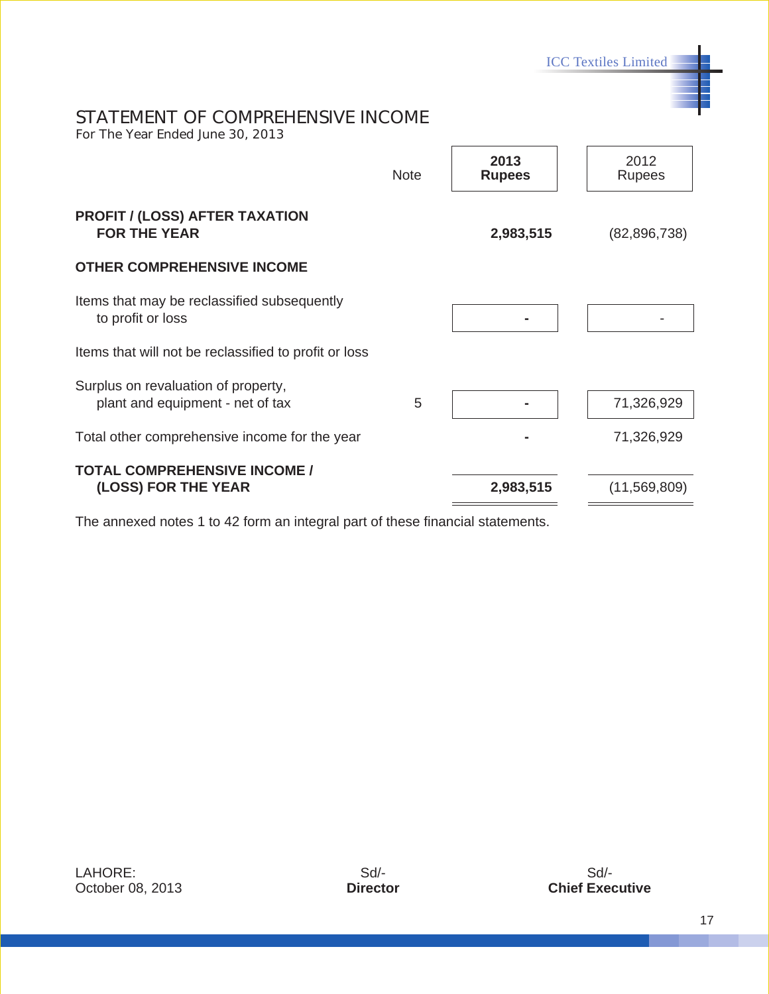ICC Textiles Limited

### STATEMENT OF COMPREHENSIVE INCOME

For The Year Ended June 30, 2013

|                                                                         | <b>Note</b> | 2013<br><b>Rupees</b> | 2012<br><b>Rupees</b> |
|-------------------------------------------------------------------------|-------------|-----------------------|-----------------------|
| <b>PROFIT / (LOSS) AFTER TAXATION</b><br><b>FOR THE YEAR</b>            |             | 2,983,515             | (82,896,738)          |
| <b>OTHER COMPREHENSIVE INCOME</b>                                       |             |                       |                       |
| Items that may be reclassified subsequently<br>to profit or loss        |             |                       |                       |
| Items that will not be reclassified to profit or loss                   |             |                       |                       |
| Surplus on revaluation of property,<br>plant and equipment - net of tax | 5           |                       | 71,326,929            |
| Total other comprehensive income for the year                           |             |                       | 71,326,929            |
| <b>TOTAL COMPREHENSIVE INCOME /</b><br>(LOSS) FOR THE YEAR              |             | 2,983,515             | (11,569,809)          |

 $\Gamma$ 

The annexed notes 1 to 42 form an integral part of these financial statements.

LAHORE: October 08, 2013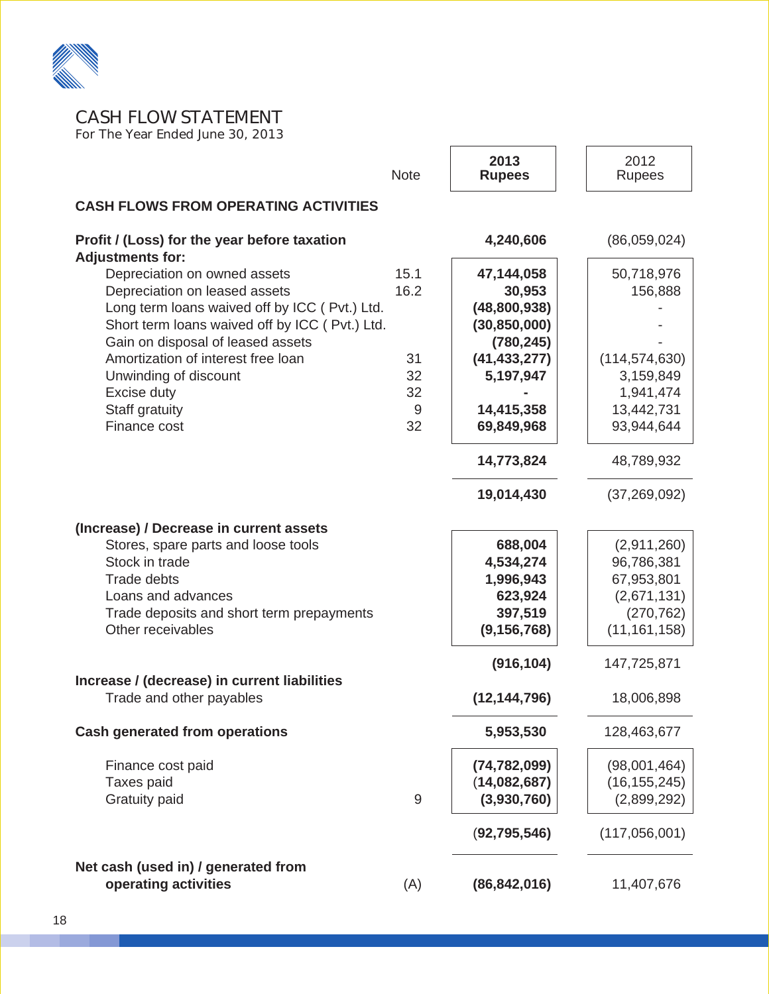

CASH FLOW STATEMENT

For The Year Ended June 30, 2013

|                                                                         | <b>Note</b> | 2013<br><b>Rupees</b> | 2012<br>Rupees  |
|-------------------------------------------------------------------------|-------------|-----------------------|-----------------|
| <b>CASH FLOWS FROM OPERATING ACTIVITIES</b>                             |             |                       |                 |
| Profit / (Loss) for the year before taxation<br><b>Adjustments for:</b> |             | 4,240,606             | (86,059,024)    |
| Depreciation on owned assets                                            | 15.1        | 47,144,058            | 50,718,976      |
| Depreciation on leased assets                                           | 16.2        | 30,953                | 156,888         |
| Long term loans waived off by ICC (Pvt.) Ltd.                           |             | (48, 800, 938)        |                 |
| Short term loans waived off by ICC (Pvt.) Ltd.                          |             | (30, 850, 000)        |                 |
| Gain on disposal of leased assets                                       |             | (780, 245)            |                 |
| Amortization of interest free loan                                      | 31          | (41, 433, 277)        | (114, 574, 630) |
| Unwinding of discount                                                   | 32          | 5,197,947             | 3,159,849       |
| Excise duty                                                             | 32          |                       | 1,941,474       |
| Staff gratuity                                                          | 9           | 14,415,358            | 13,442,731      |
| Finance cost                                                            | 32          | 69,849,968            | 93,944,644      |
|                                                                         |             | 14,773,824            | 48,789,932      |
|                                                                         |             | 19,014,430            | (37, 269, 092)  |
| (Increase) / Decrease in current assets                                 |             |                       |                 |
| Stores, spare parts and loose tools                                     |             | 688,004               | (2,911,260)     |
| Stock in trade                                                          |             | 4,534,274             | 96,786,381      |
| <b>Trade debts</b>                                                      |             | 1,996,943             | 67,953,801      |
| Loans and advances                                                      |             | 623,924               | (2,671,131)     |
| Trade deposits and short term prepayments                               |             | 397,519               | (270, 762)      |
| Other receivables                                                       |             | (9, 156, 768)         | (11, 161, 158)  |
| Increase / (decrease) in current liabilities                            |             | (916, 104)            | 147,725,871     |
| Trade and other payables                                                |             | (12, 144, 796)        | 18,006,898      |
| <b>Cash generated from operations</b>                                   |             | 5,953,530             | 128,463,677     |
| Finance cost paid                                                       |             | (74, 782, 099)        | (98,001,464)    |
| Taxes paid                                                              |             | (14,082,687)          | (16, 155, 245)  |
| <b>Gratuity paid</b>                                                    | 9           | (3,930,760)           | (2,899,292)     |
|                                                                         |             | (92, 795, 546)        | (117,056,001)   |
| Net cash (used in) / generated from                                     |             |                       |                 |
| operating activities                                                    | (A)         | (86, 842, 016)        | 11,407,676      |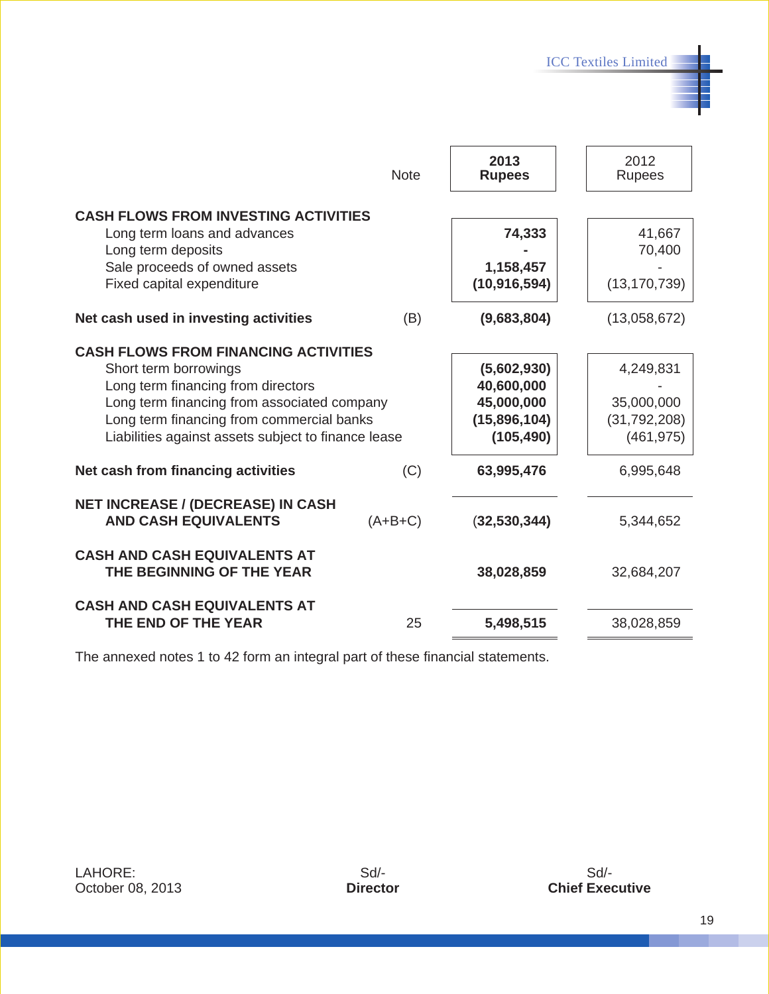ICC Textiles Limited

٣Ŀ

|                                                                                                                                                                                                                                                               | <b>Note</b> | 2013<br><b>Rupees</b>                                                 | 2012<br><b>Rupees</b>                                   |
|---------------------------------------------------------------------------------------------------------------------------------------------------------------------------------------------------------------------------------------------------------------|-------------|-----------------------------------------------------------------------|---------------------------------------------------------|
| <b>CASH FLOWS FROM INVESTING ACTIVITIES</b><br>Long term loans and advances<br>Long term deposits<br>Sale proceeds of owned assets<br>Fixed capital expenditure                                                                                               |             | 74,333<br>1,158,457<br>(10, 916, 594)                                 | 41,667<br>70,400<br>(13, 170, 739)                      |
| Net cash used in investing activities                                                                                                                                                                                                                         | (B)         | (9,683,804)                                                           | (13,058,672)                                            |
| <b>CASH FLOWS FROM FINANCING ACTIVITIES</b><br>Short term borrowings<br>Long term financing from directors<br>Long term financing from associated company<br>Long term financing from commercial banks<br>Liabilities against assets subject to finance lease |             | (5,602,930)<br>40,600,000<br>45,000,000<br>(15,896,104)<br>(105, 490) | 4,249,831<br>35,000,000<br>(31, 792, 208)<br>(461, 975) |
| Net cash from financing activities                                                                                                                                                                                                                            | (C)         | 63,995,476                                                            | 6,995,648                                               |
| <b>NET INCREASE / (DECREASE) IN CASH</b><br><b>AND CASH EQUIVALENTS</b>                                                                                                                                                                                       | $(A+B+C)$   | (32, 530, 344)                                                        | 5,344,652                                               |
| <b>CASH AND CASH EQUIVALENTS AT</b><br>THE BEGINNING OF THE YEAR                                                                                                                                                                                              |             | 38,028,859                                                            | 32,684,207                                              |
| <b>CASH AND CASH EQUIVALENTS AT</b><br>THE END OF THE YEAR                                                                                                                                                                                                    | 25          | 5,498,515                                                             | 38,028,859                                              |

The annexed notes 1 to 42 form an integral part of these financial statements.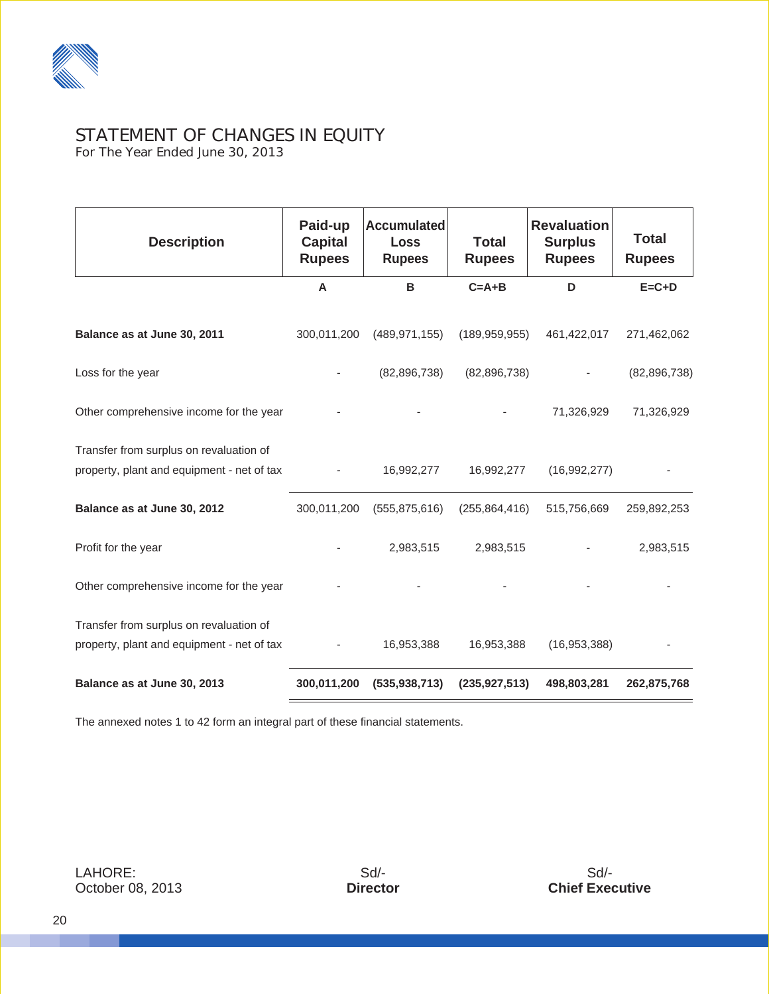

# STATEMENT OF CHANGES IN EQUITY

For The Year Ended June 30, 2013

| <b>Description</b>                         | Paid-up<br><b>Capital</b><br><b>Rupees</b> | <b>Accumulated</b><br><b>Loss</b><br><b>Rupees</b> | <b>Total</b><br><b>Rupees</b> | <b>Revaluation</b><br><b>Surplus</b><br><b>Rupees</b> | <b>Total</b><br><b>Rupees</b> |
|--------------------------------------------|--------------------------------------------|----------------------------------------------------|-------------------------------|-------------------------------------------------------|-------------------------------|
|                                            | A                                          | В                                                  | $C = A + B$                   | D                                                     | $E = C + D$                   |
| Balance as at June 30, 2011                | 300,011,200                                | (489, 971, 155)                                    | (189, 959, 955)               | 461,422,017                                           | 271,462,062                   |
| Loss for the year                          |                                            | (82, 896, 738)                                     | (82, 896, 738)                |                                                       | (82, 896, 738)                |
| Other comprehensive income for the year    |                                            |                                                    |                               | 71,326,929                                            | 71,326,929                    |
| Transfer from surplus on revaluation of    |                                            |                                                    |                               |                                                       |                               |
| property, plant and equipment - net of tax |                                            | 16,992,277                                         | 16,992,277                    | (16,992,277)                                          |                               |
| Balance as at June 30, 2012                | 300,011,200                                | (555, 875, 616)                                    | (255, 864, 416)               | 515,756,669                                           | 259,892,253                   |
| Profit for the year                        |                                            | 2,983,515                                          | 2,983,515                     |                                                       | 2,983,515                     |
| Other comprehensive income for the year    |                                            |                                                    |                               |                                                       |                               |
| Transfer from surplus on revaluation of    |                                            |                                                    |                               |                                                       |                               |
| property, plant and equipment - net of tax |                                            | 16,953,388                                         | 16,953,388                    | (16,953,388)                                          |                               |
| Balance as at June 30, 2013                | 300,011,200                                | (535, 938, 713)                                    | (235, 927, 513)               | 498,803,281                                           | 262,875,768                   |

The annexed notes 1 to 42 form an integral part of these financial statements.

LAHORE: October 08, 2013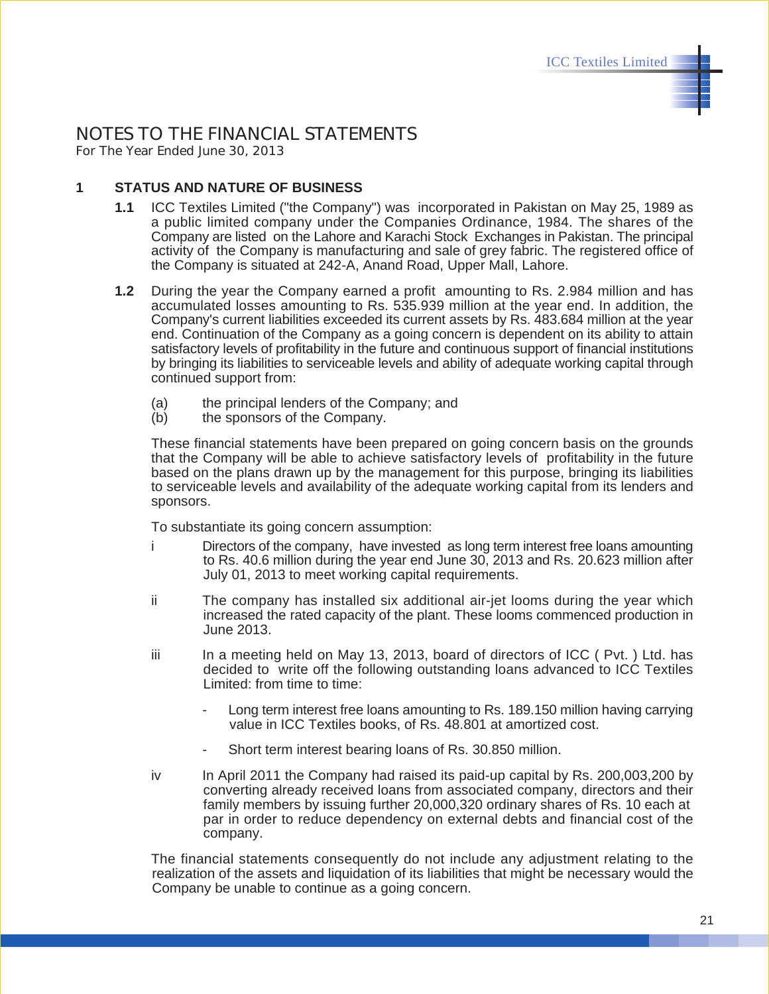#### NOTES TO THE FINANCIAL STATEMENTS For The Year Ended June 30, 2013

**1 STATUS AND NATURE OF BUSINESS**

- **1.1** ICC Textiles Limited ("the Company") was incorporated in Pakistan on May 25, 1989 as a public limited company under the Companies Ordinance, 1984. The shares of the Company are listed on the Lahore and Karachi Stock Exchanges in Pakistan. The principal activity of the Company is manufacturing and sale of grey fabric. The registered office of the Company is situated at 242-A, Anand Road, Upper Mall, Lahore.
- **1.2** During the year the Company earned a profit amounting to Rs. 2.984 million and has accumulated losses amounting to Rs. 535.939 million at the year end. In addition, the Company's current liabilities exceeded its current assets by Rs. 483.684 million at the year end. Continuation of the Company as a going concern is dependent on its ability to attain satisfactory levels of profitability in the future and continuous support of financial institutions by bringing its liabilities to serviceable levels and ability of adequate working capital through continued support from:
	- (a) the principal lenders of the Company; and
	- (b) the sponsors of the Company.

These financial statements have been prepared on going concern basis on the grounds that the Company will be able to achieve satisfactory levels of profitability in the future based on the plans drawn up by the management for this purpose, bringing its liabilities to serviceable levels and availability of the adequate working capital from its lenders and sponsors.

To substantiate its going concern assumption:

- i Directors of the company, have invested as long term interest free loans amounting to Rs. 40.6 million during the year end June 30, 2013 and Rs. 20.623 million after July 01, 2013 to meet working capital requirements.
- ii The company has installed six additional air-jet looms during the year which increased the rated capacity of the plant. These looms commenced production in June 2013.
- iii In a meeting held on May 13, 2013, board of directors of ICC ( Pvt. ) Ltd. has decided to write off the following outstanding loans advanced to ICC Textiles Limited: from time to time:
	- Long term interest free loans amounting to Rs. 189.150 million having carrying value in ICC Textiles books, of Rs. 48.801 at amortized cost.
	- Short term interest bearing loans of Rs. 30.850 million.
- iv In April 2011 the Company had raised its paid-up capital by Rs. 200,003,200 by converting already received loans from associated company, directors and their family members by issuing further 20,000,320 ordinary shares of Rs. 10 each at par in order to reduce dependency on external debts and financial cost of the company.

The financial statements consequently do not include any adjustment relating to the realization of the assets and liquidation of its liabilities that might be necessary would the Company be unable to continue as a going concern.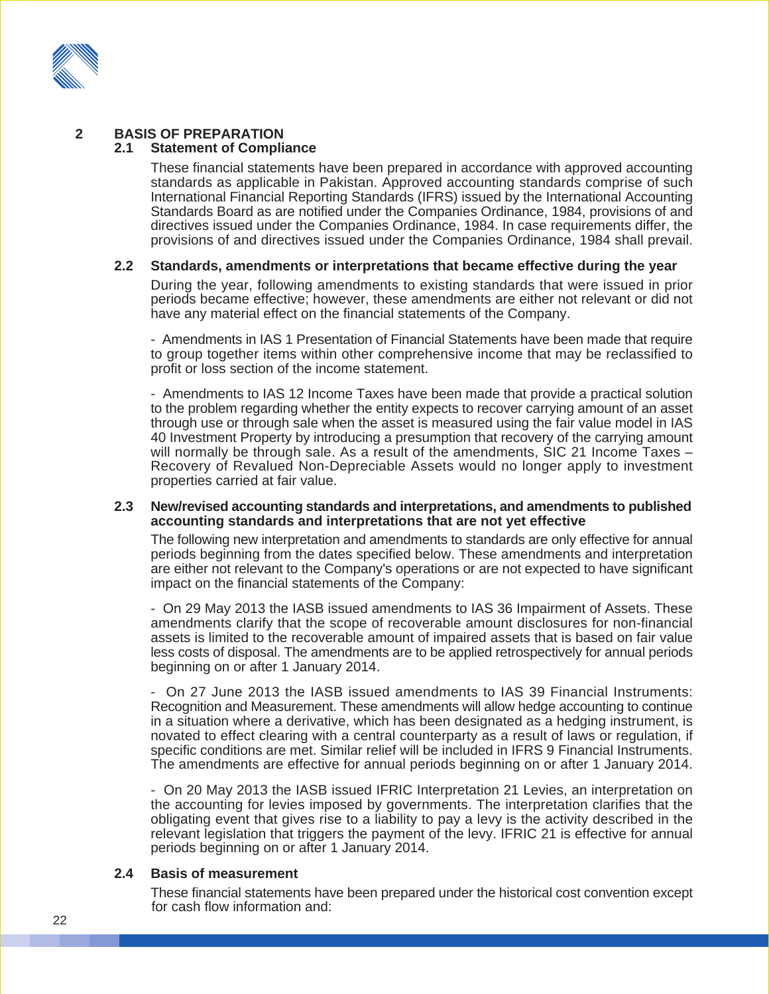

#### **2 BASIS OF PREPARATION**

#### **2.1 Statement of Compliance**

These financial statements have been prepared in accordance with approved accounting standards as applicable in Pakistan. Approved accounting standards comprise of such International Financial Reporting Standards (IFRS) issued by the International Accounting Standards Board as are notified under the Companies Ordinance, 1984, provisions of and directives issued under the Companies Ordinance, 1984. In case requirements differ, the provisions of and directives issued under the Companies Ordinance, 1984 shall prevail.

#### **2.2 Standards, amendments or interpretations that became effective during the year**

During the year, following amendments to existing standards that were issued in prior periods became effective; however, these amendments are either not relevant or did not have any material effect on the financial statements of the Company.

- Amendments in IAS 1 Presentation of Financial Statements have been made that require to group together items within other comprehensive income that may be reclassified to profit or loss section of the income statement.

- Amendments to IAS 12 Income Taxes have been made that provide a practical solution to the problem regarding whether the entity expects to recover carrying amount of an asset through use or through sale when the asset is measured using the fair value model in IAS 40 Investment Property by introducing a presumption that recovery of the carrying amount will normally be through sale. As a result of the amendments, SIC 21 Income Taxes – Recovery of Revalued Non-Depreciable Assets would no longer apply to investment properties carried at fair value.

#### **2.3 New/revised accounting standards and interpretations, and amendments to published accounting standards and interpretations that are not yet effective**

The following new interpretation and amendments to standards are only effective for annual periods beginning from the dates specified below. These amendments and interpretation are either not relevant to the Company's operations or are not expected to have significant impact on the financial statements of the Company:

- On 29 May 2013 the IASB issued amendments to IAS 36 Impairment of Assets. These amendments clarify that the scope of recoverable amount disclosures for non-financial assets is limited to the recoverable amount of impaired assets that is based on fair value less costs of disposal. The amendments are to be applied retrospectively for annual periods beginning on or after 1 January 2014.

- On 27 June 2013 the IASB issued amendments to IAS 39 Financial Instruments: Recognition and Measurement. These amendments will allow hedge accounting to continue in a situation where a derivative, which has been designated as a hedging instrument, is novated to effect clearing with a central counterparty as a result of laws or regulation, if specific conditions are met. Similar relief will be included in IFRS 9 Financial Instruments. The amendments are effective for annual periods beginning on or after 1 January 2014.

- On 20 May 2013 the IASB issued IFRIC Interpretation 21 Levies, an interpretation on the accounting for levies imposed by governments. The interpretation clarifies that the obligating event that gives rise to a liability to pay a levy is the activity described in the relevant legislation that triggers the payment of the levy. IFRIC 21 is effective for annual periods beginning on or after 1 January 2014.

#### **2.4 Basis of measurement**

These financial statements have been prepared under the historical cost convention except for cash flow information and: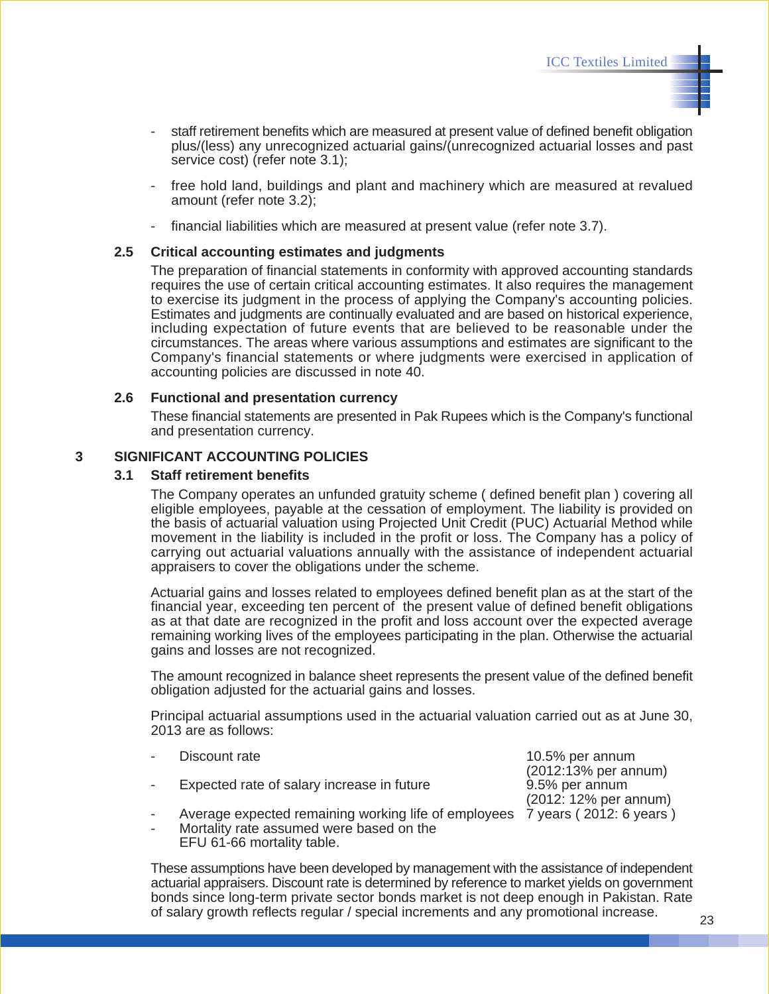- staff retirement benefits which are measured at present value of defined benefit obligation plus/(less) any unrecognized actuarial gains/(unrecognized actuarial losses and past service cost) (refer note 3.1);
- free hold land, buildings and plant and machinery which are measured at revalued amount (refer note 3.2);
- financial liabilities which are measured at present value (refer note 3.7).

#### **2.5 Critical accounting estimates and judgments**

The preparation of financial statements in conformity with approved accounting standards requires the use of certain critical accounting estimates. It also requires the management to exercise its judgment in the process of applying the Company's accounting policies. Estimates and judgments are continually evaluated and are based on historical experience, including expectation of future events that are believed to be reasonable under the circumstances. The areas where various assumptions and estimates are significant to the Company's financial statements or where judgments were exercised in application of accounting policies are discussed in note 40.

#### **2.6 Functional and presentation currency**

These financial statements are presented in Pak Rupees which is the Company's functional and presentation currency.

#### **3 SIGNIFICANT ACCOUNTING POLICIES**

#### **3.1 Staff retirement benefits**

The Company operates an unfunded gratuity scheme ( defined benefit plan ) covering all eligible employees, payable at the cessation of employment. The liability is provided on the basis of actuarial valuation using Projected Unit Credit (PUC) Actuarial Method while movement in the liability is included in the profit or loss. The Company has a policy of carrying out actuarial valuations annually with the assistance of independent actuarial appraisers to cover the obligations under the scheme.

Actuarial gains and losses related to employees defined benefit plan as at the start of the financial year, exceeding ten percent of the present value of defined benefit obligations as at that date are recognized in the profit and loss account over the expected average remaining working lives of the employees participating in the plan. Otherwise the actuarial gains and losses are not recognized.

The amount recognized in balance sheet represents the present value of the defined benefit obligation adjusted for the actuarial gains and losses.

Principal actuarial assumptions used in the actuarial valuation carried out as at June 30, 2013 are as follows:

- 
- Expected rate of salary increase in future 9.5% per annum
- Average expected remaining working life of employees 7 years (2012: 6 years) Mortality rate assumed were based on the

EFU 61-66 mortality table.

These assumptions have been developed by management with the assistance of independent actuarial appraisers. Discount rate is determined by reference to market yields on government bonds since long-term private sector bonds market is not deep enough in Pakistan. Rate of salary growth reflects regular / special increments and any promotional increase.

Discount rate  $10.5\%$  per annum (2012:13% per annum) (2012: 12% per annum)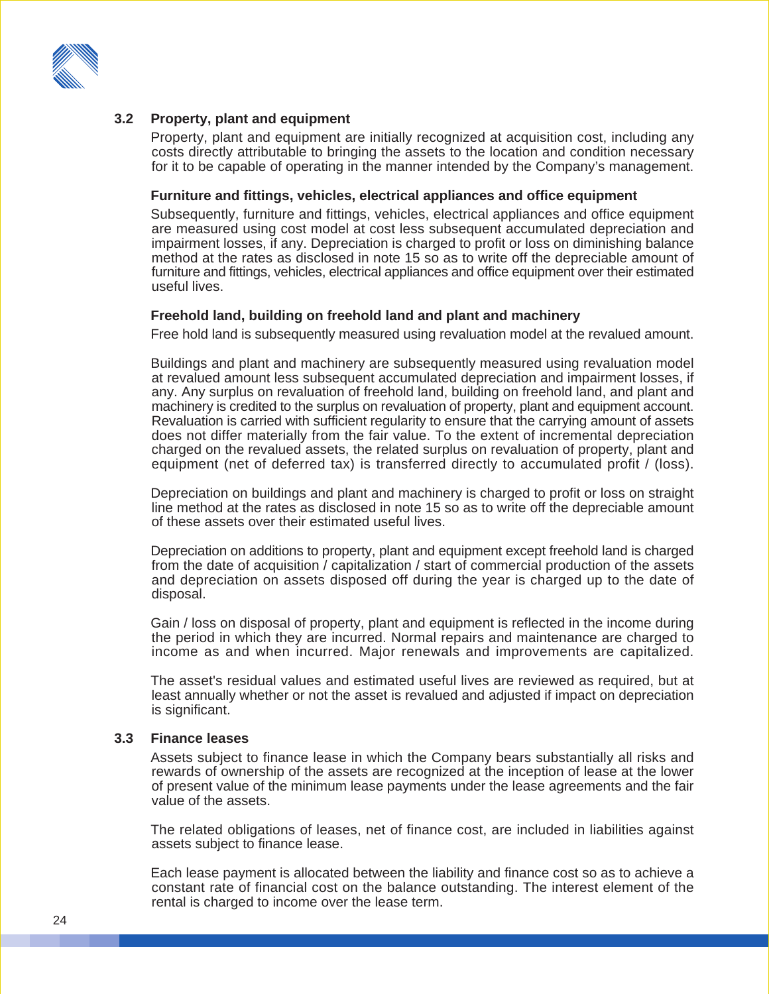

#### **3.2 Property, plant and equipment**

Property, plant and equipment are initially recognized at acquisition cost, including any costs directly attributable to bringing the assets to the location and condition necessary for it to be capable of operating in the manner intended by the Company's management.

#### **Furniture and fittings, vehicles, electrical appliances and office equipment**

Subsequently, furniture and fittings, vehicles, electrical appliances and office equipment are measured using cost model at cost less subsequent accumulated depreciation and impairment losses, if any. Depreciation is charged to profit or loss on diminishing balance method at the rates as disclosed in note 15 so as to write off the depreciable amount of furniture and fittings, vehicles, electrical appliances and office equipment over their estimated useful lives.

#### **Freehold land, building on freehold land and plant and machinery**

Free hold land is subsequently measured using revaluation model at the revalued amount.

Buildings and plant and machinery are subsequently measured using revaluation model at revalued amount less subsequent accumulated depreciation and impairment losses, if any. Any surplus on revaluation of freehold land, building on freehold land, and plant and machinery is credited to the surplus on revaluation of property, plant and equipment account. Revaluation is carried with sufficient regularity to ensure that the carrying amount of assets does not differ materially from the fair value. To the extent of incremental depreciation charged on the revalued assets, the related surplus on revaluation of property, plant and equipment (net of deferred tax) is transferred directly to accumulated profit / (loss).

Depreciation on buildings and plant and machinery is charged to profit or loss on straight line method at the rates as disclosed in note 15 so as to write off the depreciable amount of these assets over their estimated useful lives.

Depreciation on additions to property, plant and equipment except freehold land is charged from the date of acquisition / capitalization / start of commercial production of the assets and depreciation on assets disposed off during the year is charged up to the date of disposal.

Gain / loss on disposal of property, plant and equipment is reflected in the income during the period in which they are incurred. Normal repairs and maintenance are charged to income as and when incurred. Major renewals and improvements are capitalized.

The asset's residual values and estimated useful lives are reviewed as required, but at least annually whether or not the asset is revalued and adjusted if impact on depreciation is significant.

#### **3.3 Finance leases**

Assets subject to finance lease in which the Company bears substantially all risks and rewards of ownership of the assets are recognized at the inception of lease at the lower of present value of the minimum lease payments under the lease agreements and the fair value of the assets.

The related obligations of leases, net of finance cost, are included in liabilities against assets subject to finance lease.

Each lease payment is allocated between the liability and finance cost so as to achieve a constant rate of financial cost on the balance outstanding. The interest element of the rental is charged to income over the lease term.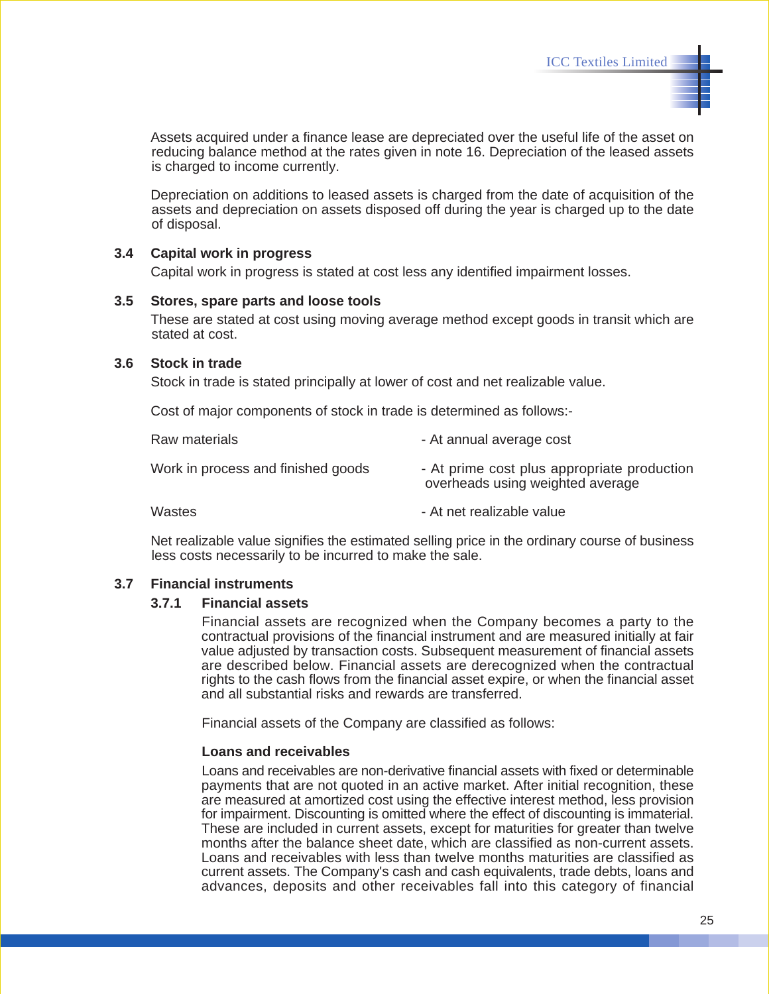Assets acquired under a finance lease are depreciated over the useful life of the asset on reducing balance method at the rates given in note 16. Depreciation of the leased assets is charged to income currently.

Depreciation on additions to leased assets is charged from the date of acquisition of the assets and depreciation on assets disposed off during the year is charged up to the date of disposal.

#### **3.4 Capital work in progress**

Capital work in progress is stated at cost less any identified impairment losses.

#### **3.5 Stores, spare parts and loose tools**

These are stated at cost using moving average method except goods in transit which are stated at cost.

#### **3.6 Stock in trade**

Stock in trade is stated principally at lower of cost and net realizable value.

Cost of major components of stock in trade is determined as follows:-

| Raw materials                      | - At annual average cost                                                        |
|------------------------------------|---------------------------------------------------------------------------------|
| Work in process and finished goods | - At prime cost plus appropriate production<br>overheads using weighted average |
| Wastes                             | - At net realizable value                                                       |

Net realizable value signifies the estimated selling price in the ordinary course of business less costs necessarily to be incurred to make the sale.

#### **3.7 Financial instruments**

#### **3.7.1 Financial assets**

Financial assets are recognized when the Company becomes a party to the contractual provisions of the financial instrument and are measured initially at fair value adjusted by transaction costs. Subsequent measurement of financial assets are described below. Financial assets are derecognized when the contractual rights to the cash flows from the financial asset expire, or when the financial asset and all substantial risks and rewards are transferred.

Financial assets of the Company are classified as follows:

#### **Loans and receivables**

Loans and receivables are non-derivative financial assets with fixed or determinable payments that are not quoted in an active market. After initial recognition, these are measured at amortized cost using the effective interest method, less provision for impairment. Discounting is omitted where the effect of discounting is immaterial. These are included in current assets, except for maturities for greater than twelve months after the balance sheet date, which are classified as non-current assets. Loans and receivables with less than twelve months maturities are classified as current assets. The Company's cash and cash equivalents, trade debts, loans and advances, deposits and other receivables fall into this category of financial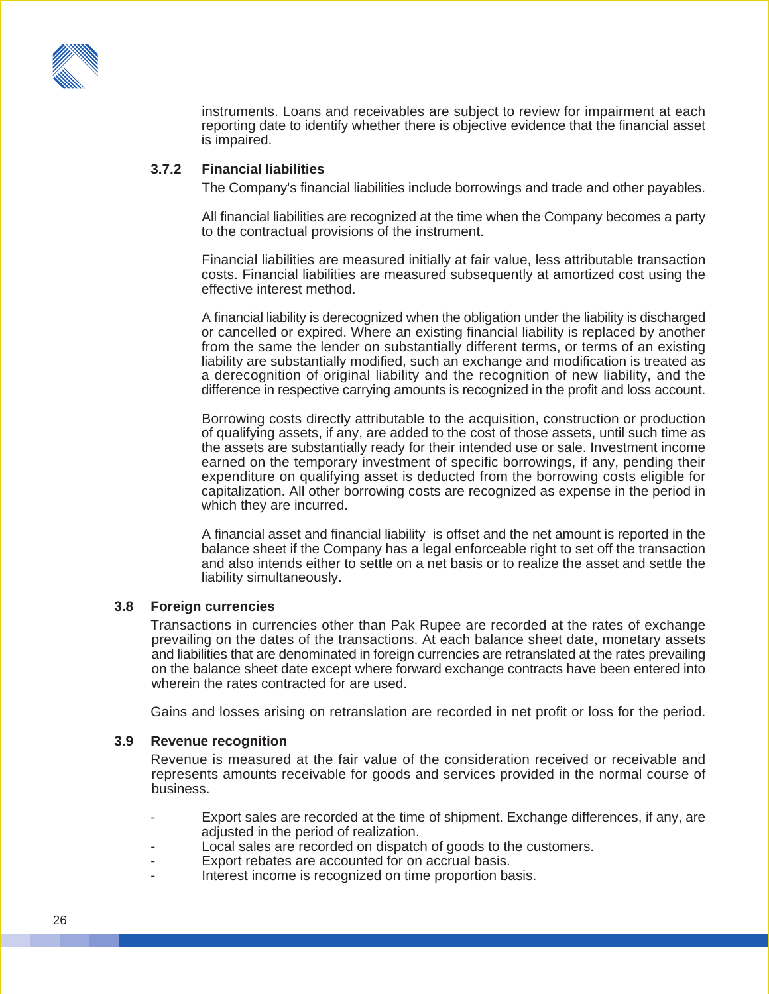

instruments. Loans and receivables are subject to review for impairment at each reporting date to identify whether there is objective evidence that the financial asset is impaired.

#### **3.7.2 Financial liabilities**

The Company's financial liabilities include borrowings and trade and other payables.

All financial liabilities are recognized at the time when the Company becomes a party to the contractual provisions of the instrument.

Financial liabilities are measured initially at fair value, less attributable transaction costs. Financial liabilities are measured subsequently at amortized cost using the effective interest method.

A financial liability is derecognized when the obligation under the liability is discharged or cancelled or expired. Where an existing financial liability is replaced by another from the same the lender on substantially different terms, or terms of an existing liability are substantially modified, such an exchange and modification is treated as a derecognition of original liability and the recognition of new liability, and the difference in respective carrying amounts is recognized in the profit and loss account.

Borrowing costs directly attributable to the acquisition, construction or production of qualifying assets, if any, are added to the cost of those assets, until such time as the assets are substantially ready for their intended use or sale. Investment income earned on the temporary investment of specific borrowings, if any, pending their expenditure on qualifying asset is deducted from the borrowing costs eligible for capitalization. All other borrowing costs are recognized as expense in the period in which they are incurred.

A financial asset and financial liability is offset and the net amount is reported in the balance sheet if the Company has a legal enforceable right to set off the transaction and also intends either to settle on a net basis or to realize the asset and settle the liability simultaneously.

#### **3.8 Foreign currencies**

Transactions in currencies other than Pak Rupee are recorded at the rates of exchange prevailing on the dates of the transactions. At each balance sheet date, monetary assets and liabilities that are denominated in foreign currencies are retranslated at the rates prevailing on the balance sheet date except where forward exchange contracts have been entered into wherein the rates contracted for are used.

Gains and losses arising on retranslation are recorded in net profit or loss for the period.

#### **3.9 Revenue recognition**

Revenue is measured at the fair value of the consideration received or receivable and represents amounts receivable for goods and services provided in the normal course of business.

- Export sales are recorded at the time of shipment. Exchange differences, if any, are adjusted in the period of realization.
- Local sales are recorded on dispatch of goods to the customers.
- Export rebates are accounted for on accrual basis.
- Interest income is recognized on time proportion basis.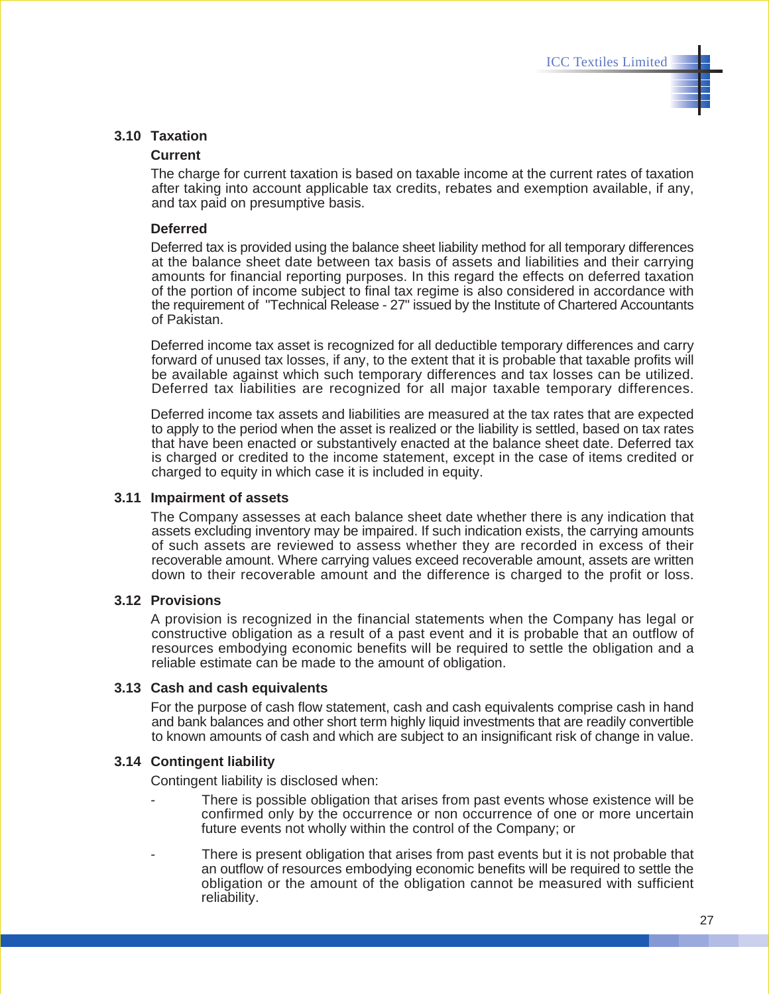#### **3.10 Taxation**

#### **Current**

The charge for current taxation is based on taxable income at the current rates of taxation after taking into account applicable tax credits, rebates and exemption available, if any, and tax paid on presumptive basis.

#### **Deferred**

Deferred tax is provided using the balance sheet liability method for all temporary differences at the balance sheet date between tax basis of assets and liabilities and their carrying amounts for financial reporting purposes. In this regard the effects on deferred taxation of the portion of income subject to final tax regime is also considered in accordance with the requirement of "Technical Release - 27" issued by the Institute of Chartered Accountants of Pakistan.

Deferred income tax asset is recognized for all deductible temporary differences and carry forward of unused tax losses, if any, to the extent that it is probable that taxable profits will be available against which such temporary differences and tax losses can be utilized. Deferred tax liabilities are recognized for all major taxable temporary differences.

Deferred income tax assets and liabilities are measured at the tax rates that are expected to apply to the period when the asset is realized or the liability is settled, based on tax rates that have been enacted or substantively enacted at the balance sheet date. Deferred tax is charged or credited to the income statement, except in the case of items credited or charged to equity in which case it is included in equity.

#### **3.11 Impairment of assets**

The Company assesses at each balance sheet date whether there is any indication that assets excluding inventory may be impaired. If such indication exists, the carrying amounts of such assets are reviewed to assess whether they are recorded in excess of their recoverable amount. Where carrying values exceed recoverable amount, assets are written down to their recoverable amount and the difference is charged to the profit or loss.

#### **3.12 Provisions**

A provision is recognized in the financial statements when the Company has legal or constructive obligation as a result of a past event and it is probable that an outflow of resources embodying economic benefits will be required to settle the obligation and a reliable estimate can be made to the amount of obligation.

#### **3.13 Cash and cash equivalents**

For the purpose of cash flow statement, cash and cash equivalents comprise cash in hand and bank balances and other short term highly liquid investments that are readily convertible to known amounts of cash and which are subject to an insignificant risk of change in value.

#### **3.14 Contingent liability**

Contingent liability is disclosed when:

- There is possible obligation that arises from past events whose existence will be confirmed only by the occurrence or non occurrence of one or more uncertain future events not wholly within the control of the Company; or
- There is present obligation that arises from past events but it is not probable that an outflow of resources embodying economic benefits will be required to settle the obligation or the amount of the obligation cannot be measured with sufficient reliability.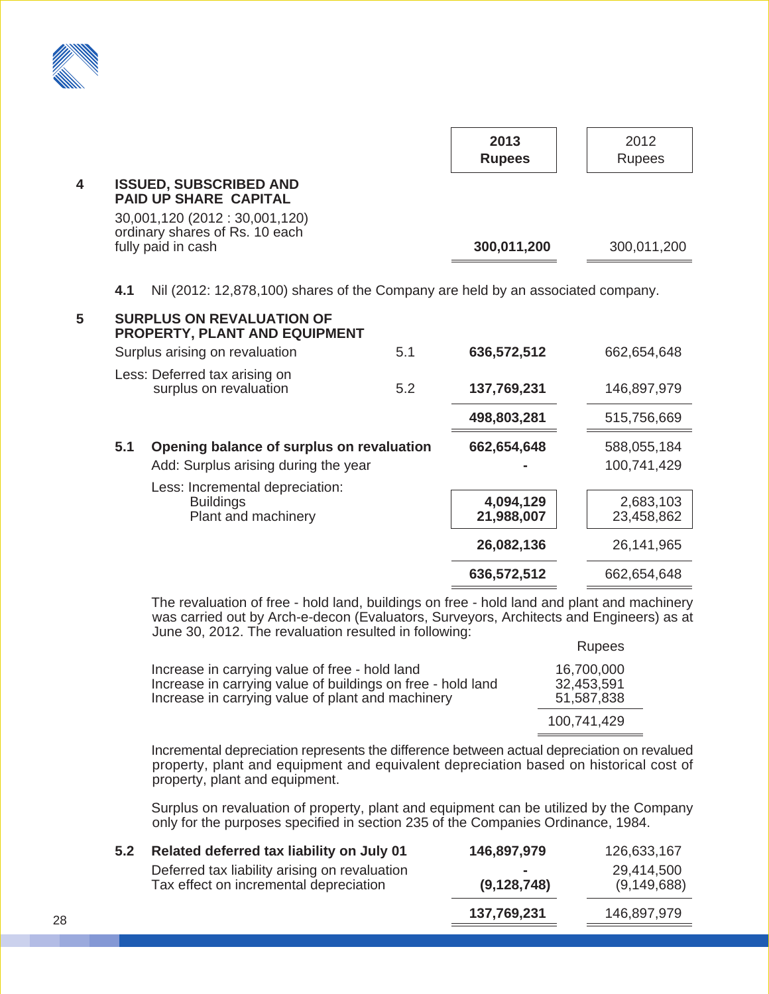

|   |                                                                                                                                   |     | 2013<br><b>Rupees</b> | 2012<br><b>Rupees</b> |
|---|-----------------------------------------------------------------------------------------------------------------------------------|-----|-----------------------|-----------------------|
| 4 | <b>ISSUED, SUBSCRIBED AND</b><br><b>PAID UP SHARE CAPITAL</b><br>30,001,120 (2012 : 30,001,120)<br>ordinary shares of Rs. 10 each |     |                       |                       |
|   | fully paid in cash                                                                                                                |     | 300,011,200           | 300,011,200           |
| 5 | Nil (2012: 12,878,100) shares of the Company are held by an associated company.<br>4.1<br><b>SURPLUS ON REVALUATION OF</b>        |     |                       |                       |
|   | <b>PROPERTY, PLANT AND EQUIPMENT</b>                                                                                              |     |                       |                       |
|   | Surplus arising on revaluation                                                                                                    | 5.1 | 636,572,512           | 662,654,648           |
|   | Less: Deferred tax arising on<br>surplus on revaluation                                                                           | 5.2 | 137.769.231           | 146.897.979           |

|     |                                                                            | 498,803,281             | 515,756,669             |
|-----|----------------------------------------------------------------------------|-------------------------|-------------------------|
| 5.1 | Opening balance of surplus on revaluation                                  | 662,654,648             | 588,055,184             |
|     | Add: Surplus arising during the year                                       |                         | 100,741,429             |
|     | Less: Incremental depreciation:<br><b>Buildings</b><br>Plant and machinery | 4,094,129<br>21,988,007 | 2,683,103<br>23,458,862 |
|     |                                                                            | 26,082,136              | 26,141,965              |
|     |                                                                            | 636,572,512             | 662,654,648             |
|     |                                                                            |                         |                         |

The revaluation of free - hold land, buildings on free - hold land and plant and machinery was carried out by Arch-e-decon (Evaluators, Surveyors, Architects and Engineers) as at June 30, 2012. The revaluation resulted in following:

|                                                                                                                                                                    | <b>Rupees</b>                          |
|--------------------------------------------------------------------------------------------------------------------------------------------------------------------|----------------------------------------|
| Increase in carrying value of free - hold land<br>Increase in carrying value of buildings on free - hold land<br>Increase in carrying value of plant and machinery | 16,700,000<br>32,453,591<br>51,587,838 |
|                                                                                                                                                                    | 100.741.429                            |

Incremental depreciation represents the difference between actual depreciation on revalued property, plant and equipment and equivalent depreciation based on historical cost of property, plant and equipment.

Surplus on revaluation of property, plant and equipment can be utilized by the Company only for the purposes specified in section 235 of the Companies Ordinance, 1984.

| Related deferred tax liability on July 01<br>5.2                                        | 146,897,979             | 126,633,167                 |
|-----------------------------------------------------------------------------------------|-------------------------|-----------------------------|
| Deferred tax liability arising on revaluation<br>Tax effect on incremental depreciation | $\sim$<br>(9, 128, 748) | 29,414,500<br>(9, 149, 688) |
|                                                                                         | 137,769,231             | 146,897,979                 |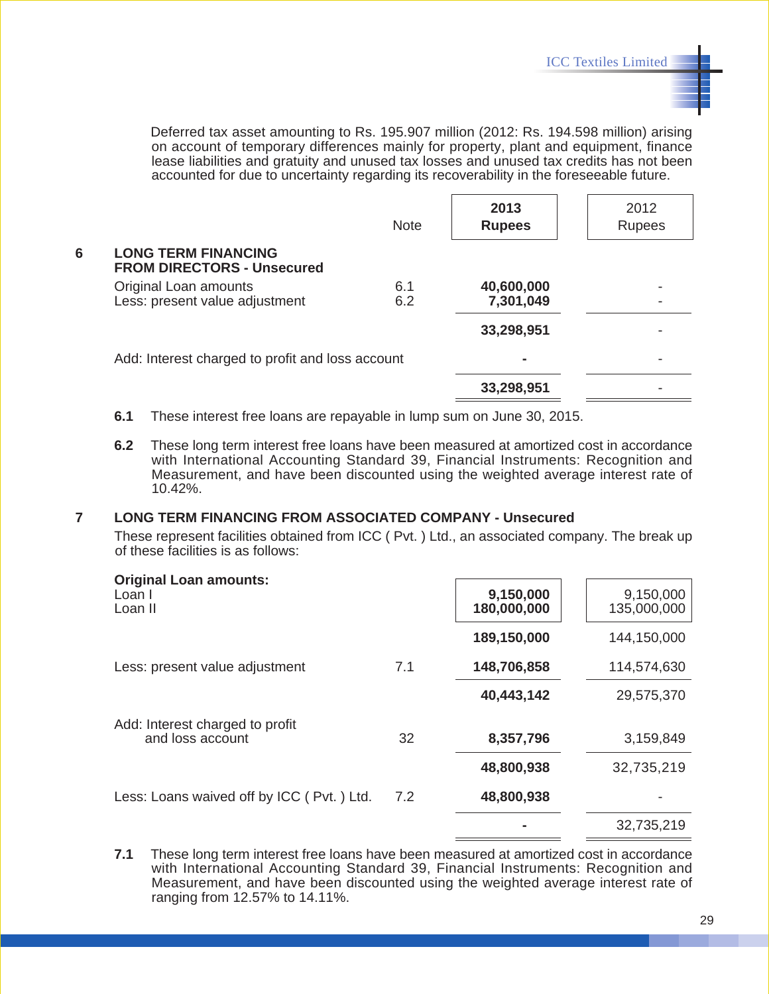Deferred tax asset amounting to Rs. 195.907 million (2012: Rs. 194.598 million) arising on account of temporary differences mainly for property, plant and equipment, finance lease liabilities and gratuity and unused tax losses and unused tax credits has not been accounted for due to uncertainty regarding its recoverability in the foreseeable future.

|   |                                                                 | <b>Note</b> | 2013<br><b>Rupees</b>   | 2012<br><b>Rupees</b> |
|---|-----------------------------------------------------------------|-------------|-------------------------|-----------------------|
| 6 | <b>LONG TERM FINANCING</b><br><b>FROM DIRECTORS - Unsecured</b> |             |                         |                       |
|   | Original Loan amounts<br>Less: present value adjustment         | 6.1<br>6.2  | 40,600,000<br>7,301,049 |                       |
|   |                                                                 |             | 33,298,951              |                       |
|   | Add: Interest charged to profit and loss account                |             |                         |                       |
|   |                                                                 |             | 33,298,951              |                       |

- **6.1** These interest free loans are repayable in lump sum on June 30, 2015.
- **6.2** These long term interest free loans have been measured at amortized cost in accordance with International Accounting Standard 39, Financial Instruments: Recognition and Measurement, and have been discounted using the weighted average interest rate of 10.42%.

#### **7 LONG TERM FINANCING FROM ASSOCIATED COMPANY - Unsecured**

These represent facilities obtained from ICC ( Pvt. ) Ltd., an associated company. The break up of these facilities is as follows:

| <b>Original Loan amounts:</b><br>Loan I<br>Loan II  |     | 9,150,000<br>180,000,000 | 9,150,000<br>135,000,000 |
|-----------------------------------------------------|-----|--------------------------|--------------------------|
|                                                     |     | 189,150,000              | 144,150,000              |
| Less: present value adjustment                      | 7.1 | 148,706,858              | 114,574,630              |
|                                                     |     | 40,443,142               | 29,575,370               |
| Add: Interest charged to profit<br>and loss account | 32  | 8,357,796                | 3,159,849                |
|                                                     |     | 48,800,938               | 32,735,219               |
| Less: Loans waived off by ICC (Pvt.) Ltd.           | 7.2 | 48,800,938               |                          |
|                                                     |     |                          | 32,735,219               |

**<sup>7.1</sup>** These long term interest free loans have been measured at amortized cost in accordance with International Accounting Standard 39, Financial Instruments: Recognition and Measurement, and have been discounted using the weighted average interest rate of ranging from 12.57% to 14.11%.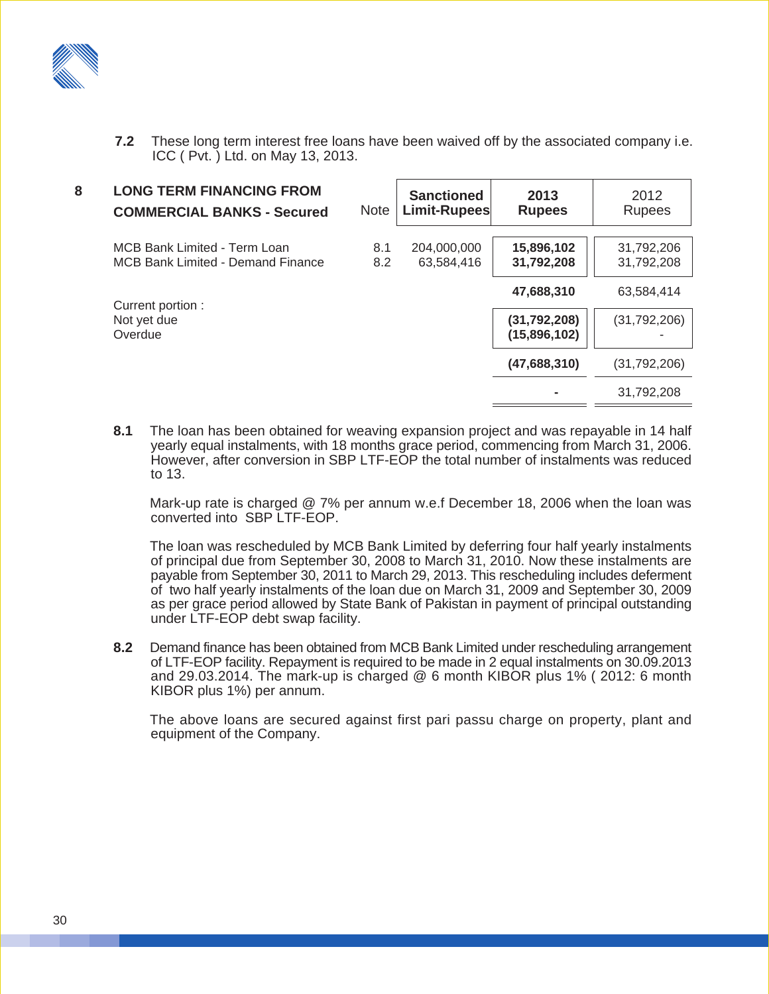

**7.2** These long term interest free loans have been waived off by the associated company i.e. ICC ( Pvt. ) Ltd. on May 13, 2013.

| 8 | <b>LONG TERM FINANCING FROM</b><br><b>COMMERCIAL BANKS - Secured</b>     | <b>Note</b> | <b>Sanctioned</b><br>Limit-Rupees | 2013<br><b>Rupees</b>          | 2012<br><b>Rupees</b>    |
|---|--------------------------------------------------------------------------|-------------|-----------------------------------|--------------------------------|--------------------------|
|   | MCB Bank Limited - Term Loan<br><b>MCB Bank Limited - Demand Finance</b> | 8.1<br>8.2  | 204,000,000<br>63,584,416         | 15,896,102<br>31,792,208       | 31,792,206<br>31,792,208 |
|   | Current portion :                                                        |             |                                   | 47,688,310                     | 63,584,414               |
|   | Not yet due<br>Overdue                                                   |             |                                   | (31, 792, 208)<br>(15,896,102) | (31,792,206)             |
|   |                                                                          |             |                                   | (47,688,310)                   | (31,792,206)             |
|   |                                                                          |             |                                   |                                | 31,792,208               |

**8.1** The loan has been obtained for weaving expansion project and was repayable in 14 half yearly equal instalments, with 18 months grace period, commencing from March 31, 2006. However, after conversion in SBP LTF-EOP the total number of instalments was reduced to 13.

Mark-up rate is charged @ 7% per annum w.e.f December 18, 2006 when the loan was converted into SBP LTF-EOP.

The loan was rescheduled by MCB Bank Limited by deferring four half yearly instalments of principal due from September 30, 2008 to March 31, 2010. Now these instalments are payable from September 30, 2011 to March 29, 2013. This rescheduling includes deferment of two half yearly instalments of the loan due on March 31, 2009 and September 30, 2009 as per grace period allowed by State Bank of Pakistan in payment of principal outstanding under LTF-EOP debt swap facility.

**8.2** Demand finance has been obtained from MCB Bank Limited under rescheduling arrangement of LTF-EOP facility. Repayment is required to be made in 2 equal instalments on 30.09.2013 and 29.03.2014. The mark-up is charged @ 6 month KIBOR plus 1% ( 2012: 6 month KIBOR plus 1%) per annum.

The above loans are secured against first pari passu charge on property, plant and equipment of the Company.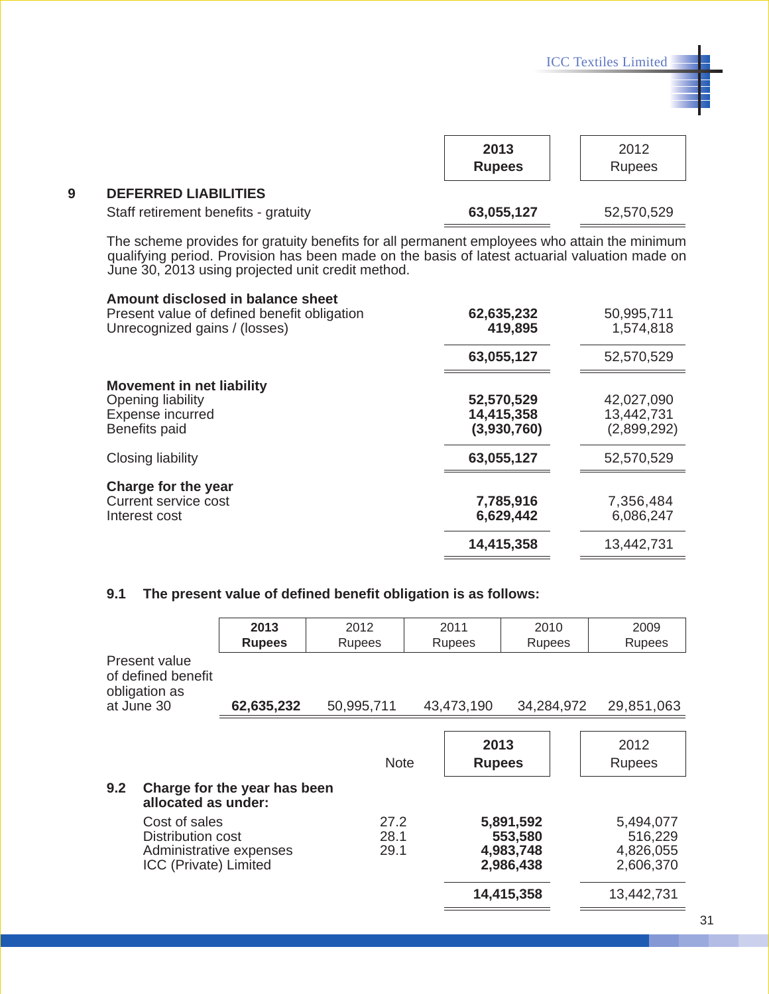|                                                                                                   |                                         | <b>ICC Textiles Limited</b>             |
|---------------------------------------------------------------------------------------------------|-----------------------------------------|-----------------------------------------|
|                                                                                                   |                                         |                                         |
|                                                                                                   | 2013<br><b>Rupees</b>                   | 2012<br><b>Rupees</b>                   |
| <b>DEFERRED LIABILITIES</b>                                                                       |                                         |                                         |
| Staff retirement benefits - gratuity                                                              | 63,055,127                              | 52,570,529                              |
| Amount disclosed in balance sheet<br>Present value of defined benefit obligation                  | 62,635,232                              | 50,995,711                              |
| Unrecognized gains / (losses)                                                                     | 419,895                                 | 1,574,818                               |
|                                                                                                   | 63,055,127                              | 52,570,529                              |
| <b>Movement in net liability</b><br>Opening liability<br>Expense incurred<br><b>Benefits paid</b> | 52,570,529<br>14,415,358<br>(3,930,760) | 42,027,090<br>13,442,731<br>(2,899,292) |
| Closing liability                                                                                 | 63,055,127                              | 52,570,529                              |
| Charge for the year<br><b>Current service cost</b><br>Interest cost                               | 7,785,916<br>6,629,442                  | 7,356,484<br>6,086,247                  |
|                                                                                                   |                                         |                                         |

### **9.1 The present value of defined benefit obligation is as follows:**

|                                                                                        | 2013<br><b>Rupees</b>        | 2012<br>Rupees       | 2011<br>Rupees        | 2010<br>Rupees                                               |            | 2009<br>Rupees                                               |
|----------------------------------------------------------------------------------------|------------------------------|----------------------|-----------------------|--------------------------------------------------------------|------------|--------------------------------------------------------------|
| Present value<br>of defined benefit<br>obligation as                                   |                              |                      |                       |                                                              |            |                                                              |
| at June 30                                                                             | 62,635,232                   | 50,995,711           | 43,473,190            |                                                              | 34,284,972 | 29,851,063                                                   |
| 9.2<br>allocated as under:                                                             | Charge for the year has been | <b>Note</b>          | 2013<br><b>Rupees</b> |                                                              |            | 2012<br><b>Rupees</b>                                        |
| Cost of sales<br>Distribution cost<br>Administrative expenses<br>ICC (Private) Limited |                              | 27.2<br>28.1<br>29.1 |                       | 5,891,592<br>553,580<br>4,983,748<br>2,986,438<br>14,415,358 |            | 5,494,077<br>516,229<br>4,826,055<br>2,606,370<br>13,442,731 |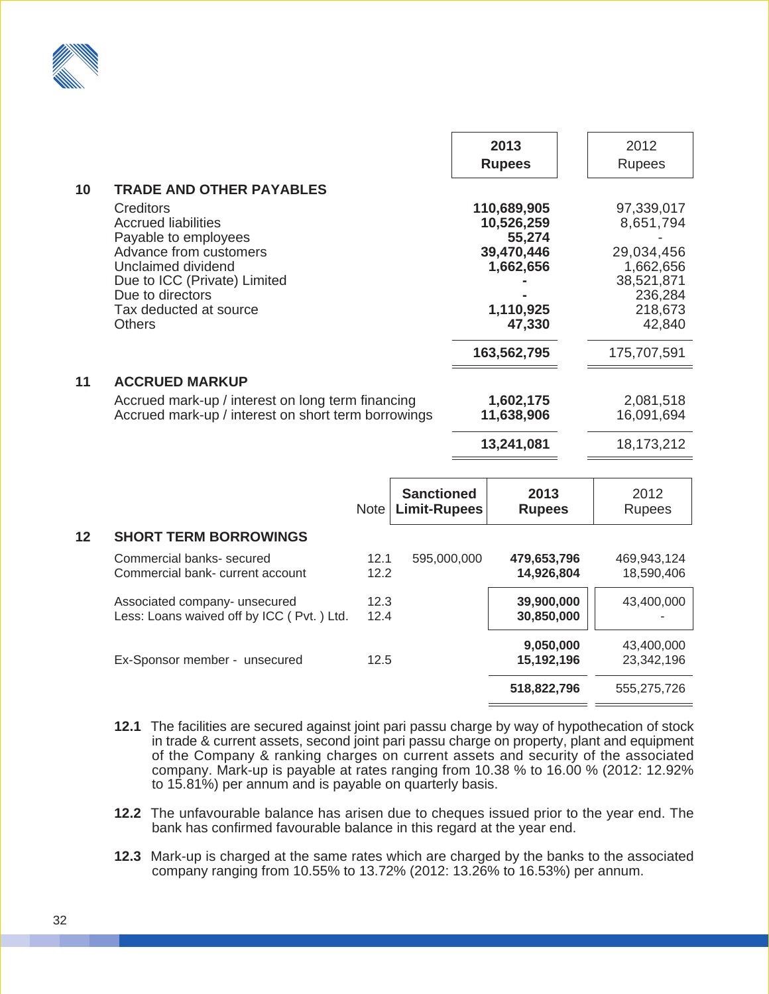

|    |                                                                                                                                                                     |                                                                                                          |                                          |  | 2013<br><b>Rupees</b>                                    | 2012<br><b>Rupees</b>                                                 |
|----|---------------------------------------------------------------------------------------------------------------------------------------------------------------------|----------------------------------------------------------------------------------------------------------|------------------------------------------|--|----------------------------------------------------------|-----------------------------------------------------------------------|
| 10 | <b>TRADE AND OTHER PAYABLES</b><br><b>Creditors</b><br><b>Accrued liabilities</b>                                                                                   |                                                                                                          |                                          |  | 110,689,905<br>10,526,259                                | 97,339,017<br>8,651,794                                               |
|    | Payable to employees<br>Advance from customers<br>Unclaimed dividend<br>Due to ICC (Private) Limited<br>Due to directors<br>Tax deducted at source<br><b>Others</b> |                                                                                                          |                                          |  | 55,274<br>39,470,446<br>1,662,656<br>1,110,925<br>47,330 | 29,034,456<br>1,662,656<br>38,521,871<br>236,284<br>218,673<br>42,840 |
|    |                                                                                                                                                                     |                                                                                                          |                                          |  | 163,562,795                                              | 175,707,591                                                           |
| 11 | <b>ACCRUED MARKUP</b>                                                                                                                                               | Accrued mark-up / interest on long term financing<br>Accrued mark-up / interest on short term borrowings |                                          |  |                                                          | 2,081,518<br>16,091,694<br>18,173,212                                 |
|    |                                                                                                                                                                     | <b>Note</b>                                                                                              | <b>Sanctioned</b><br><b>Limit-Rupees</b> |  | 2013<br><b>Rupees</b>                                    | 2012<br><b>Rupees</b>                                                 |
| 12 | <b>SHORT TERM BORROWINGS</b>                                                                                                                                        |                                                                                                          |                                          |  |                                                          |                                                                       |
|    | Commercial banks- secured<br>Commercial bank- current account                                                                                                       | 12.1<br>12.2                                                                                             | 595,000,000                              |  | 479,653,796<br>14,926,804                                | 469,943,124<br>18,590,406                                             |
|    | Associated company- unsecured<br>Less: Loans waived off by ICC (Pvt.) Ltd.                                                                                          | 12.3<br>12.4                                                                                             |                                          |  | 39,900,000<br>30,850,000                                 | 43,400,000                                                            |
|    | Ex-Sponsor member - unsecured                                                                                                                                       | 12.5                                                                                                     |                                          |  | 9,050,000<br>15,192,196                                  | 43,400,000<br>23,342,196                                              |
|    |                                                                                                                                                                     |                                                                                                          |                                          |  | 518,822,796                                              | 555,275,726                                                           |
|    |                                                                                                                                                                     |                                                                                                          |                                          |  |                                                          |                                                                       |

- **12.1** The facilities are secured against joint pari passu charge by way of hypothecation of stock in trade & current assets, second joint pari passu charge on property, plant and equipment of the Company & ranking charges on current assets and security of the associated company. Mark-up is payable at rates ranging from 10.38 % to 16.00 % (2012: 12.92% to 15.81%) per annum and is payable on quarterly basis.
- **12.2** The unfavourable balance has arisen due to cheques issued prior to the year end. The bank has confirmed favourable balance in this regard at the year end.
- **12.3** Mark-up is charged at the same rates which are charged by the banks to the associated company ranging from 10.55% to 13.72% (2012: 13.26% to 16.53%) per annum.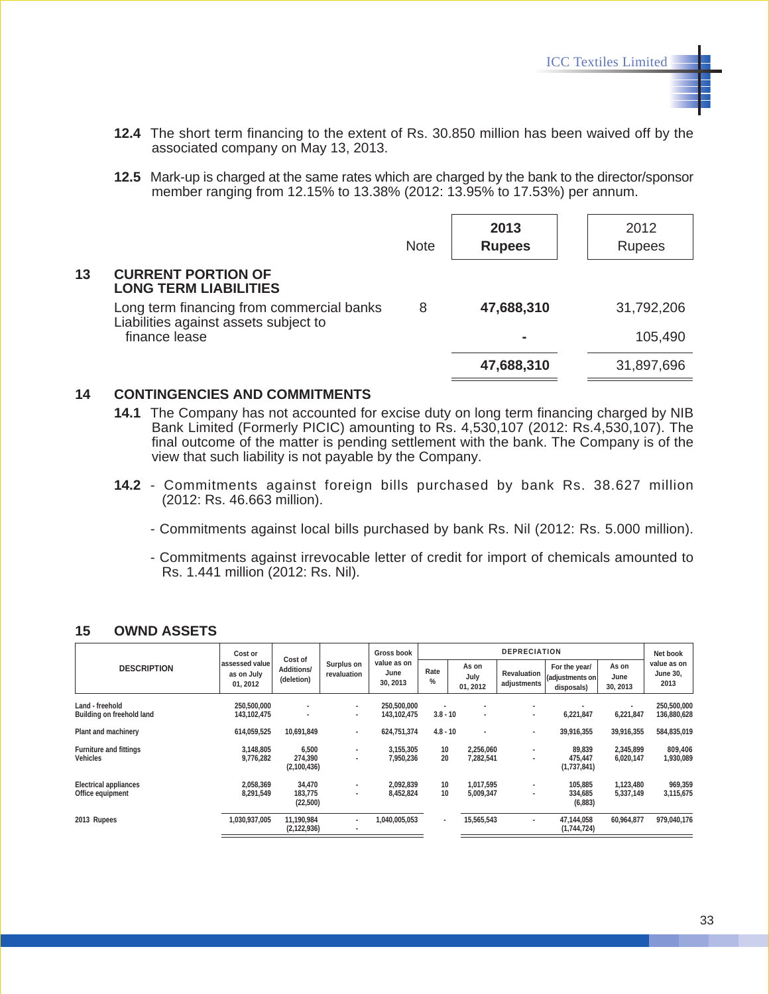- **12.4** The short term financing to the extent of Rs. 30.850 million has been waived off by the associated company on May 13, 2013.
- **12.5** Mark-up is charged at the same rates which are charged by the bank to the director/sponsor member ranging from 12.15% to 13.38% (2012: 13.95% to 17.53%) per annum.

|    |                                                                                    | <b>Note</b> | 2013<br><b>Rupees</b> | 2012<br><b>Rupees</b> |
|----|------------------------------------------------------------------------------------|-------------|-----------------------|-----------------------|
| 13 | <b>CURRENT PORTION OF</b><br><b>LONG TERM LIABILITIES</b>                          |             |                       |                       |
|    | Long term financing from commercial banks<br>Liabilities against assets subject to | 8           | 47,688,310            | 31,792,206            |
|    | finance lease                                                                      |             | ۰                     | 105,490               |
|    |                                                                                    |             | 47,688,310            | 31,897,696            |
|    |                                                                                    |             |                       |                       |

#### **14 CONTINGENCIES AND COMMITMENTS**

- **14.1** The Company has not accounted for excise duty on long term financing charged by NIB Bank Limited (Formerly PICIC) amounting to Rs. 4,530,107 (2012: Rs.4,530,107). The final outcome of the matter is pending settlement with the bank. The Company is of the view that such liability is not payable by the Company.
- **14.2** Commitments against foreign bills purchased by bank Rs. 38.627 million (2012: Rs. 46.663 million).
	- Commitments against local bills purchased by bank Rs. Nil (2012: Rs. 5.000 million).
	- Commitments against irrevocable letter of credit for import of chemicals amounted to Rs. 1.441 million (2012: Rs. Nil).

|                                                  | Cost or                                  |                                            |                           | Gross book                      | <b>DEPRECIATION</b>      |                                            |                                   |                                                |                           | Net book                               |
|--------------------------------------------------|------------------------------------------|--------------------------------------------|---------------------------|---------------------------------|--------------------------|--------------------------------------------|-----------------------------------|------------------------------------------------|---------------------------|----------------------------------------|
| <b>DESCRIPTION</b>                               | assessed value<br>as on July<br>01, 2012 | Cost of<br><b>Additions/</b><br>(deletion) | Surplus on<br>revaluation | value as on<br>June<br>30, 2013 | Rate<br>%                | As on<br>July<br>01, 2012                  | <b>Revaluation</b><br>adjustments | For the year/<br>(adjustments on<br>disposals) | As on<br>June<br>30, 2013 | value as on<br><b>June 30,</b><br>2013 |
| Land - freehold<br>Building on freehold land     | 250,500,000<br>143, 102, 475             | $\sim$<br>۰                                | ٠<br>٠                    | 250,500,000<br>143, 102, 475    | $3.8 - 10$               | $\overline{\phantom{a}}$<br>$\blacksquare$ | ٠<br>$\blacksquare$               | 6,221,847                                      | 6,221,847                 | 250,500,000<br>136,880,628             |
| <b>Plant and machinery</b>                       | 614,059,525                              | 10,691,849                                 | ٠                         | 624.751.374                     | $4.8 - 10$               | $\sim$                                     | ٠                                 | 39,916,355                                     | 39,916,355                | 584,835,019                            |
| <b>Furniture and fittings</b><br><b>Vehicles</b> | 3,148,805<br>9,776,282                   | 6,500<br>274,390<br>(2,100,436)            | ۰                         | 3,155,305<br>7,950,236          | 10<br>20                 | 2,256,060<br>7,282,541                     | ٠<br>٠                            | 89,839<br>475,447<br>(1,737,841)               | 2,345,899<br>6,020,147    | 809,406<br>1,930,089                   |
| <b>Electrical appliances</b><br>Office equipment | 2,058,369<br>8.291.549                   | 34,470<br>183,775<br>(22, 500)             | ٠                         | 2,092,839<br>8.452.824          | 10<br>10                 | 1,017,595<br>5,009,347                     | ٠<br>٠                            | 105,885<br>334,685<br>(6,883)                  | 1,123,480<br>5,337,149    | 969,359<br>3,115,675                   |
| 2013 Rupees                                      | 1,030,937,005                            | 11,190,984<br>(2, 122, 936)                | ٠<br>٠                    | 1.040.005.053                   | $\overline{\phantom{a}}$ | 15.565.543                                 | ٠                                 | 47,144,058<br>(1,744,724)                      | 60.964.877                | 979,040,176                            |

#### **15 OWND ASSETS**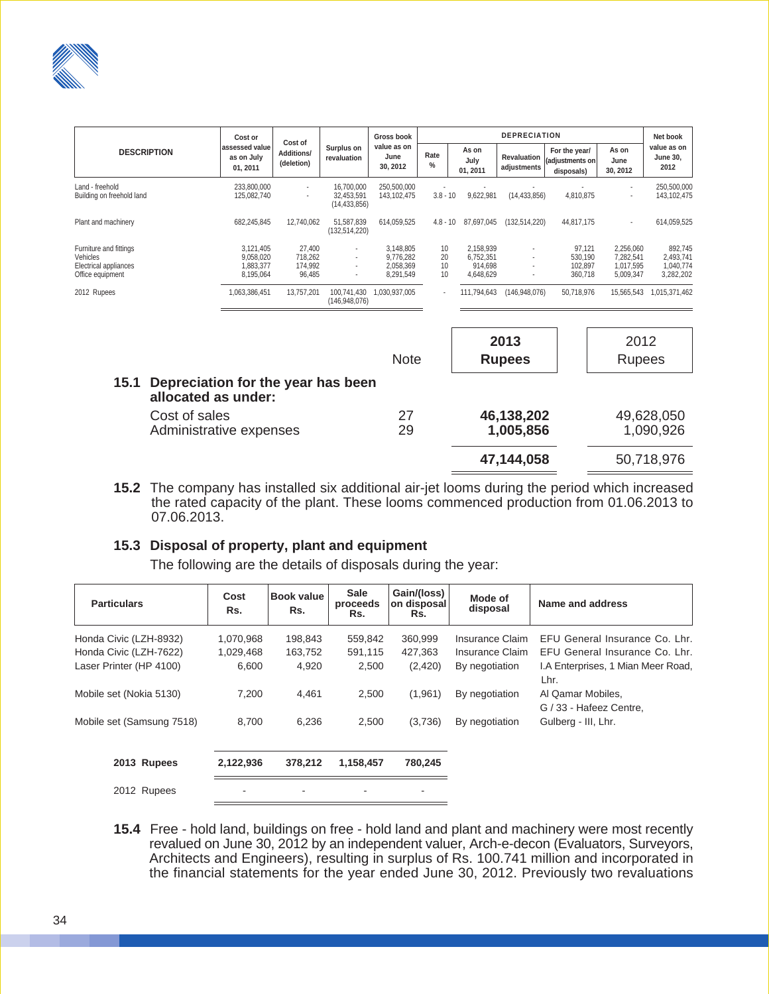

|                                                                                 | Cost or                                          |                                            |                                            | <b>Gross book</b>                                | <b>DEPRECIATION</b>  |                                                |                            |                                                |                                                  | Net book                                       |
|---------------------------------------------------------------------------------|--------------------------------------------------|--------------------------------------------|--------------------------------------------|--------------------------------------------------|----------------------|------------------------------------------------|----------------------------|------------------------------------------------|--------------------------------------------------|------------------------------------------------|
| <b>DESCRIPTION</b>                                                              | assessed value<br>as on July<br>01, 2011         | Cost of<br><b>Additions/</b><br>(deletion) | Surplus on<br>revaluation                  | value as on<br>June<br>30.2012                   | Rate<br>$\%$         | As on<br>July<br>01, 2011                      | Revaluation<br>adjustments | For the year/<br>(adjustments on<br>disposals) | As on<br>June<br>30, 2012                        | value as on<br><b>June 30,</b><br>2012         |
| Land - freehold<br>Building on freehold land                                    | 233,800,000<br>125,082,740                       |                                            | 16,700,000<br>32,453,591<br>(14, 433, 856) | 250,500,000<br>143,102,475                       | $3.8 - 10$           | 9,622,981                                      | (14, 433, 856)             | 4,810,875                                      |                                                  | 250,500,000<br>143, 102, 475                   |
| Plant and machinery                                                             | 682,245,845                                      | 12,740,062                                 | 51,587,839<br>(132, 514, 220)              | 614,059,525                                      | $4.8 - 10$           | 87.697.045                                     | (132, 514, 220)            | 44,817,175                                     | ٠                                                | 614,059,525                                    |
| Furniture and fittings<br>Vehicles<br>Electrical appliances<br>Office equipment | 3.121.405<br>9,058,020<br>1.883.377<br>8,195,064 | 27,400<br>718,262<br>174,992<br>96,485     |                                            | 3,148,805<br>9,776,282<br>2.058.369<br>8,291,549 | 10<br>20<br>10<br>10 | 2.158.939<br>6,752,351<br>914.698<br>4,648,629 | ٠<br>٠                     | 97,121<br>530,190<br>102,897<br>360,718        | 2,256,060<br>7,282,541<br>1,017,595<br>5,009,347 | 892,745<br>2,493,741<br>1,040,774<br>3,282,202 |
| 2012 Rupees                                                                     | 1,063,386,451                                    | 13,757,201                                 | 100,741,430<br>(146,948,076)               | 1,030,937,005                                    |                      | 111,794,643                                    | (146,948,076)              | 50,718,976                                     | 15,565,543                                       | 1,015,371,462                                  |
|                                                                                 |                                                  |                                            |                                            |                                                  |                      |                                                |                            |                                                |                                                  |                                                |
|                                                                                 |                                                  |                                            |                                            |                                                  |                      |                                                | 2013                       |                                                | 2012                                             |                                                |
|                                                                                 |                                                  |                                            |                                            | Note                                             |                      |                                                | <b>Rupees</b>              |                                                | <b>Rupees</b>                                    |                                                |
| 15.1<br>Depreciation for the year has been<br>allocated as under:               |                                                  |                                            |                                            |                                                  |                      |                                                |                            |                                                |                                                  |                                                |
| Cost of sales                                                                   |                                                  |                                            |                                            | 27                                               |                      |                                                | 46,138,202                 |                                                |                                                  | 49,628,050                                     |

|                         |    | 47,144,058 | 50,718,976 |
|-------------------------|----|------------|------------|
| COST OF SAIRS           | ۷  | 40,130,202 | 49,028,050 |
| Administrative expenses | 29 | 1,005,856  | 1,090,926  |

**15.2** The company has installed six additional air-jet looms during the period which increased the rated capacity of the plant. These looms commenced production from 01.06.2013 to 07.06.2013.

#### **15.3 Disposal of property, plant and equipment**

The following are the details of disposals during the year:

| <b>Particulars</b>        | Cost<br>Rs. | <b>Book value</b><br>Rs. | <b>Sale</b><br>proceeds<br>Rs. | Gain/(loss)<br>on disposal<br>Rs. | Mode of<br>disposal | Name and address                             |
|---------------------------|-------------|--------------------------|--------------------------------|-----------------------------------|---------------------|----------------------------------------------|
| Honda Civic (LZH-8932)    | 1,070,968   | 198,843                  | 559,842                        | 360,999                           | Insurance Claim     | EFU General Insurance Co. Lhr.               |
| Honda Civic (LZH-7622)    | 1,029,468   | 163,752                  | 591,115                        | 427,363                           | Insurance Claim     | EFU General Insurance Co. Lhr.               |
| Laser Printer (HP 4100)   | 6,600       | 4,920                    | 2,500                          | (2, 420)                          | By negotiation      | I.A Enterprises, 1 Mian Meer Road,<br>Lhr.   |
| Mobile set (Nokia 5130)   | 7,200       | 4,461                    | 2,500                          | (1,961)                           | By negotiation      | Al Qamar Mobiles,<br>G / 33 - Hafeez Centre. |
| Mobile set (Samsung 7518) | 8.700       | 6,236                    | 2,500                          | (3,736)                           | By negotiation      | Gulberg - III, Lhr.                          |
| 2013 Rupees               | 2,122,936   | 378,212                  | 1,158,457                      | 780,245                           |                     |                                              |
| 2012 Rupees               |             |                          |                                | ۰                                 |                     |                                              |

**15.4** Free - hold land, buildings on free - hold land and plant and machinery were most recently revalued on June 30, 2012 by an independent valuer, Arch-e-decon (Evaluators, Surveyors, Architects and Engineers), resulting in surplus of Rs. 100.741 million and incorporated in the financial statements for the year ended June 30, 2012. Previously two revaluations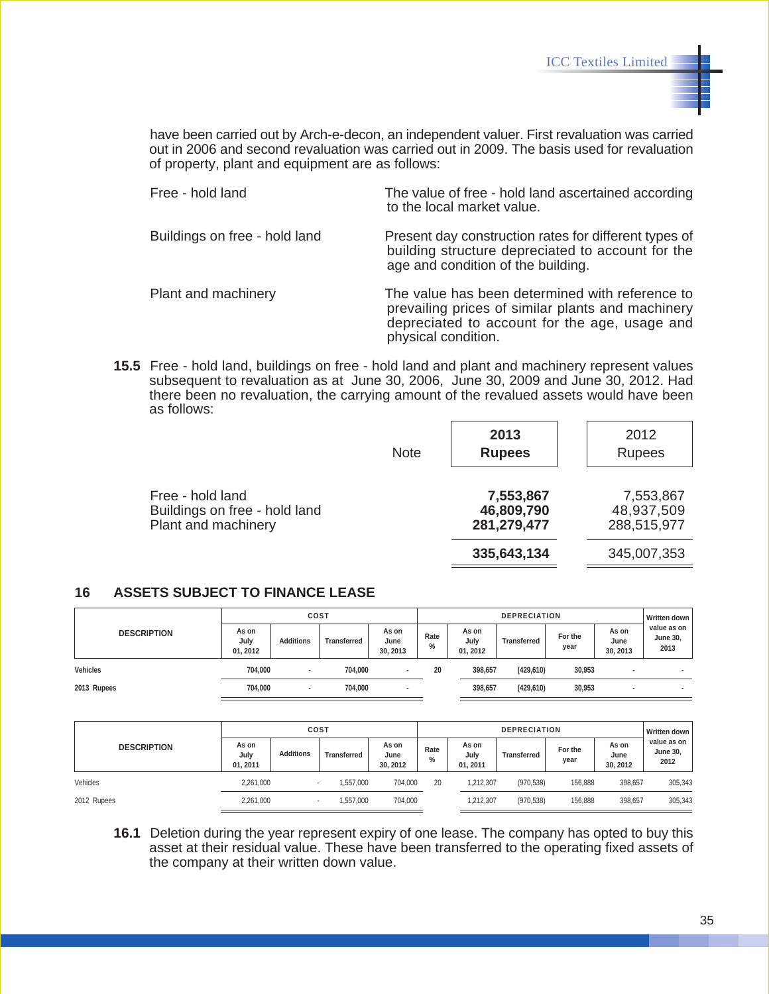have been carried out by Arch-e-decon, an independent valuer. First revaluation was carried out in 2006 and second revaluation was carried out in 2009. The basis used for revaluation of property, plant and equipment are as follows:

| Free - hold land              | The value of free - hold land ascertained according<br>to the local market value.                                                                                            |
|-------------------------------|------------------------------------------------------------------------------------------------------------------------------------------------------------------------------|
| Buildings on free - hold land | Present day construction rates for different types of<br>building structure depreciated to account for the<br>age and condition of the building.                             |
| Plant and machinery           | The value has been determined with reference to<br>prevailing prices of similar plants and machinery<br>depreciated to account for the age, usage and<br>physical condition. |

**15.5** Free - hold land, buildings on free - hold land and plant and machinery represent values subsequent to revaluation as at June 30, 2006, June 30, 2009 and June 30, 2012. Had there been no revaluation, the carrying amount of the revalued assets would have been as follows:

|                                                                          | <b>Note</b> | 2013<br><b>Rupees</b>                  | 2012<br><b>Rupees</b>                  |
|--------------------------------------------------------------------------|-------------|----------------------------------------|----------------------------------------|
| Free - hold land<br>Buildings on free - hold land<br>Plant and machinery |             | 7,553,867<br>46,809,790<br>281,279,477 | 7,553,867<br>48,937,509<br>288,515,977 |
|                                                                          |             | 335,643,134                            | 345,007,353                            |

#### **16 ASSETS SUBJECT TO FINANCE LEASE**

|                    | COST                      |                  |             |                           | <b>DEPRECIATION</b>   |                           |                    |                 |                           | <b>Written down</b>                    |
|--------------------|---------------------------|------------------|-------------|---------------------------|-----------------------|---------------------------|--------------------|-----------------|---------------------------|----------------------------------------|
| <b>DESCRIPTION</b> | As on<br>July<br>01, 2012 | <b>Additions</b> | Transferred | As on<br>June<br>30, 2013 | Rate<br>$\frac{0}{0}$ | As on<br>July<br>01, 2012 | <b>Transferred</b> | For the<br>year | As on<br>June<br>30, 2013 | value as on<br><b>June 30,</b><br>2013 |
| <b>Vehicles</b>    | 704.000                   | ٠                | 704.000     |                           | 20                    | 398,657                   | (429, 610)         | 30,953          |                           |                                        |
| 2013 Rupees        | 704.000                   | ٠                | 704,000     |                           |                       | 398,657                   | (429, 610)         | 30,953          | $\overline{\phantom{a}}$  |                                        |

|                    | COST                      |                          |                    |                          | <b>DEPRECIATION</b> |                           |                    |                 |                           | Written down                           |
|--------------------|---------------------------|--------------------------|--------------------|--------------------------|---------------------|---------------------------|--------------------|-----------------|---------------------------|----------------------------------------|
| <b>DESCRIPTION</b> | As on<br>July<br>01, 2011 | <b>Additions</b>         | <b>Transferred</b> | As on<br>June<br>30.2012 | Rate<br>$\%$        | As on<br>July<br>01, 2011 | <b>Transferred</b> | For the<br>year | As on<br>June<br>30, 2012 | value as on<br><b>June 30,</b><br>2012 |
| Vehicles           | 2,261,000                 | $\overline{\phantom{a}}$ | ,557,000           | 704,000                  | 20                  | 1,212,307                 | (970, 538)         | 156,888         | 398,657                   | 305,343                                |
| 2012 Rupees        | 2,261,000                 |                          | ,557,000           | 704.000                  |                     | 1.212.307                 | (970, 538)         | 156,888         | 398.657                   | 305,343                                |

**16.1** Deletion during the year represent expiry of one lease. The company has opted to buy this asset at their residual value. These have been transferred to the operating fixed assets of the company at their written down value.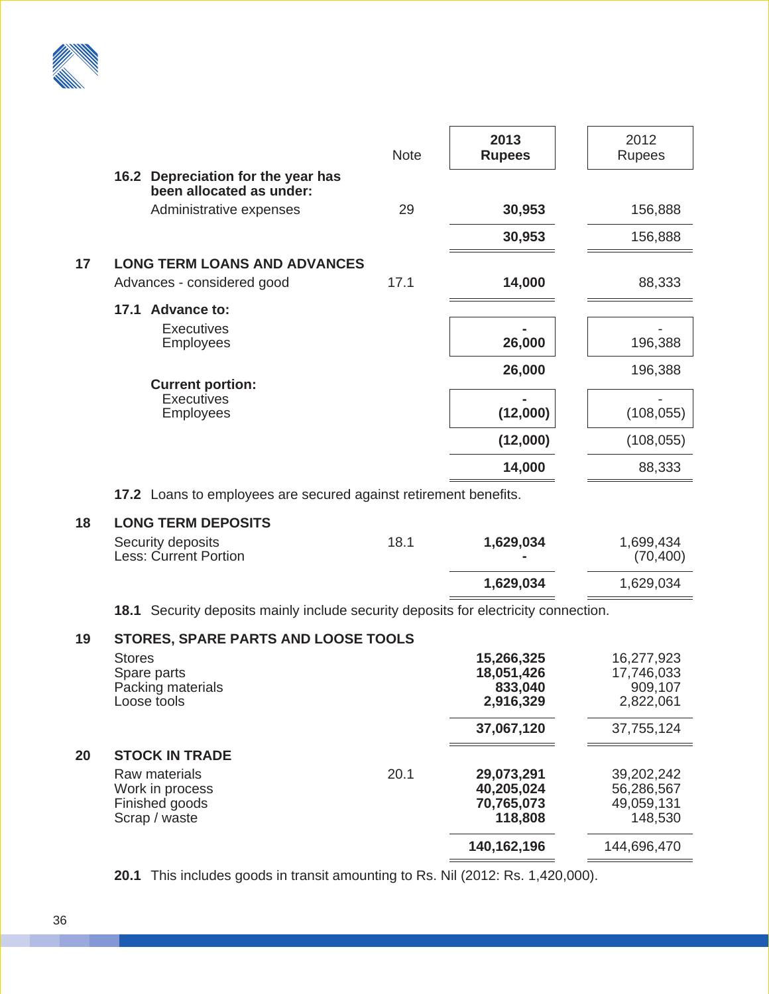

|    |                                                                                        | <b>Note</b> | 2013<br><b>Rupees</b> | 2012<br><b>Rupees</b> |
|----|----------------------------------------------------------------------------------------|-------------|-----------------------|-----------------------|
|    | 16.2 Depreciation for the year has<br>been allocated as under:                         |             |                       |                       |
|    | Administrative expenses                                                                | 29          | 30,953                | 156,888               |
|    |                                                                                        |             | 30,953                | 156,888               |
| 17 | <b>LONG TERM LOANS AND ADVANCES</b>                                                    |             |                       |                       |
|    | Advances - considered good                                                             | 17.1        | 14,000                | 88,333                |
|    | 17.1 Advance to:                                                                       |             |                       |                       |
|    | <b>Executives</b>                                                                      |             |                       |                       |
|    | <b>Employees</b>                                                                       |             | 26,000                | 196,388               |
|    |                                                                                        |             | 26,000                | 196,388               |
|    | <b>Current portion:</b><br><b>Executives</b>                                           |             |                       |                       |
|    | <b>Employees</b>                                                                       |             | (12,000)              | (108, 055)            |
|    |                                                                                        |             | (12,000)              | (108, 055)            |
|    |                                                                                        |             | 14,000                | 88,333                |
|    | 17.2 Loans to employees are secured against retirement benefits.                       |             |                       |                       |
| 18 | <b>LONG TERM DEPOSITS</b>                                                              |             |                       |                       |
|    | Security deposits                                                                      | 18.1        | 1,629,034             | 1,699,434             |
|    | <b>Less: Current Portion</b>                                                           |             |                       | (70, 400)             |
|    |                                                                                        |             | 1,629,034             | 1,629,034             |
|    | Security deposits mainly include security deposits for electricity connection.<br>18.1 |             |                       |                       |
|    | DADE DADTO AND LOO                                                                     |             |                       |                       |

| 19 | STORES, SPARE PARTS AND LOOSE TOOLS                                 |      |                                                   |                                                   |
|----|---------------------------------------------------------------------|------|---------------------------------------------------|---------------------------------------------------|
|    | <b>Stores</b><br>Spare parts<br>Packing materials<br>Loose tools    |      | 15,266,325<br>18,051,426<br>833,040<br>2,916,329  | 16,277,923<br>17,746,033<br>909,107<br>2,822,061  |
|    |                                                                     |      | 37,067,120                                        | 37,755,124                                        |
| 20 | <b>STOCK IN TRADE</b>                                               |      |                                                   |                                                   |
|    | Raw materials<br>Work in process<br>Finished goods<br>Scrap / waste | 20.1 | 29,073,291<br>40,205,024<br>70,765,073<br>118,808 | 39,202,242<br>56,286,567<br>49,059,131<br>148,530 |
|    |                                                                     |      | 140,162,196                                       | 144,696,470                                       |

**20.1** This includes goods in transit amounting to Rs. Nil (2012: Rs. 1,420,000).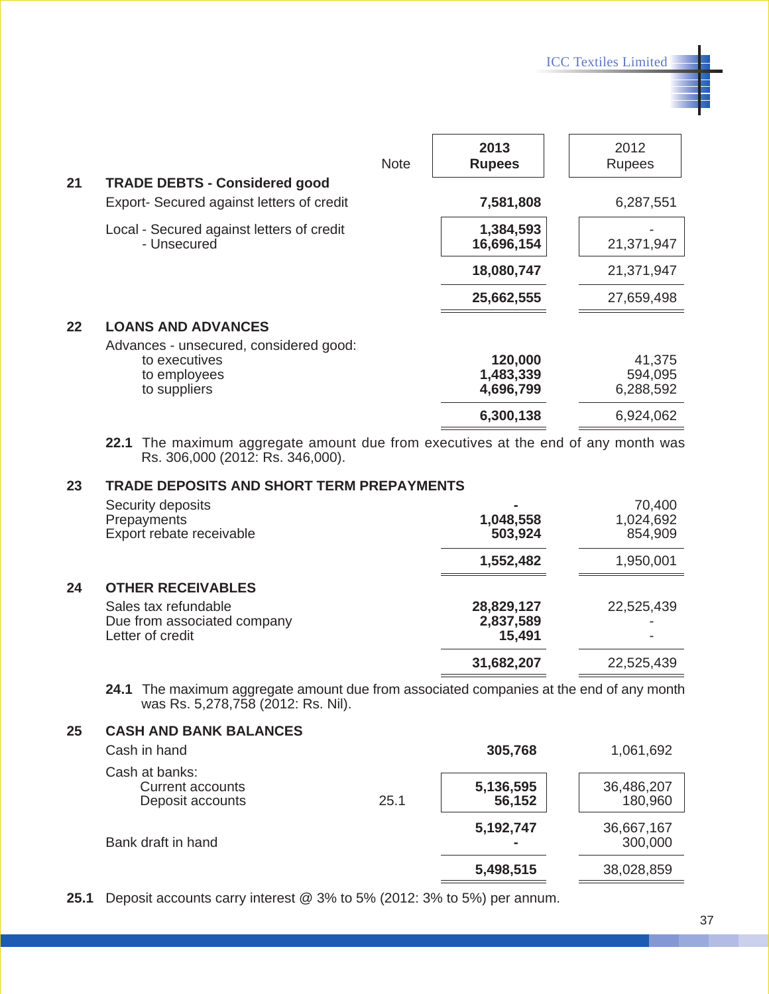ICC Textiles Limited

| 21 | <b>TRADE DEBTS - Considered good</b>                                | <b>Note</b> | 2013<br><b>Rupees</b>   | 2012<br>Rupees |
|----|---------------------------------------------------------------------|-------------|-------------------------|----------------|
|    | Export- Secured against letters of credit                           |             | 7,581,808               | 6,287,551      |
|    | Local - Secured against letters of credit<br>- Unsecured            |             | 1,384,593<br>16,696,154 | 21,371,947     |
|    |                                                                     |             | 18,080,747              | 21,371,947     |
|    |                                                                     |             | 25,662,555              | 27,659,498     |
| 22 | <b>LOANS AND ADVANCES</b><br>Advances - unsecured, considered good: |             |                         |                |
|    | to executives                                                       |             | 120,000                 | 41,375         |
|    | to employees                                                        |             | 1,483,339               | 594,095        |
|    | to suppliers                                                        |             | 4,696,799               | 6,288,592      |
|    |                                                                     |             | 6,300,138               | 6,924,062      |

**22.1** The maximum aggregate amount due from executives at the end of any month was Rs. 306,000 (2012: Rs. 346,000).

#### **23 TRADE DEPOSITS AND SHORT TERM PREPAYMENTS**

|    | Security deposits<br>Prepayments<br>Export rebate receivable            | 1,048,558<br>503,924              | 70,400<br>1,024,692<br>854,909 |
|----|-------------------------------------------------------------------------|-----------------------------------|--------------------------------|
|    |                                                                         | 1,552,482                         | 1,950,001                      |
| 24 | <b>OTHER RECEIVABLES</b>                                                |                                   |                                |
|    | Sales tax refundable<br>Due from associated company<br>Letter of credit | 28,829,127<br>2,837,589<br>15,491 | 22,525,439                     |
|    |                                                                         | 31,682,207                        | 22,525,439                     |

**24.1** The maximum aggregate amount due from associated companies at the end of any month was Rs. 5,278,758 (2012: Rs. Nil).

#### **25 CASH AND BANK BALANCES**

| Cash in hand                                                  |      | 305,768             | 1,061,692             |
|---------------------------------------------------------------|------|---------------------|-----------------------|
| Cash at banks:<br><b>Current accounts</b><br>Deposit accounts | 25.1 | 5,136,595<br>56,152 | 36,486,207<br>180,960 |
| Bank draft in hand                                            |      | 5,192,747           | 36,667,167<br>300,000 |
|                                                               |      | 5,498,515           | 38,028,859            |

**25.1** Deposit accounts carry interest @ 3% to 5% (2012: 3% to 5%) per annum.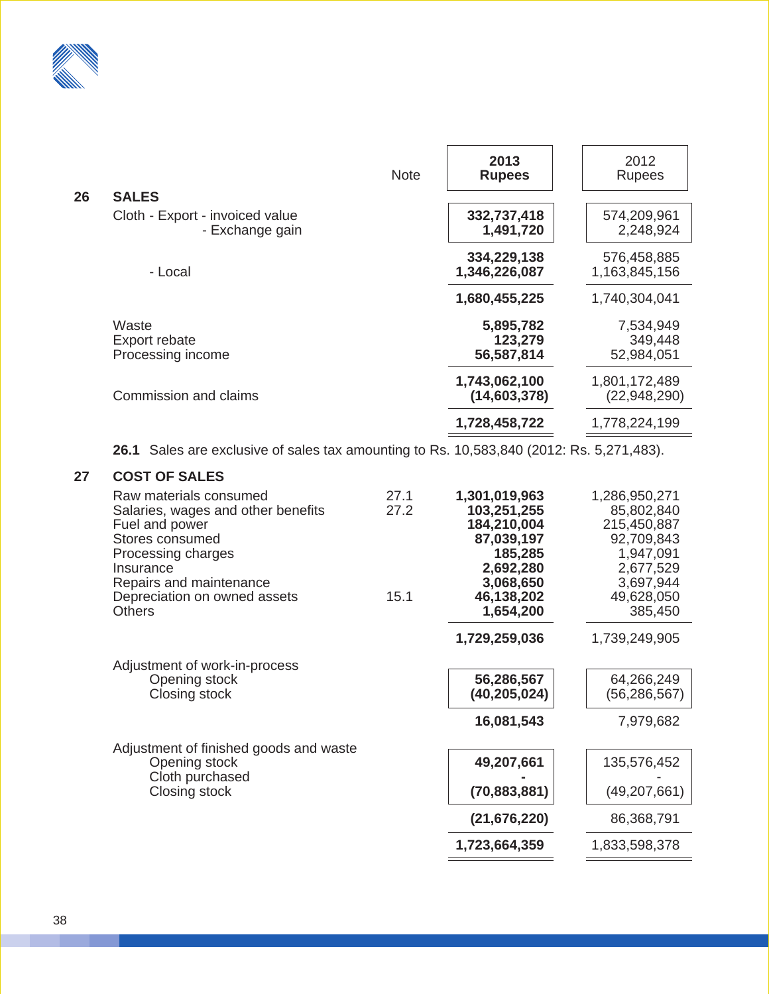

|    |                                                                                                                                                                                                                  | <b>Note</b>          | 2013<br><b>Rupees</b>                                                                                                     | 2012<br><b>Rupees</b>                                                                                                    |
|----|------------------------------------------------------------------------------------------------------------------------------------------------------------------------------------------------------------------|----------------------|---------------------------------------------------------------------------------------------------------------------------|--------------------------------------------------------------------------------------------------------------------------|
| 26 | <b>SALES</b>                                                                                                                                                                                                     |                      |                                                                                                                           |                                                                                                                          |
|    | Cloth - Export - invoiced value<br>- Exchange gain                                                                                                                                                               |                      | 332,737,418<br>1,491,720                                                                                                  | 574,209,961<br>2,248,924                                                                                                 |
|    | - Local                                                                                                                                                                                                          |                      | 334,229,138<br>1,346,226,087                                                                                              | 576,458,885<br>1,163,845,156                                                                                             |
|    |                                                                                                                                                                                                                  |                      | 1,680,455,225                                                                                                             | 1,740,304,041                                                                                                            |
|    | Waste<br>Export rebate<br>Processing income                                                                                                                                                                      |                      | 5,895,782<br>123,279<br>56,587,814                                                                                        | 7,534,949<br>349,448<br>52,984,051                                                                                       |
|    | Commission and claims                                                                                                                                                                                            |                      | 1,743,062,100<br>(14,603,378)                                                                                             | 1,801,172,489<br>(22,948,290)                                                                                            |
|    |                                                                                                                                                                                                                  |                      | 1,728,458,722                                                                                                             | 1,778,224,199                                                                                                            |
|    | <b>26.1</b> Sales are exclusive of sales tax amounting to Rs. 10,583,840 (2012: Rs. 5,271,483).                                                                                                                  |                      |                                                                                                                           |                                                                                                                          |
| 27 | <b>COST OF SALES</b>                                                                                                                                                                                             |                      |                                                                                                                           |                                                                                                                          |
|    | Raw materials consumed<br>Salaries, wages and other benefits<br>Fuel and power<br>Stores consumed<br>Processing charges<br>Insurance<br>Repairs and maintenance<br>Depreciation on owned assets<br><b>Others</b> | 27.1<br>27.2<br>15.1 | 1,301,019,963<br>103,251,255<br>184,210,004<br>87,039,197<br>185,285<br>2,692,280<br>3,068,650<br>46,138,202<br>1,654,200 | 1,286,950,271<br>85,802,840<br>215,450,887<br>92,709,843<br>1,947,091<br>2,677,529<br>3,697,944<br>49,628,050<br>385,450 |
|    |                                                                                                                                                                                                                  |                      | 1,729,259,036                                                                                                             | 1,739,249,905                                                                                                            |
|    | Adjustment of work-in-process                                                                                                                                                                                    |                      |                                                                                                                           |                                                                                                                          |
|    | Opening stock<br>Closing stock                                                                                                                                                                                   |                      | 56,286,567<br>(40, 205, 024)                                                                                              | 64,266,249<br>(56, 286, 567)                                                                                             |
|    |                                                                                                                                                                                                                  |                      | 16,081,543                                                                                                                | 7,979,682                                                                                                                |
|    | Adjustment of finished goods and waste<br>Opening stock                                                                                                                                                          |                      | 49,207,661                                                                                                                | 135,576,452                                                                                                              |

Cloth purchased **-)))))** -**)))))**

Closing stock **(70,883,881)** (49,207,661)

**(21,676,220)** 86,368,791)

**1,723,664,359)** 1,833,598,378)

38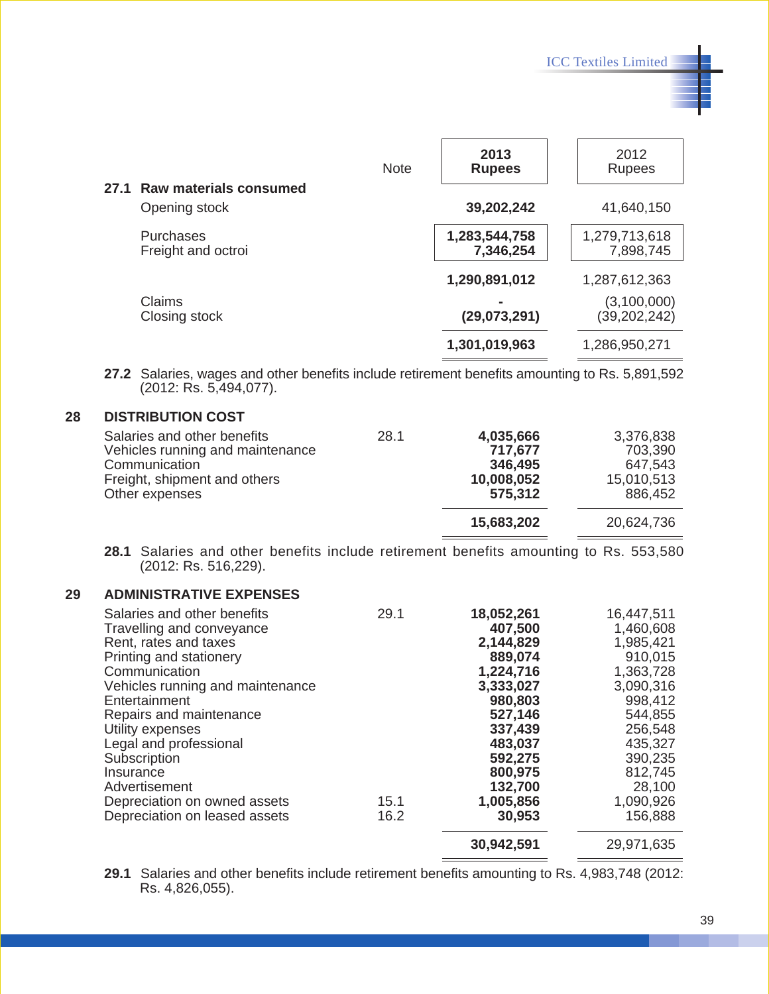|      |                               | <b>Note</b> | 2013<br><b>Rupees</b> | 2012<br><b>Rupees</b> |
|------|-------------------------------|-------------|-----------------------|-----------------------|
| 27.1 | <b>Raw materials consumed</b> |             |                       |                       |
|      | Opening stock                 |             | 39,202,242            | 41,640,150            |
|      | Purchases                     |             | 1,283,544,758         | 1,279,713,618         |
|      | Freight and octroi            |             | 7,346,254             | 7,898,745             |
|      |                               |             | 1,290,891,012         | 1,287,612,363         |
|      | Claims                        |             |                       | (3,100,000)           |
|      | Closing stock                 |             | (29,073,291)          | (39, 202, 242)        |
|      |                               |             | 1,301,019,963         | 1,286,950,271         |

**27.2** Salaries, wages and other benefits include retirement benefits amounting to Rs. 5,891,592 (2012: Rs. 5,494,077).

#### **28 DISTRIBUTION COST**

| Salaries and other benefits      | 28.1 | 4,035,666  | 3,376,838  |
|----------------------------------|------|------------|------------|
| Vehicles running and maintenance |      | 717,677    | 703,390    |
| Communication                    |      | 346,495    | 647,543    |
| Freight, shipment and others     |      | 10,008,052 | 15,010,513 |
| Other expenses                   |      | 575,312    | 886,452    |
|                                  |      | 15,683,202 | 20,624,736 |

**28.1** Salaries and other benefits include retirement benefits amounting to Rs. 553,580 (2012: Rs. 516,229).

#### **29 ADMINISTRATIVE EXPENSES**

| Salaries and other benefits<br>Travelling and conveyance<br>Rent, rates and taxes<br>Printing and stationery<br>Communication<br>Vehicles running and maintenance<br>Entertainment<br>Repairs and maintenance<br>Utility expenses<br>Legal and professional<br>Subscription<br>Insurance<br>Advertisement<br>Depreciation on owned assets<br>Depreciation on leased assets | 29.1<br>15.1<br>16.2 | 18,052,261<br>407,500<br>2,144,829<br>889,074<br>1,224,716<br>3,333,027<br>980,803<br>527,146<br>337,439<br>483,037<br>592,275<br>800,975<br>132,700<br>1,005,856<br>30,953 | 16,447,511<br>1,460,608<br>1,985,421<br>910,015<br>1,363,728<br>3,090,316<br>998,412<br>544,855<br>256,548<br>435,327<br>390,235<br>812,745<br>28,100<br>1,090,926<br>156,888 |
|----------------------------------------------------------------------------------------------------------------------------------------------------------------------------------------------------------------------------------------------------------------------------------------------------------------------------------------------------------------------------|----------------------|-----------------------------------------------------------------------------------------------------------------------------------------------------------------------------|-------------------------------------------------------------------------------------------------------------------------------------------------------------------------------|
|                                                                                                                                                                                                                                                                                                                                                                            |                      | 30,942,591                                                                                                                                                                  | 29,971,635                                                                                                                                                                    |

**29.1** Salaries and other benefits include retirement benefits amounting to Rs. 4,983,748 (2012: Rs. 4,826,055).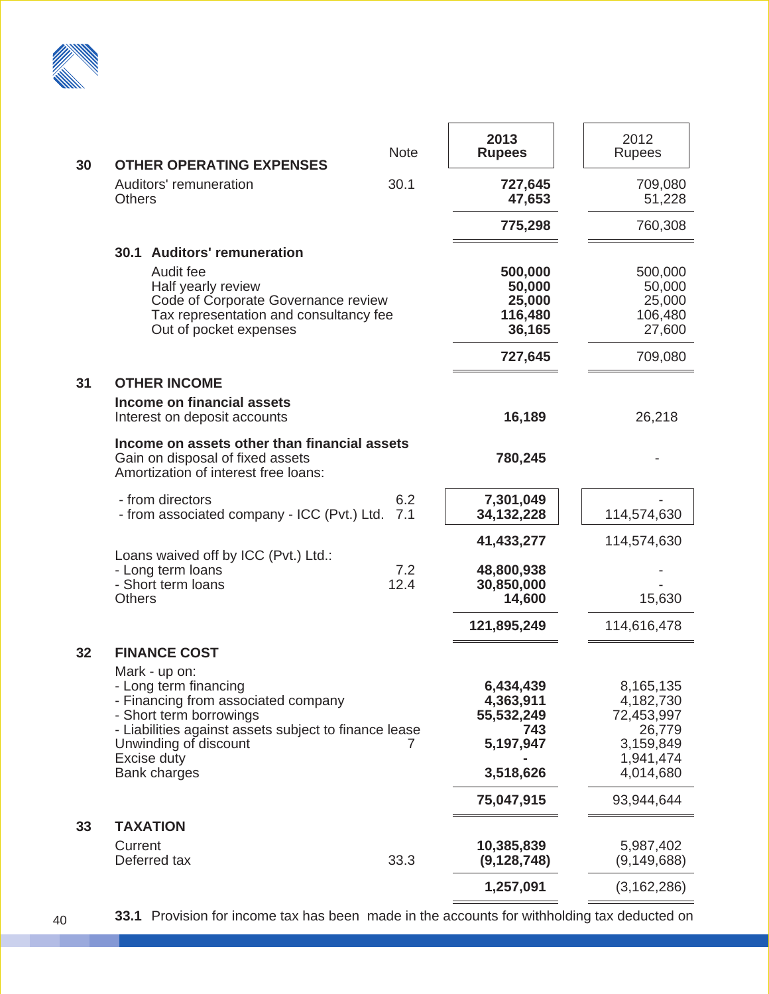

| 30 | <b>OTHER OPERATING EXPENSES</b>                                                                                                                                           | <b>Note</b> | 2013<br><b>Rupees</b>                                       | 2012<br><b>Rupees</b>                                       |
|----|---------------------------------------------------------------------------------------------------------------------------------------------------------------------------|-------------|-------------------------------------------------------------|-------------------------------------------------------------|
|    | Auditors' remuneration<br><b>Others</b>                                                                                                                                   |             | 727,645<br>47,653                                           | 709,080<br>51,228                                           |
|    |                                                                                                                                                                           |             | 775,298                                                     | 760,308                                                     |
|    | 30.1 Auditors' remuneration<br>Audit fee<br>Half yearly review<br>Code of Corporate Governance review<br>Tax representation and consultancy fee<br>Out of pocket expenses |             | 500,000<br>50,000<br>25,000<br>116,480<br>36,165<br>727,645 | 500,000<br>50,000<br>25,000<br>106,480<br>27,600<br>709,080 |
| 31 | <b>OTHER INCOME</b>                                                                                                                                                       |             |                                                             |                                                             |
|    | <b>Income on financial assets</b><br>Interest on deposit accounts                                                                                                         |             | 16,189                                                      | 26,218                                                      |
|    | Income on assets other than financial assets<br>Gain on disposal of fixed assets<br>Amortization of interest free loans:                                                  |             | 780,245                                                     |                                                             |
|    | - from directors<br>- from associated company - ICC (Pvt.) Ltd.                                                                                                           | 6.2<br>7.1  | 7,301,049<br>34, 132, 228                                   | 114,574,630                                                 |
|    |                                                                                                                                                                           |             | 41,433,277                                                  | 114,574,630                                                 |
|    | Loans waived off by ICC (Pvt.) Ltd.:<br>- Long term loans<br>- Short term loans<br><b>Others</b>                                                                          | 7.2<br>12.4 | 48,800,938<br>30,850,000<br>14,600                          | 15,630                                                      |
|    |                                                                                                                                                                           |             | 121,895,249                                                 | 114,616,478                                                 |
| 32 | <b>FINANCE COST</b><br>Mark - up on:<br>- Long term financing<br>- Financing from associated company<br>- Short term borrowings                                           |             | 6,434,439<br>4,363,911<br>55,532,249                        | 8,165,135<br>4,182,730<br>72,453,997                        |
|    | - Liabilities against assets subject to finance lease<br>Unwinding of discount                                                                                            |             | 743<br>5,197,947                                            | 26,779<br>3,159,849                                         |
|    | Excise duty<br><b>Bank charges</b>                                                                                                                                        |             | 3,518,626                                                   | 1,941,474<br>4,014,680                                      |
|    |                                                                                                                                                                           |             | 75,047,915                                                  | 93,944,644                                                  |
| 33 | <b>TAXATION</b>                                                                                                                                                           |             |                                                             |                                                             |
|    | Current<br>Deferred tax                                                                                                                                                   | 33.3        | 10,385,839<br>(9, 128, 748)                                 | 5,987,402<br>(9, 149, 688)                                  |
|    |                                                                                                                                                                           |             | 1,257,091                                                   | (3, 162, 286)                                               |

**33.1** Provision for income tax has been made in the accounts for withholding tax deducted on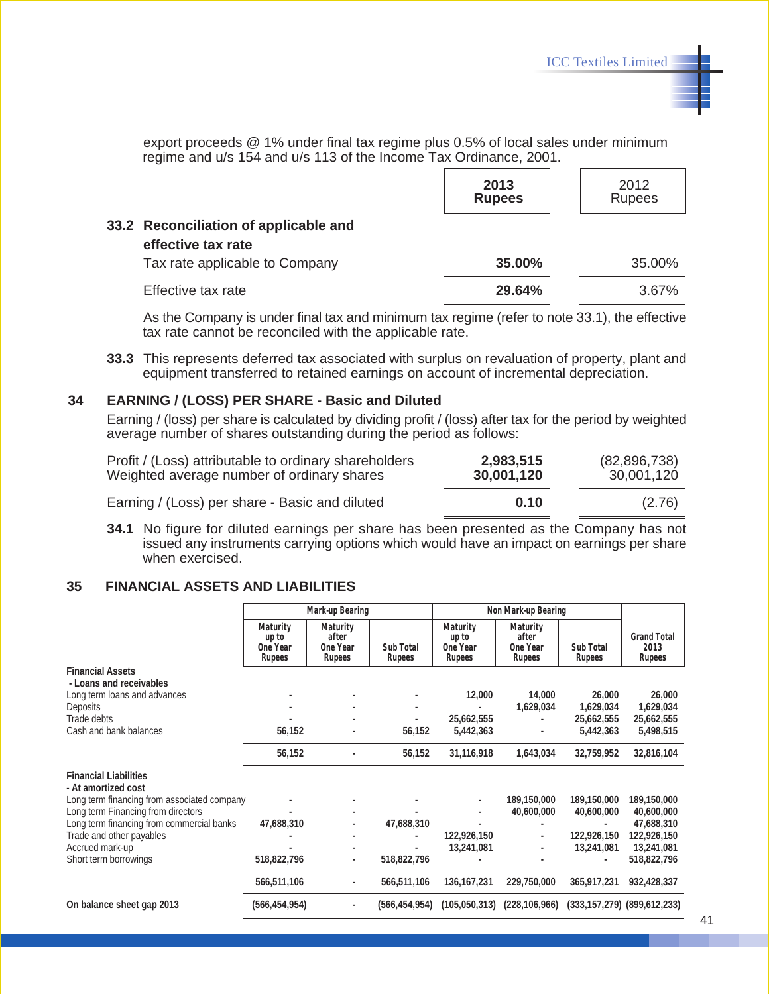export proceeds @ 1% under final tax regime plus 0.5% of local sales under minimum regime and u/s 154 and u/s 113 of the Income Tax Ordinance, 2001.

|                                                             | 2013<br><b>Rupees</b> | 2012<br><b>Rupees</b> |
|-------------------------------------------------------------|-----------------------|-----------------------|
| 33.2 Reconciliation of applicable and<br>effective tax rate |                       |                       |
| Tax rate applicable to Company                              | 35.00%                | 35.00%                |
| Effective tax rate                                          | 29.64%                | 3.67%                 |

As the Company is under final tax and minimum tax regime (refer to note 33.1), the effective tax rate cannot be reconciled with the applicable rate.

**33.3** This represents deferred tax associated with surplus on revaluation of property, plant and equipment transferred to retained earnings on account of incremental depreciation.

#### **34 EARNING / (LOSS) PER SHARE - Basic and Diluted**

Earning / (loss) per share is calculated by dividing profit / (loss) after tax for the period by weighted average number of shares outstanding during the period as follows:

| Profit / (Loss) attributable to ordinary shareholders | 2,983,515  | (82,896,738) |
|-------------------------------------------------------|------------|--------------|
| Weighted average number of ordinary shares            | 30,001,120 | 30,001,120   |
| Earning / (Loss) per share - Basic and diluted        | 0.10       | (2.76)       |

**34.1** No figure for diluted earnings per share has been presented as the Company has not issued any instruments carrying options which would have an impact on earnings per share when exercised.

#### **35 FINANCIAL ASSETS AND LIABILITIES**

|                                                     | <b>Mark-up Bearing</b>                  |                                                |                     | Non Mark-up Bearing                     |                                                |                     |                                      |
|-----------------------------------------------------|-----------------------------------------|------------------------------------------------|---------------------|-----------------------------------------|------------------------------------------------|---------------------|--------------------------------------|
|                                                     | Maturity<br>up to<br>One Year<br>Rupees | <b>Maturity</b><br>after<br>One Year<br>Rupees | Sub Total<br>Rupees | Maturity<br>up to<br>One Year<br>Rupees | Maturity<br>after<br>One Year<br><b>Rupees</b> | Sub Total<br>Rupees | <b>Grand Total</b><br>2013<br>Rupees |
| <b>Financial Assets</b><br>- Loans and receivables  |                                         |                                                |                     |                                         |                                                |                     |                                      |
| Long term loans and advances                        |                                         |                                                |                     | 12,000                                  | 14,000                                         | 26,000              | 26,000                               |
| <b>Deposits</b>                                     |                                         |                                                | ÷,                  |                                         | 1,629,034                                      | 1,629,034           | 1,629,034                            |
| Trade debts                                         |                                         |                                                |                     | 25,662,555                              |                                                | 25,662,555          | 25,662,555                           |
| Cash and bank balances                              | 56,152                                  |                                                | 56,152              | 5,442,363                               |                                                | 5,442,363           | 5,498,515                            |
|                                                     | 56,152                                  |                                                | 56,152              | 31,116,918                              | 1,643,034                                      | 32,759,952          | 32,816,104                           |
| <b>Financial Liabilities</b><br>- At amortized cost |                                         |                                                |                     |                                         |                                                |                     |                                      |
| Long term financing from associated company         |                                         |                                                |                     |                                         | 189,150,000                                    | 189,150,000         | 189,150,000                          |
| Long term Financing from directors                  |                                         |                                                |                     |                                         | 40,600,000                                     | 40,600,000          | 40,600,000                           |
| Long term financing from commercial banks           | 47,688,310                              |                                                | 47,688,310          |                                         |                                                |                     | 47,688,310                           |
| Trade and other payables                            |                                         |                                                |                     | 122,926,150                             |                                                | 122,926,150         | 122,926,150                          |
| Accrued mark-up                                     |                                         |                                                |                     | 13,241,081                              |                                                | 13,241,081          | 13,241,081                           |
| Short term borrowings                               | 518,822,796                             |                                                | 518,822,796         |                                         |                                                |                     | 518,822,796                          |
|                                                     | 566,511,106                             |                                                | 566,511,106         | 136, 167, 231                           | 229,750,000                                    | 365,917,231         | 932,428,337                          |
| On balance sheet gap 2013                           | (566, 454, 954)                         |                                                | (566, 454, 954)     | (105, 050, 313)                         | (228, 106, 966)                                |                     | $(333, 157, 279)$ $(899, 612, 233)$  |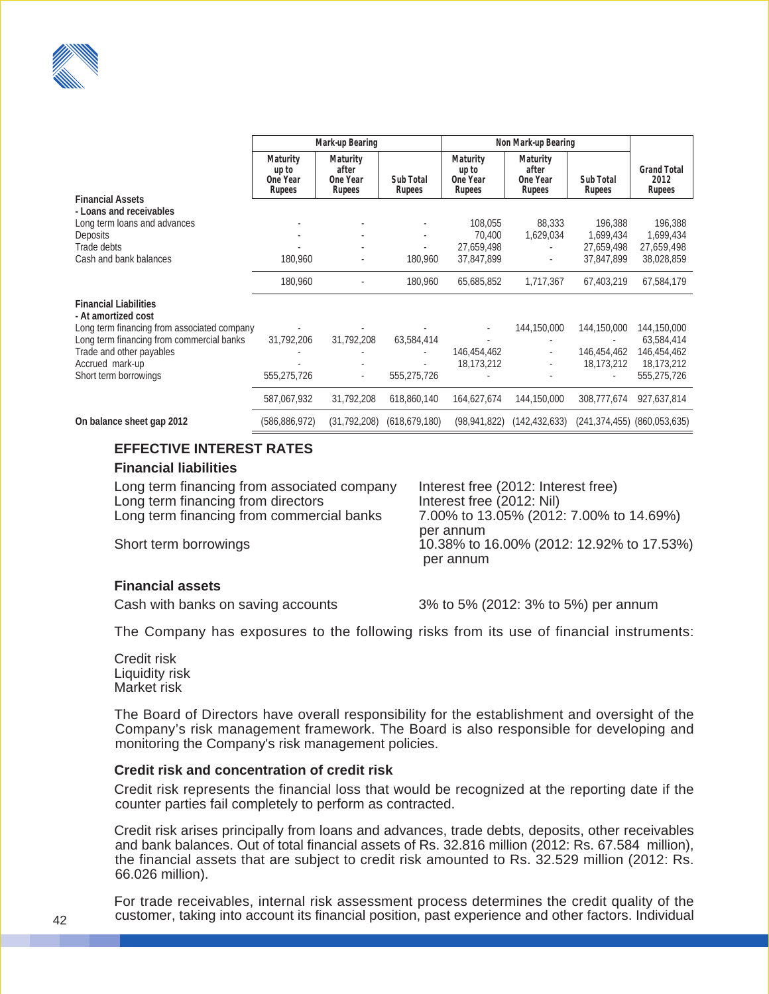|                                                                                    | <b>Mark-up Bearing</b>                         |                                                       | Non Mark-up Bearing |                                         |                                         |                         |                                      |
|------------------------------------------------------------------------------------|------------------------------------------------|-------------------------------------------------------|---------------------|-----------------------------------------|-----------------------------------------|-------------------------|--------------------------------------|
|                                                                                    | <b>Maturity</b><br>up to<br>One Year<br>Rupees | <b>Maturity</b><br>after<br>One Year<br><b>Rupees</b> | Sub Total<br>Rupees | Maturity<br>up to<br>One Year<br>Rupees | Maturity<br>after<br>One Year<br>Rupees | Sub Total<br>Rupees     | <b>Grand Total</b><br>2012<br>Rupees |
| <b>Financial Assets</b><br>- Loans and receivables<br>Long term loans and advances |                                                |                                                       |                     | 108,055                                 | 88,333                                  | 196,388                 | 196,388                              |
| <b>Deposits</b><br>Trade debts                                                     |                                                | ÷                                                     | ٠                   | 70,400<br>27,659,498                    | 1,629,034                               | 1,699,434<br>27,659,498 | 1,699,434<br>27,659,498              |
| Cash and bank balances                                                             | 180,960                                        | ÷                                                     | 180,960             | 37,847,899                              |                                         | 37,847,899              | 38,028,859                           |
|                                                                                    | 180,960                                        |                                                       | 180,960             | 65,685,852                              | 1,717,367                               | 67,403,219              | 67,584,179                           |
| <b>Financial Liabilities</b><br>- At amortized cost                                |                                                |                                                       |                     |                                         |                                         |                         |                                      |
| Long term financing from associated company                                        |                                                |                                                       |                     |                                         | 144,150,000                             | 144,150,000             | 144,150,000                          |
| Long term financing from commercial banks                                          | 31,792,206                                     | 31,792,208                                            | 63,584,414          |                                         |                                         |                         | 63,584,414                           |
| Trade and other payables                                                           |                                                |                                                       |                     | 146,454,462                             |                                         | 146,454,462             | 146,454,462                          |
| Accrued mark-up                                                                    |                                                |                                                       |                     | 18.173.212                              |                                         | 18,173,212              | 18,173,212                           |
| Short term borrowings                                                              | 555,275,726                                    | ۰                                                     | 555,275,726         |                                         |                                         |                         | 555,275,726                          |
|                                                                                    | 587,067,932                                    | 31,792,208                                            | 618,860,140         | 164,627,674                             | 144,150,000                             | 308,777,674             | 927,637,814                          |
| On balance sheet gap 2012                                                          | (586, 886, 972)                                | (31,792,208)                                          | (618, 679, 180)     | (98, 941, 822)                          | (142, 432, 633)                         | (241, 374, 455)         | (860, 053, 635)                      |

#### **EFFECTIVE INTEREST RATES**

#### **Financial liabilities**

| Long term financing from associated company | Interest free (2012: Interest free)       |
|---------------------------------------------|-------------------------------------------|
| Long term financing from directors          | Interest free (2012: Nil)                 |
| Long term financing from commercial banks   | 7.00% to 13.05% (2012: 7.00% to 14.69%)   |
|                                             | per annum                                 |
| Short term borrowings                       | 10.38% to 16.00% (2012: 12.92% to 17.53%) |
|                                             | per annum                                 |

#### **Financial assets**

Cash with banks on saving accounts 3% to 5% (2012: 3% to 5%) per annum

The Company has exposures to the following risks from its use of financial instruments:

Credit risk Liquidity risk Market risk

The Board of Directors have overall responsibility for the establishment and oversight of the Company's risk management framework. The Board is also responsible for developing and monitoring the Company's risk management policies.

#### **Credit risk and concentration of credit risk**

Credit risk represents the financial loss that would be recognized at the reporting date if the counter parties fail completely to perform as contracted.

Credit risk arises principally from loans and advances, trade debts, deposits, other receivables and bank balances. Out of total financial assets of Rs. 32.816 million (2012: Rs. 67.584 million), the financial assets that are subject to credit risk amounted to Rs. 32.529 million (2012: Rs. 66.026 million).

For trade receivables, internal risk assessment process determines the credit quality of the customer, taking into account its financial position, past experience and other factors. Individual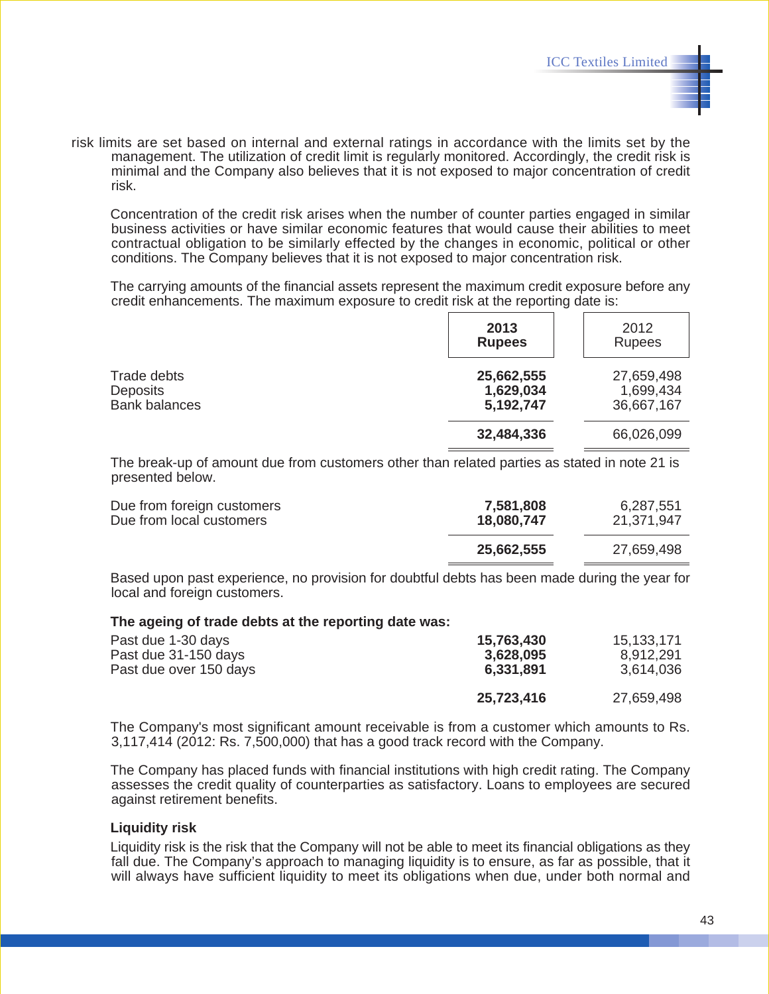risk limits are set based on internal and external ratings in accordance with the limits set by the management. The utilization of credit limit is regularly monitored. Accordingly, the credit risk is minimal and the Company also believes that it is not exposed to major concentration of credit risk.

Concentration of the credit risk arises when the number of counter parties engaged in similar business activities or have similar economic features that would cause their abilities to meet contractual obligation to be similarly effected by the changes in economic, political or other conditions. The Company believes that it is not exposed to major concentration risk.

The carrying amounts of the financial assets represent the maximum credit exposure before any credit enhancements. The maximum exposure to credit risk at the reporting date is:

|                                                        | 2013<br><b>Rupees</b>                | 2012<br><b>Rupees</b>                 |
|--------------------------------------------------------|--------------------------------------|---------------------------------------|
| Trade debts<br><b>Deposits</b><br><b>Bank balances</b> | 25,662,555<br>1,629,034<br>5,192,747 | 27,659,498<br>1,699,434<br>36,667,167 |
|                                                        | 32,484,336                           | 66,026,099                            |

The break-up of amount due from customers other than related parties as stated in note 21 is presented below.

| Due from foreign customers<br>Due from local customers | 7,581,808<br>18,080,747 | 6,287,551<br>21,371,947 |
|--------------------------------------------------------|-------------------------|-------------------------|
|                                                        | 25,662,555              | 27,659,498              |
|                                                        |                         |                         |

Based upon past experience, no provision for doubtful debts has been made during the year for local and foreign customers.

#### **The ageing of trade debts at the reporting date was:**

| Past due 1-30 days     | 15,763,430 | 15,133,171 |
|------------------------|------------|------------|
| Past due 31-150 days   | 3,628,095  | 8,912,291  |
| Past due over 150 days | 6,331,891  | 3,614,036  |
|                        | 25,723,416 | 27,659,498 |

The Company's most significant amount receivable is from a customer which amounts to Rs. 3,117,414 (2012: Rs. 7,500,000) that has a good track record with the Company.

The Company has placed funds with financial institutions with high credit rating. The Company assesses the credit quality of counterparties as satisfactory. Loans to employees are secured against retirement benefits.

#### **Liquidity risk**

Liquidity risk is the risk that the Company will not be able to meet its financial obligations as they fall due. The Company's approach to managing liquidity is to ensure, as far as possible, that it will always have sufficient liquidity to meet its obligations when due, under both normal and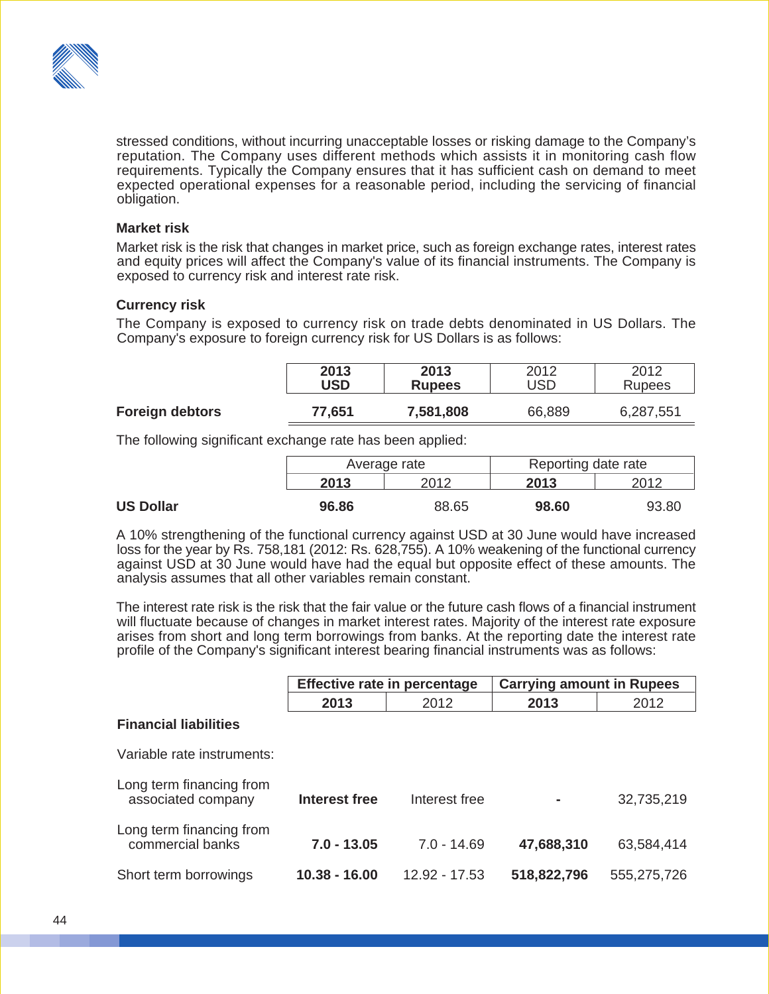

stressed conditions, without incurring unacceptable losses or risking damage to the Company's reputation. The Company uses different methods which assists it in monitoring cash flow requirements. Typically the Company ensures that it has sufficient cash on demand to meet expected operational expenses for a reasonable period, including the servicing of financial obligation.

#### **Market risk**

Market risk is the risk that changes in market price, such as foreign exchange rates, interest rates and equity prices will affect the Company's value of its financial instruments. The Company is exposed to currency risk and interest rate risk.

#### **Currency risk**

The Company is exposed to currency risk on trade debts denominated in US Dollars. The Company's exposure to foreign currency risk for US Dollars is as follows:

|                        | 2013   | 2013          | 2012   | 2012          |
|------------------------|--------|---------------|--------|---------------|
|                        | USD    | <b>Rupees</b> | USD    | <b>Rupees</b> |
| <b>Foreign debtors</b> | 77,651 | 7,581,808     | 66,889 | 6,287,551     |

The following significant exchange rate has been applied:

|                  | Average rate |       | Reporting date rate |       |
|------------------|--------------|-------|---------------------|-------|
|                  | 2013         | 2012  | 2013                |       |
| <b>US Dollar</b> | 96.86        | 88.65 | 98.60               | 93.80 |

A 10% strengthening of the functional currency against USD at 30 June would have increased loss for the year by Rs. 758,181 (2012: Rs. 628,755). A 10% weakening of the functional currency against USD at 30 June would have had the equal but opposite effect of these amounts. The analysis assumes that all other variables remain constant.

The interest rate risk is the risk that the fair value or the future cash flows of a financial instrument will fluctuate because of changes in market interest rates. Majority of the interest rate exposure arises from short and long term borrowings from banks. At the reporting date the interest rate profile of the Company's significant interest bearing financial instruments was as follows:

|                                                |               | Effective rate in percentage | <b>Carrying amount in Rupees</b> |             |  |  |
|------------------------------------------------|---------------|------------------------------|----------------------------------|-------------|--|--|
|                                                | 2013          | 2012                         | 2013                             | 2012        |  |  |
| <b>Financial liabilities</b>                   |               |                              |                                  |             |  |  |
| Variable rate instruments:                     |               |                              |                                  |             |  |  |
| Long term financing from<br>associated company | Interest free | Interest free                | ۰                                | 32,735,219  |  |  |
| Long term financing from<br>commercial banks   | $7.0 - 13.05$ | $7.0 - 14.69$                | 47,688,310                       | 63,584,414  |  |  |
| Short term borrowings                          | 10.38 - 16.00 | 12.92 - 17.53                | 518,822,796                      | 555,275,726 |  |  |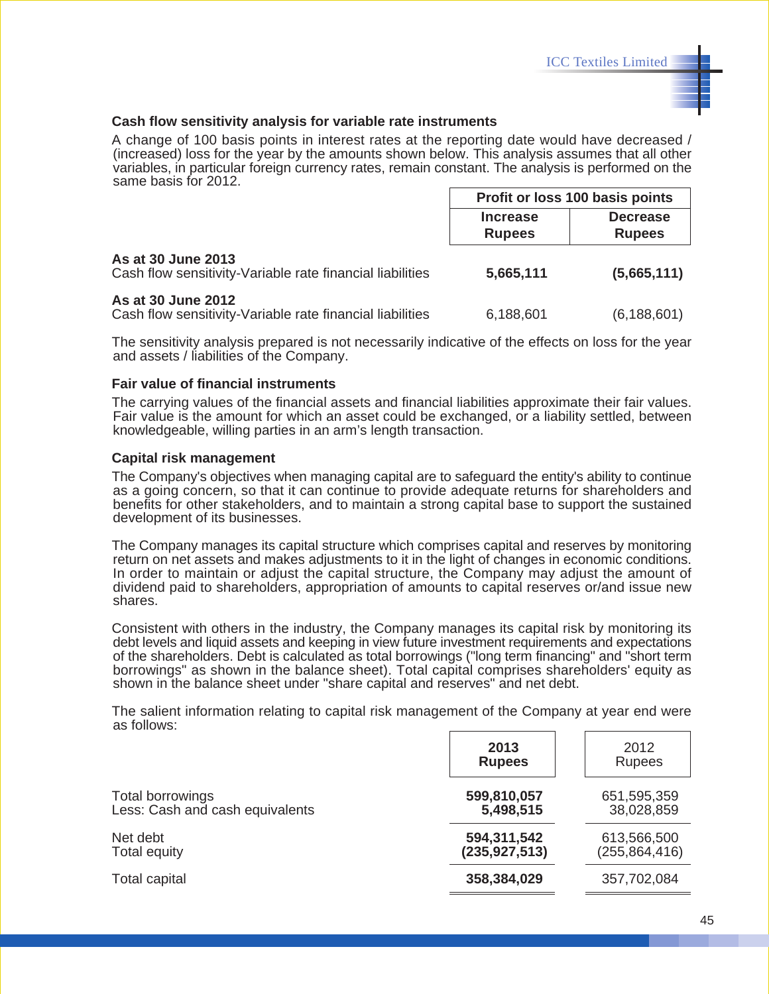#### **Cash flow sensitivity analysis for variable rate instruments**

A change of 100 basis points in interest rates at the reporting date would have decreased / (increased) loss for the year by the amounts shown below. This analysis assumes that all other variables, in particular foreign currency rates, remain constant. The analysis is performed on the same basis for 2012.

|                                                                                 | Profit or loss 100 basis points  |                                  |  |
|---------------------------------------------------------------------------------|----------------------------------|----------------------------------|--|
|                                                                                 | <b>Increase</b><br><b>Rupees</b> | <b>Decrease</b><br><b>Rupees</b> |  |
| As at 30 June 2013<br>Cash flow sensitivity-Variable rate financial liabilities | 5,665,111                        | (5,665,111)                      |  |
| As at 30 June 2012<br>Cash flow sensitivity-Variable rate financial liabilities | 6,188,601                        | (6, 188, 601)                    |  |

The sensitivity analysis prepared is not necessarily indicative of the effects on loss for the year and assets / liabilities of the Company.

#### **Fair value of financial instruments**

The carrying values of the financial assets and financial liabilities approximate their fair values. Fair value is the amount for which an asset could be exchanged, or a liability settled, between knowledgeable, willing parties in an arm's length transaction.

#### **Capital risk management**

The Company's objectives when managing capital are to safeguard the entity's ability to continue as a going concern, so that it can continue to provide adequate returns for shareholders and benefits for other stakeholders, and to maintain a strong capital base to support the sustained development of its businesses.

The Company manages its capital structure which comprises capital and reserves by monitoring return on net assets and makes adjustments to it in the light of changes in economic conditions. In order to maintain or adjust the capital structure, the Company may adjust the amount of dividend paid to shareholders, appropriation of amounts to capital reserves or/and issue new shares.

Consistent with others in the industry, the Company manages its capital risk by monitoring its debt levels and liquid assets and keeping in view future investment requirements and expectations of the shareholders. Debt is calculated as total borrowings ("long term financing" and "short term borrowings" as shown in the balance sheet). Total capital comprises shareholders' equity as shown in the balance sheet under "share capital and reserves" and net debt.

The salient information relating to capital risk management of the Company at year end were as follows:

|                                 | 2013<br><b>Rupees</b> | 2012<br><b>Rupees</b> |
|---------------------------------|-----------------------|-----------------------|
| Total borrowings                | 599,810,057           | 651,595,359           |
| Less: Cash and cash equivalents | 5,498,515             | 38,028,859            |
| Net debt                        | 594,311,542           | 613,566,500           |
| Total equity                    | (235, 927, 513)       | (255, 864, 416)       |
| <b>Total capital</b>            | 358,384,029           | 357,702,084           |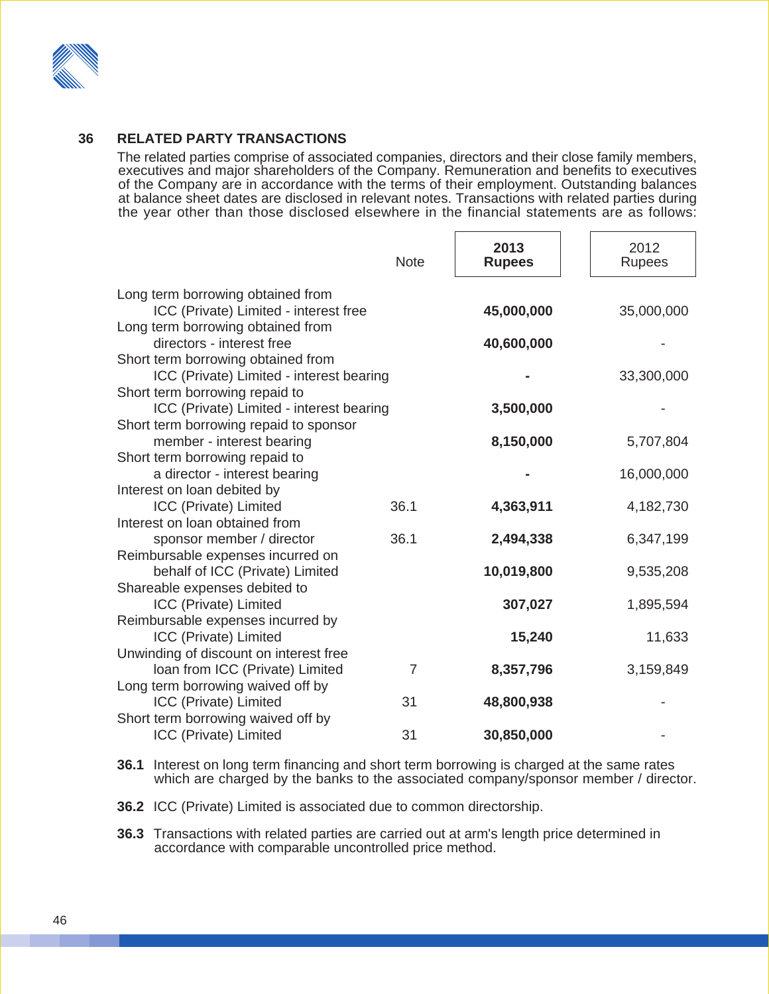

#### **36 RELATED PARTY TRANSACTIONS**

The related parties comprise of associated companies, directors and their close family members, executives and major shareholders of the Company. Remuneration and benefits to executives of the Company are in accordance with the terms of their employment. Outstanding balances at balance sheet dates are disclosed in relevant notes. Transactions with related parties during the year other than those disclosed elsewhere in the financial statements are as follows:

|                                                                                | <b>Note</b>    | 2013<br><b>Rupees</b> | 2012<br>Rupees |
|--------------------------------------------------------------------------------|----------------|-----------------------|----------------|
| Long term borrowing obtained from                                              |                |                       |                |
| ICC (Private) Limited - interest free                                          |                | 45,000,000            | 35,000,000     |
| Long term borrowing obtained from                                              |                |                       |                |
| directors - interest free                                                      |                | 40,600,000            |                |
| Short term borrowing obtained from<br>ICC (Private) Limited - interest bearing |                |                       | 33,300,000     |
| Short term borrowing repaid to                                                 |                |                       |                |
| ICC (Private) Limited - interest bearing                                       |                | 3,500,000             |                |
| Short term borrowing repaid to sponsor                                         |                |                       |                |
| member - interest bearing                                                      |                | 8,150,000             | 5,707,804      |
| Short term borrowing repaid to                                                 |                |                       |                |
| a director - interest bearing                                                  |                |                       | 16,000,000     |
| Interest on loan debited by<br>ICC (Private) Limited                           | 36.1           | 4,363,911             | 4,182,730      |
| Interest on loan obtained from                                                 |                |                       |                |
| sponsor member / director                                                      | 36.1           | 2,494,338             | 6,347,199      |
| Reimbursable expenses incurred on                                              |                |                       |                |
| behalf of ICC (Private) Limited                                                |                | 10,019,800            | 9,535,208      |
| Shareable expenses debited to                                                  |                |                       |                |
| ICC (Private) Limited                                                          |                | 307,027               | 1,895,594      |
| Reimbursable expenses incurred by                                              |                |                       |                |
| ICC (Private) Limited<br>Unwinding of discount on interest free                |                | 15,240                | 11,633         |
| Ioan from ICC (Private) Limited                                                | $\overline{7}$ | 8,357,796             | 3,159,849      |
| Long term borrowing waived off by                                              |                |                       |                |
| ICC (Private) Limited                                                          | 31             | 48,800,938            |                |
| Short term borrowing waived off by                                             |                |                       |                |
| ICC (Private) Limited                                                          | 31             | 30,850,000            |                |

**36.1** Interest on long term financing and short term borrowing is charged at the same rates which are charged by the banks to the associated company/sponsor member / director.

**36.2** ICC (Private) Limited is associated due to common directorship.

**36.3** Transactions with related parties are carried out at arm's length price determined in accordance with comparable uncontrolled price method.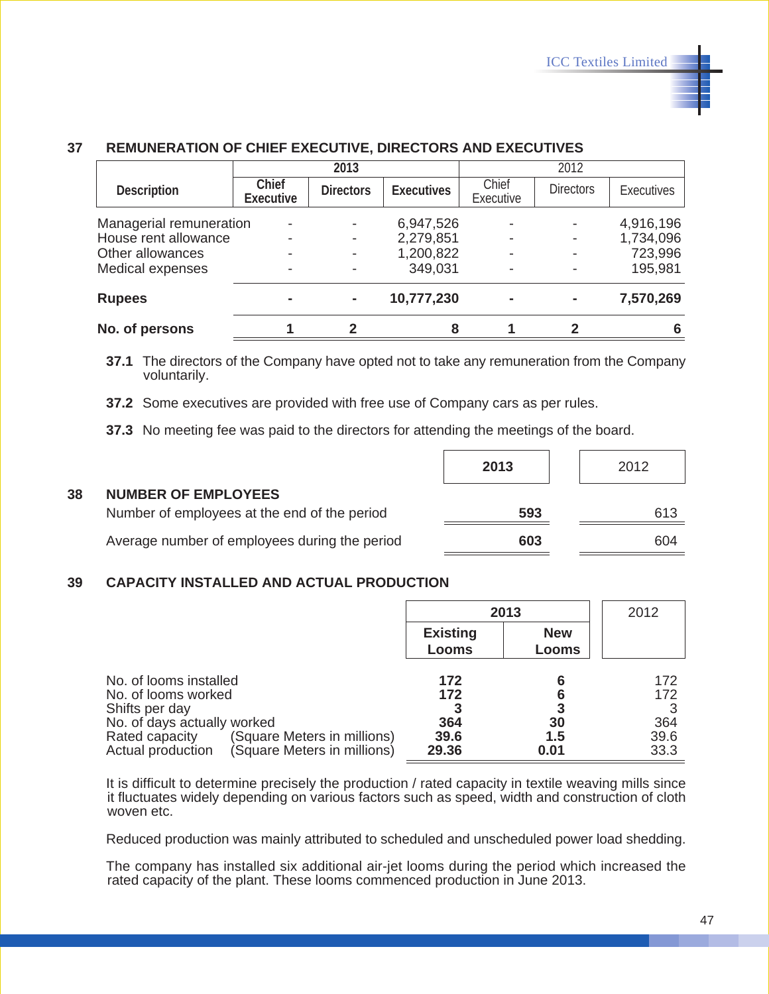|                         |                           | 2013             |                   |                    | 2012             |                   |
|-------------------------|---------------------------|------------------|-------------------|--------------------|------------------|-------------------|
| Description             | Chief<br><b>Executive</b> | <b>Directors</b> | <b>Executives</b> | Chief<br>Executive | <b>Directors</b> | <b>Executives</b> |
| Managerial remuneration | -                         |                  | 6,947,526         |                    |                  | 4,916,196         |
| House rent allowance    |                           |                  | 2,279,851         |                    |                  | 1,734,096         |
| Other allowances        |                           |                  | 1,200,822         |                    |                  | 723,996           |
| Medical expenses        |                           |                  | 349,031           |                    |                  | 195,981           |
| <b>Rupees</b>           |                           |                  | 10,777,230        |                    | $\blacksquare$   | 7,570,269         |
| No. of persons          |                           |                  | 8                 |                    |                  |                   |

#### **37 REMUNERATION OF CHIEF EXECUTIVE, DIRECTORS AND EXECUTIVES**

**37.1** The directors of the Company have opted not to take any remuneration from the Company voluntarily.

**37.2** Some executives are provided with free use of Company cars as per rules.

**37.3** No meeting fee was paid to the directors for attending the meetings of the board.

|    |                                               | 2013 | 2012 |
|----|-----------------------------------------------|------|------|
| 38 | <b>NUMBER OF EMPLOYEES</b>                    |      |      |
|    | Number of employees at the end of the period  | 593  | 613  |
|    | Average number of employees during the period | 603  | 604  |

#### **39 CAPACITY INSTALLED AND ACTUAL PRODUCTION**

|                                                                                                                                                                                                     | 2013                               |                     | 2012                              |
|-----------------------------------------------------------------------------------------------------------------------------------------------------------------------------------------------------|------------------------------------|---------------------|-----------------------------------|
|                                                                                                                                                                                                     | <b>Existing</b><br>Looms           | <b>New</b><br>Looms |                                   |
| No. of looms installed<br>No. of looms worked<br>Shifts per day<br>No. of days actually worked<br>(Square Meters in millions)<br>Rated capacity<br>(Square Meters in millions)<br>Actual production | 172<br>172<br>364<br>39.6<br>29.36 | 30<br>1.5<br>0.01   | 172<br>172<br>364<br>39.6<br>33.3 |

It is difficult to determine precisely the production / rated capacity in textile weaving mills since it fluctuates widely depending on various factors such as speed, width and construction of cloth woven etc.

Reduced production was mainly attributed to scheduled and unscheduled power load shedding.

The company has installed six additional air-jet looms during the period which increased the rated capacity of the plant. These looms commenced production in June 2013.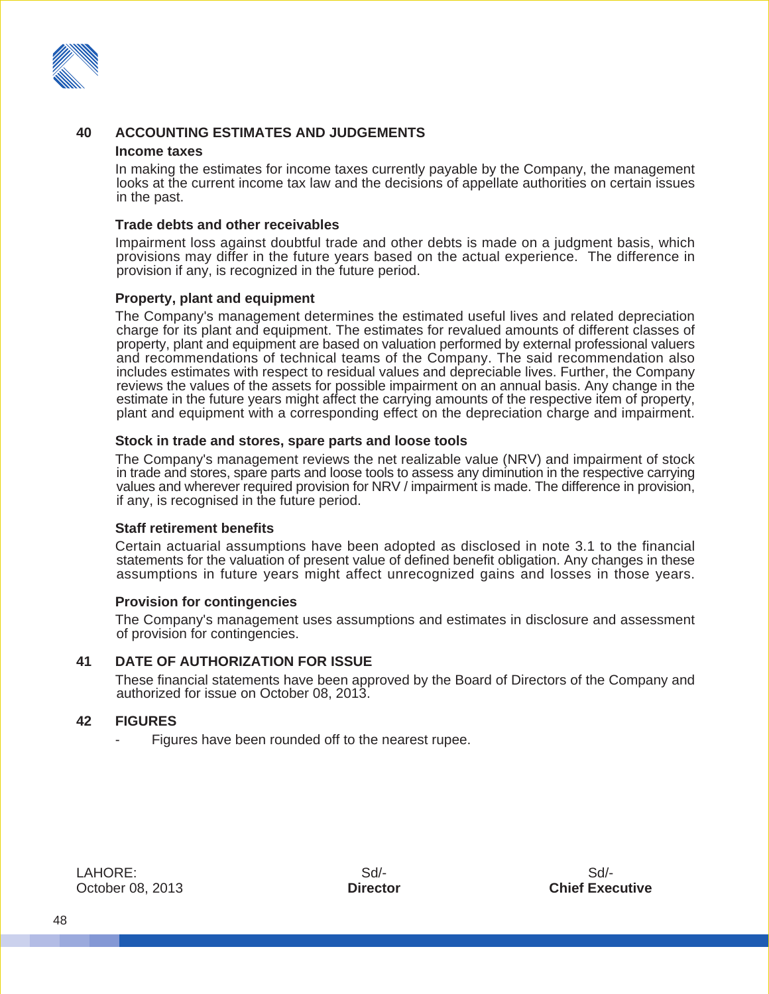

#### **40 ACCOUNTING ESTIMATES AND JUDGEMENTS**

#### **Income taxes**

In making the estimates for income taxes currently payable by the Company, the management looks at the current income tax law and the decisions of appellate authorities on certain issues in the past.

#### **Trade debts and other receivables**

Impairment loss against doubtful trade and other debts is made on a judgment basis, which provisions may differ in the future years based on the actual experience. The difference in provision if any, is recognized in the future period.

#### **Property, plant and equipment**

The Company's management determines the estimated useful lives and related depreciation charge for its plant and equipment. The estimates for revalued amounts of different classes of property, plant and equipment are based on valuation performed by external professional valuers and recommendations of technical teams of the Company. The said recommendation also includes estimates with respect to residual values and depreciable lives. Further, the Company reviews the values of the assets for possible impairment on an annual basis. Any change in the estimate in the future years might affect the carrying amounts of the respective item of property, plant and equipment with a corresponding effect on the depreciation charge and impairment.

#### **Stock in trade and stores, spare parts and loose tools**

The Company's management reviews the net realizable value (NRV) and impairment of stock in trade and stores, spare parts and loose tools to assess any diminution in the respective carrying values and wherever required provision for NRV / impairment is made. The difference in provision, if any, is recognised in the future period.

#### **Staff retirement benefits**

Certain actuarial assumptions have been adopted as disclosed in note 3.1 to the financial statements for the valuation of present value of defined benefit obligation. Any changes in these assumptions in future years might affect unrecognized gains and losses in those years.

#### **Provision for contingencies**

The Company's management uses assumptions and estimates in disclosure and assessment of provision for contingencies.

#### **41 DATE OF AUTHORIZATION FOR ISSUE**

These financial statements have been approved by the Board of Directors of the Company and authorized for issue on October 08, 2013.

#### **42 FIGURES**

Figures have been rounded off to the nearest rupee.

LAHORE: October 08, 2013

Sd/- **Director**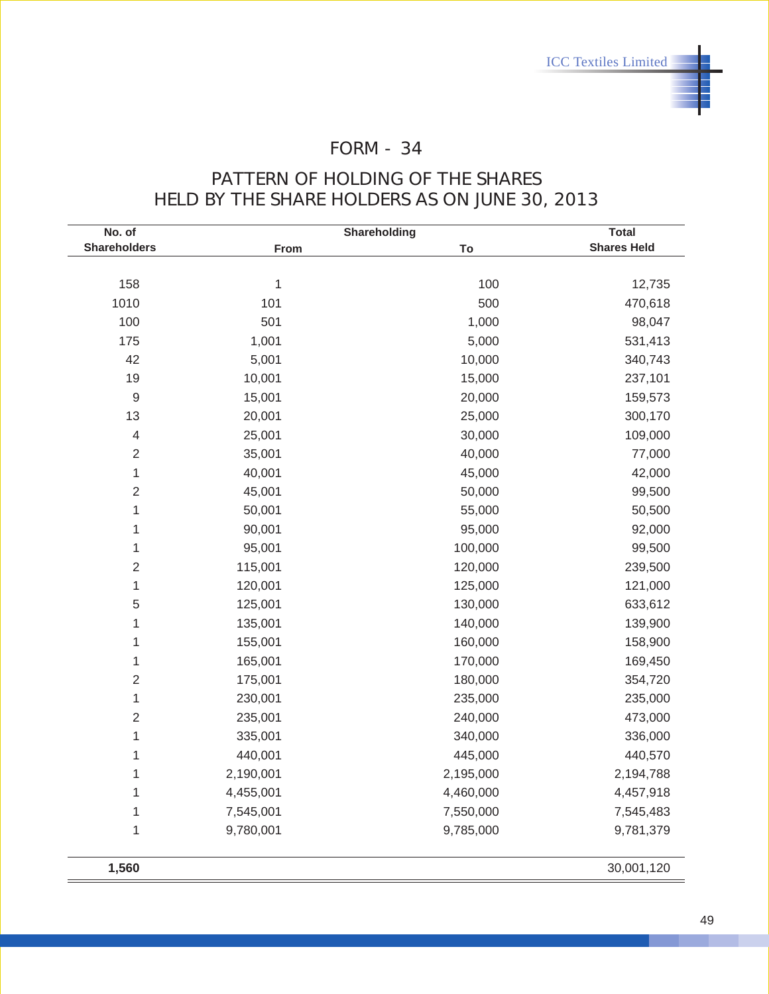## FORM - 34

### PATTERN OF HOLDING OF THE SHARES HELD BY THE SHARE HOLDERS AS ON JUNE 30, 2013

| No. of                   |              | Shareholding | <b>Total</b>       |  |
|--------------------------|--------------|--------------|--------------------|--|
| <b>Shareholders</b>      | From         | To           | <b>Shares Held</b> |  |
|                          |              |              |                    |  |
| 158                      | $\mathbf{1}$ | 100          | 12,735             |  |
| 1010                     | 101          | 500          | 470,618            |  |
| 100                      | 501          | 1,000        | 98,047             |  |
| 175                      | 1,001        | 5,000        | 531,413            |  |
| 42                       | 5,001        | 10,000       | 340,743            |  |
| 19                       | 10,001       | 15,000       | 237,101            |  |
| $\boldsymbol{9}$         | 15,001       | 20,000       | 159,573            |  |
| 13                       | 20,001       | 25,000       | 300,170            |  |
| $\overline{\mathcal{A}}$ | 25,001       | 30,000       | 109,000            |  |
| $\sqrt{2}$               | 35,001       | 40,000       | 77,000             |  |
| 1                        | 40,001       | 45,000       | 42,000             |  |
| $\mathbf 2$              | 45,001       | 50,000       | 99,500             |  |
| $\mathbf{1}$             | 50,001       | 55,000       | 50,500             |  |
| $\mathbf{1}$             | 90,001       | 95,000       | 92,000             |  |
| $\mathbf{1}$             | 95,001       | 100,000      | 99,500             |  |
| $\mathbf 2$              | 115,001      | 120,000      | 239,500            |  |
| $\mathbf{1}$             | 120,001      | 125,000      | 121,000            |  |
| $\mathbf 5$              | 125,001      | 130,000      | 633,612            |  |
| $\mathbf{1}$             | 135,001      | 140,000      | 139,900            |  |
| $\mathbf{1}$             | 155,001      | 160,000      | 158,900            |  |
| 1                        | 165,001      | 170,000      | 169,450            |  |
| $\overline{2}$           | 175,001      | 180,000      | 354,720            |  |
| 1                        | 230,001      | 235,000      | 235,000            |  |
| $\sqrt{2}$               | 235,001      | 240,000      | 473,000            |  |
| $\mathbf{1}$             | 335,001      | 340,000      | 336,000            |  |
| $\mathbf 1$              | 440,001      | 445,000      | 440,570            |  |
| $\mathbf 1$              | 2,190,001    | 2,195,000    | 2,194,788          |  |
| 1                        | 4,455,001    | 4,460,000    | 4,457,918          |  |
| $\mathbf 1$              | 7,545,001    | 7,550,000    | 7,545,483          |  |
| $\mathbf{1}$             | 9,780,001    | 9,785,000    | 9,781,379          |  |
| 1,560                    |              |              | 30,001,120         |  |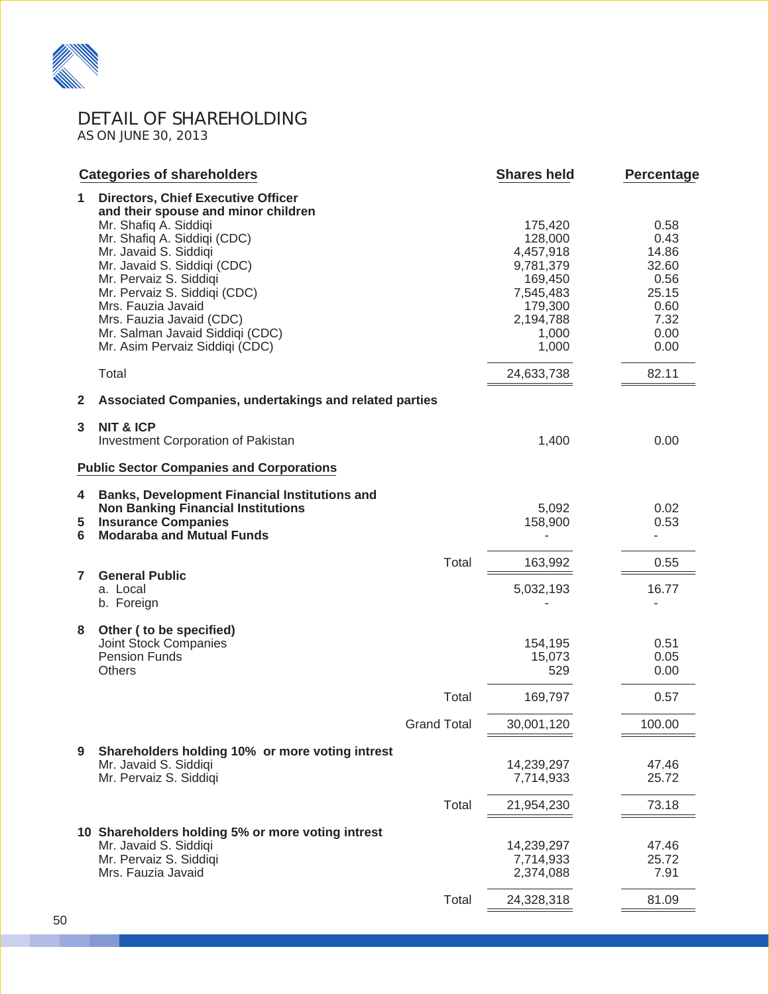

DETAIL OF SHAREHOLDING AS ON JUNE 30, 2013

|                | <b>Categories of shareholders</b>                                                                                                                                                                                                                                                                                                                                                 |                    | <b>Shares held</b>                                                                                             | <b>Percentage</b>                                                               |
|----------------|-----------------------------------------------------------------------------------------------------------------------------------------------------------------------------------------------------------------------------------------------------------------------------------------------------------------------------------------------------------------------------------|--------------------|----------------------------------------------------------------------------------------------------------------|---------------------------------------------------------------------------------|
| 1              | <b>Directors, Chief Executive Officer</b><br>and their spouse and minor children<br>Mr. Shafiq A. Siddiqi<br>Mr. Shafiq A. Siddiqi (CDC)<br>Mr. Javaid S. Siddigi<br>Mr. Javaid S. Siddiqi (CDC)<br>Mr. Pervaiz S. Siddiqi<br>Mr. Pervaiz S. Siddigi (CDC)<br>Mrs. Fauzia Javaid<br>Mrs. Fauzia Javaid (CDC)<br>Mr. Salman Javaid Siddiqi (CDC)<br>Mr. Asim Pervaiz Siddiqi (CDC) |                    | 175,420<br>128,000<br>4,457,918<br>9,781,379<br>169,450<br>7,545,483<br>179,300<br>2,194,788<br>1,000<br>1,000 | 0.58<br>0.43<br>14.86<br>32.60<br>0.56<br>25.15<br>0.60<br>7.32<br>0.00<br>0.00 |
|                | Total                                                                                                                                                                                                                                                                                                                                                                             |                    | 24,633,738                                                                                                     | 82.11                                                                           |
| 2              | Associated Companies, undertakings and related parties                                                                                                                                                                                                                                                                                                                            |                    |                                                                                                                |                                                                                 |
| 3              | <b>NIT &amp; ICP</b><br>Investment Corporation of Pakistan<br><b>Public Sector Companies and Corporations</b>                                                                                                                                                                                                                                                                     |                    | 1,400                                                                                                          | 0.00                                                                            |
| 4<br>5<br>6    | <b>Banks, Development Financial Institutions and</b><br><b>Non Banking Financial Institutions</b><br><b>Insurance Companies</b><br><b>Modaraba and Mutual Funds</b>                                                                                                                                                                                                               |                    | 5,092<br>158,900                                                                                               | 0.02<br>0.53                                                                    |
|                |                                                                                                                                                                                                                                                                                                                                                                                   | Total              | 163,992                                                                                                        | 0.55                                                                            |
| $\overline{7}$ | <b>General Public</b><br>a. Local<br>b. Foreign                                                                                                                                                                                                                                                                                                                                   |                    | 5,032,193                                                                                                      | 16.77<br>$\blacksquare$                                                         |
| 8              | Other (to be specified)<br><b>Joint Stock Companies</b><br><b>Pension Funds</b><br><b>Others</b>                                                                                                                                                                                                                                                                                  | Total              | 154,195<br>15,073<br>529                                                                                       | 0.51<br>0.05<br>0.00                                                            |
|                |                                                                                                                                                                                                                                                                                                                                                                                   |                    | 169,797                                                                                                        | 0.57                                                                            |
|                |                                                                                                                                                                                                                                                                                                                                                                                   | <b>Grand Total</b> | 30,001,120                                                                                                     | 100.00                                                                          |
| 9              | Shareholders holding 10% or more voting intrest<br>Mr. Javaid S. Siddiqi<br>Mr. Pervaiz S. Siddiqi                                                                                                                                                                                                                                                                                |                    | 14,239,297<br>7,714,933                                                                                        | 47.46<br>25.72                                                                  |
|                |                                                                                                                                                                                                                                                                                                                                                                                   | Total              | 21,954,230                                                                                                     | 73.18                                                                           |
|                | 10 Shareholders holding 5% or more voting intrest<br>Mr. Javaid S. Siddiqi<br>Mr. Pervaiz S. Siddiqi<br>Mrs. Fauzia Javaid                                                                                                                                                                                                                                                        | Total              | 14,239,297<br>7,714,933<br>2,374,088<br>24,328,318                                                             | 47.46<br>25.72<br>7.91<br>81.09                                                 |
|                |                                                                                                                                                                                                                                                                                                                                                                                   |                    |                                                                                                                |                                                                                 |